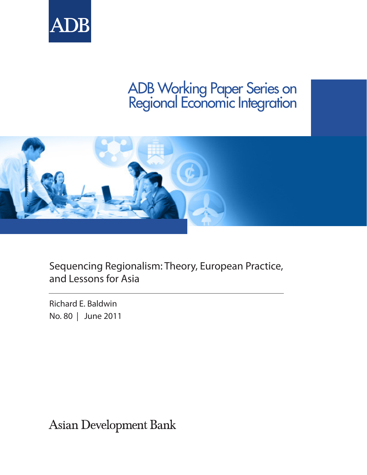

# ADB Working Paper Series on Regional Economic Integration



Sequencing Regionalism: Theory, European Practice, and Lessons for Asia

Richard E. Baldwin No. 80 | June 2011

Asian Development Bank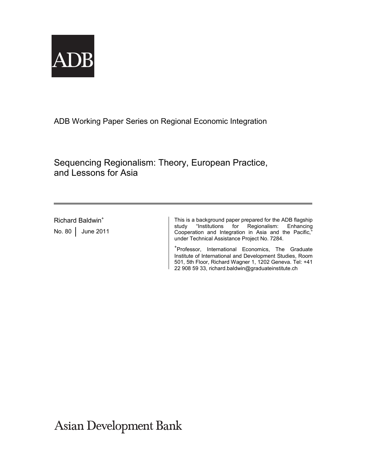

ADB Working Paper Series on Regional Economic Integration

Sequencing Regionalism: Theory, European Practice, and Lessons for Asia

Richard Baldwin<sup>+</sup> No. 80 June 2011 This is a background paper prepared for the ADB flagship study "Institutions for Regionalism: Enhancing Cooperation and Integration in Asia and the Pacific," under Technical Assistance Project No. 7284.

+ Professor, International Economics, The Graduate Institute of International and Development Studies, Room 501, 5th Floor, Richard Wagner 1, 1202 Geneva. Tel: +41 22 908 59 33, richard.baldwin@graduateinstitute.ch

**Asian Development Bank**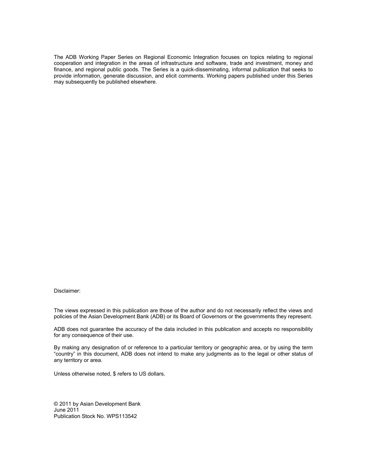The ADB Working Paper Series on Regional Economic Integration focuses on topics relating to regional cooperation and integration in the areas of infrastructure and software, trade and investment, money and finance, and regional public goods. The Series is a quick-disseminating, informal publication that seeks to provide information, generate discussion, and elicit comments. Working papers published under this Series may subsequently be published elsewhere.

Disclaimer:

The views expressed in this publication are those of the author and do not necessarily reflect the views and policies of the Asian Development Bank (ADB) or its Board of Governors or the governments they represent.

ADB does not guarantee the accuracy of the data included in this publication and accepts no responsibility for any consequence of their use.

By making any designation of or reference to a particular territory or geographic area, or by using the term "country" in this document, ADB does not intend to make any judgments as to the legal or other status of any territory or area.

Unless otherwise noted, \$ refers to US dollars.

© 2011 by Asian Development Bank June 2011 Publication Stock No. WPS113542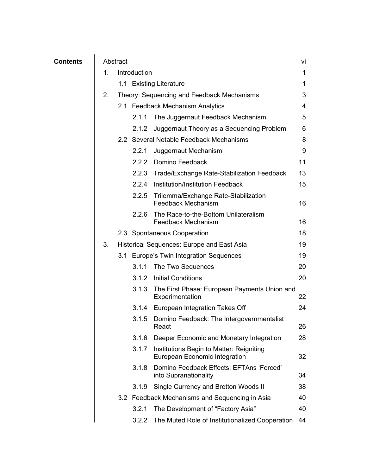| <b>Contents</b> | Abstract |                                            |                                         |                                                                           |    |
|-----------------|----------|--------------------------------------------|-----------------------------------------|---------------------------------------------------------------------------|----|
|                 | 1.       | Introduction                               |                                         |                                                                           | 1  |
|                 |          |                                            |                                         | 1.1 Existing Literature                                                   | 1  |
|                 | 2.       | Theory: Sequencing and Feedback Mechanisms |                                         |                                                                           | 3  |
|                 |          |                                            | 2.1 Feedback Mechanism Analytics        |                                                                           | 4  |
|                 |          |                                            | 2.1.1                                   | The Juggernaut Feedback Mechanism                                         | 5  |
|                 |          |                                            | 2.1.2                                   | Juggernaut Theory as a Sequencing Problem                                 | 6  |
|                 |          |                                            | 2.2 Several Notable Feedback Mechanisms |                                                                           | 8  |
|                 |          |                                            | 2.2.1                                   | Juggernaut Mechanism                                                      | 9  |
|                 |          |                                            |                                         | 2.2.2 Domino Feedback                                                     | 11 |
|                 |          |                                            |                                         | 2.2.3 Trade/Exchange Rate-Stabilization Feedback                          | 13 |
|                 |          |                                            |                                         | 2.2.4 Institution/Institution Feedback                                    | 15 |
|                 |          |                                            |                                         | 2.2.5 Trilemma/Exchange Rate-Stabilization<br><b>Feedback Mechanism</b>   | 16 |
|                 |          |                                            | 2.2.6                                   | The Race-to-the-Bottom Unilateralism<br><b>Feedback Mechanism</b>         | 16 |
|                 |          |                                            |                                         | 2.3 Spontaneous Cooperation                                               | 18 |
|                 | 3.       |                                            |                                         | Historical Sequences: Europe and East Asia                                | 19 |
|                 |          |                                            |                                         | 3.1 Europe's Twin Integration Sequences                                   | 19 |
|                 |          |                                            | 3.1.1                                   | The Two Sequences                                                         | 20 |
|                 |          |                                            |                                         | 3.1.2 Initial Conditions                                                  | 20 |
|                 |          |                                            |                                         | 3.1.3 The First Phase: European Payments Union and<br>Experimentation     | 22 |
|                 |          |                                            |                                         | 3.1.4 European Integration Takes Off                                      | 24 |
|                 |          |                                            | 3.1.5                                   | Domino Feedback: The Intergovernmentalist<br>React                        | 26 |
|                 |          |                                            | 3.1.6                                   | Deeper Economic and Monetary Integration                                  | 28 |
|                 |          |                                            | 3.1.7                                   | Institutions Begin to Matter: Reigniting<br>European Economic Integration | 32 |
|                 |          |                                            | 3.1.8                                   | Domino Feedback Effects: EFTAns 'Forced'<br>into Supranationality         | 34 |
|                 |          |                                            | 3.1.9                                   | Single Currency and Bretton Woods II                                      | 38 |
|                 |          |                                            |                                         | 3.2 Feedback Mechanisms and Sequencing in Asia                            | 40 |
|                 |          |                                            | 3.2.1                                   | The Development of "Factory Asia"                                         | 40 |
|                 |          |                                            | 3.2.2                                   | The Muted Role of Institutionalized Cooperation                           | 44 |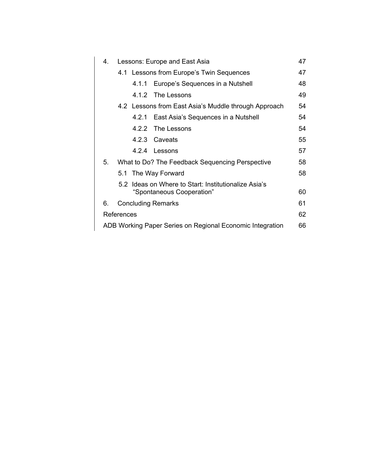| 4.                                                                      | Lessons: Europe and East Asia                        |    |  |  |  |  |  |
|-------------------------------------------------------------------------|------------------------------------------------------|----|--|--|--|--|--|
|                                                                         | 4.1 Lessons from Europe's Twin Sequences             | 47 |  |  |  |  |  |
|                                                                         | Europe's Sequences in a Nutshell<br>4.1.1            | 48 |  |  |  |  |  |
|                                                                         | 4.1.2 The Lessons                                    | 49 |  |  |  |  |  |
|                                                                         | 4.2 Lessons from East Asia's Muddle through Approach |    |  |  |  |  |  |
|                                                                         | 4.2.1 East Asia's Sequences in a Nutshell            | 54 |  |  |  |  |  |
|                                                                         | 4.2.2 The Lessons                                    | 54 |  |  |  |  |  |
|                                                                         | 4.2.3 Caveats                                        | 55 |  |  |  |  |  |
|                                                                         | 4.2.4 Lessons                                        | 57 |  |  |  |  |  |
| 5.                                                                      | What to Do? The Feedback Sequencing Perspective      | 58 |  |  |  |  |  |
|                                                                         | 5.1 The Way Forward                                  |    |  |  |  |  |  |
|                                                                         | 5.2 Ideas on Where to Start: Institutionalize Asia's |    |  |  |  |  |  |
|                                                                         | "Spontaneous Cooperation"                            | 60 |  |  |  |  |  |
| 6.                                                                      | <b>Concluding Remarks</b>                            | 61 |  |  |  |  |  |
| References<br>ADB Working Paper Series on Regional Economic Integration |                                                      |    |  |  |  |  |  |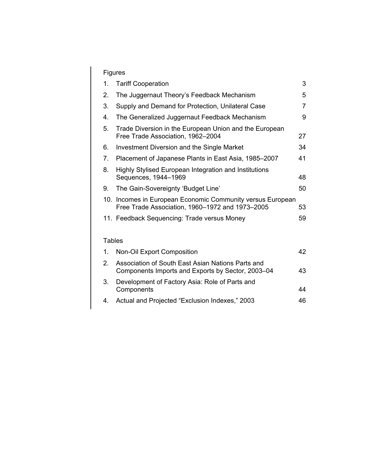## Figures

|               | Figures        |                                                                                                               |    |  |  |  |
|---------------|----------------|---------------------------------------------------------------------------------------------------------------|----|--|--|--|
|               | 1.             | <b>Tariff Cooperation</b>                                                                                     | 3  |  |  |  |
|               | 2.             | The Juggernaut Theory's Feedback Mechanism                                                                    | 5  |  |  |  |
|               | 3.             | Supply and Demand for Protection, Unilateral Case                                                             | 7  |  |  |  |
|               | 4.             | The Generalized Juggernaut Feedback Mechanism                                                                 | 9  |  |  |  |
|               | 5.             | Trade Diversion in the European Union and the European<br>Free Trade Association, 1962-2004                   | 27 |  |  |  |
|               | 6.             | Investment Diversion and the Single Market                                                                    | 34 |  |  |  |
|               | 7 <sub>1</sub> | Placement of Japanese Plants in East Asia, 1985-2007                                                          | 41 |  |  |  |
|               | 8.             | Highly Stylised European Integration and Institutions<br>Sequences, 1944-1969                                 | 48 |  |  |  |
|               | 9.             | The Gain-Sovereignty 'Budget Line'                                                                            | 50 |  |  |  |
|               |                | 10. Incomes in European Economic Community versus European<br>Free Trade Association, 1960-1972 and 1973-2005 | 53 |  |  |  |
|               |                | 11. Feedback Sequencing: Trade versus Money                                                                   | 59 |  |  |  |
|               |                |                                                                                                               |    |  |  |  |
| <b>Tables</b> |                |                                                                                                               |    |  |  |  |
|               | 1.             | <b>Non-Oil Export Composition</b>                                                                             | 42 |  |  |  |
|               | 2.             | Association of South East Asian Nations Parts and<br>Components Imports and Exports by Sector, 2003–04        | 43 |  |  |  |
|               | 3.             | Development of Factory Asia: Role of Parts and<br>Components                                                  | 44 |  |  |  |
|               | 4.             | Actual and Projected "Exclusion Indexes," 2003                                                                | 46 |  |  |  |
|               |                |                                                                                                               |    |  |  |  |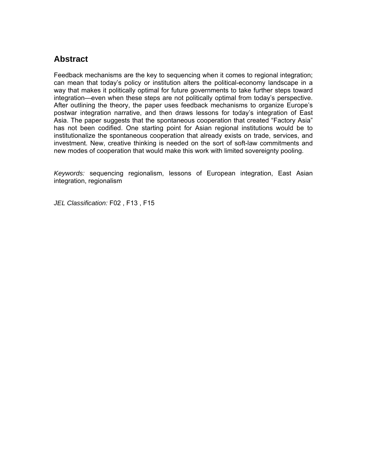## **Abstract**

Feedback mechanisms are the key to sequencing when it comes to regional integration; can mean that today's policy or institution alters the political-economy landscape in a way that makes it politically optimal for future governments to take further steps toward integration—even when these steps are not politically optimal from today's perspective. After outlining the theory, the paper uses feedback mechanisms to organize Europe's postwar integration narrative, and then draws lessons for today's integration of East Asia. The paper suggests that the spontaneous cooperation that created "Factory Asia" has not been codified. One starting point for Asian regional institutions would be to institutionalize the spontaneous cooperation that already exists on trade, services, and investment. New, creative thinking is needed on the sort of soft-law commitments and new modes of cooperation that would make this work with limited sovereignty pooling.

*Keywords:* sequencing regionalism, lessons of European integration, East Asian integration, regionalism

*JEL Classification:* F02 , F13 , F15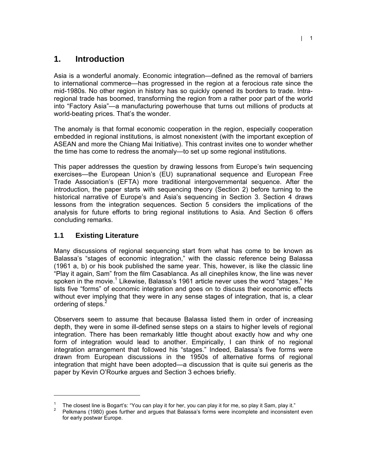## **1. Introduction**

Asia is a wonderful anomaly. Economic integration—defined as the removal of barriers to international commerce—has progressed in the region at a ferocious rate since the mid-1980s. No other region in history has so quickly opened its borders to trade. Intraregional trade has boomed, transforming the region from a rather poor part of the world into "Factory Asia"—a manufacturing powerhouse that turns out millions of products at world-beating prices. That's the wonder.

The anomaly is that formal economic cooperation in the region, especially cooperation embedded in regional institutions, is almost nonexistent (with the important exception of ASEAN and more the Chiang Mai Initiative). This contrast invites one to wonder whether the time has come to redress the anomaly—to set up some regional institutions.

This paper addresses the question by drawing lessons from Europe's twin sequencing exercises—the European Union's (EU) supranational sequence and European Free Trade Association's (EFTA) more traditional intergovernmental sequence. After the introduction, the paper starts with sequencing theory (Section 2) before turning to the historical narrative of Europe's and Asia's sequencing in Section 3. Section 4 draws lessons from the integration sequences. Section 5 considers the implications of the analysis for future efforts to bring regional institutions to Asia. And Section 6 offers concluding remarks.

### **1.1 Existing Literature**

 $\overline{a}$ 

Many discussions of regional sequencing start from what has come to be known as Balassa's "stages of economic integration," with the classic reference being Balassa (1961 a, b) or his book published the same year. This, however, is like the classic line "Play it again, Sam" from the film Casablanca. As all cinephiles know, the line was never spoken in the movie.<sup>1</sup> Likewise, Balassa's 1961 article never uses the word "stages." He lists five "forms" of economic integration and goes on to discuss their economic effects without ever implying that they were in any sense stages of integration, that is, a clear ordering of steps.<sup>2</sup>

Observers seem to assume that because Balassa listed them in order of increasing depth, they were in some ill-defined sense steps on a stairs to higher levels of regional integration. There has been remarkably little thought about exactly how and why one form of integration would lead to another. Empirically, I can think of no regional integration arrangement that followed his "stages." Indeed, Balassa's five forms were drawn from European discussions in the 1950s of alternative forms of regional integration that might have been adopted—a discussion that is quite sui generis as the paper by Kevin O'Rourke argues and Section 3 echoes briefly.

<sup>1</sup> The closest line is Bogart's: "You can play it for her, you can play it for me, so play it Sam, play it."

 $2^2$  Pelkmans (1980) goes further and argues that Balassa's forms were incomplete and inconsistent even for early postwar Europe.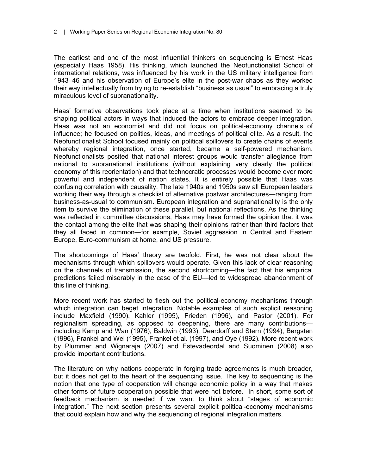The earliest and one of the most influential thinkers on sequencing is Ernest Haas (especially Haas 1958). His thinking, which launched the Neofunctionalist School of international relations, was influenced by his work in the US military intelligence from 1943–46 and his observation of Europe's elite in the post-war chaos as they worked their way intellectually from trying to re-establish "business as usual" to embracing a truly miraculous level of supranationality.

Haas' formative observations took place at a time when institutions seemed to be shaping political actors in ways that induced the actors to embrace deeper integration. Haas was not an economist and did not focus on political-economy channels of influence; he focused on politics, ideas, and meetings of political elite. As a result, the Neofunctionalist School focused mainly on political spillovers to create chains of events whereby regional integration, once started, became a self-powered mechanism. Neofunctionalists posited that national interest groups would transfer allegiance from national to supranational institutions (without explaining very clearly the political economy of this reorientation) and that technocratic processes would become ever more powerful and independent of nation states. It is entirely possible that Haas was confusing correlation with causality. The late 1940s and 1950s saw all European leaders working their way through a checklist of alternative postwar architectures—ranging from business-as-usual to communism. European integration and supranationality is the only item to survive the elimination of these parallel, but national reflections. As the thinking was reflected in committee discussions, Haas may have formed the opinion that it was the contact among the elite that was shaping their opinions rather than third factors that they all faced in common—for example, Soviet aggression in Central and Eastern Europe, Euro-communism at home, and US pressure.

The shortcomings of Haas' theory are twofold. First, he was not clear about the mechanisms through which spillovers would operate. Given this lack of clear reasoning on the channels of transmission, the second shortcoming—the fact that his empirical predictions failed miserably in the case of the EU—led to widespread abandonment of this line of thinking.

More recent work has started to flesh out the political-economy mechanisms through which integration can beget integration. Notable examples of such explicit reasoning include Maxfield (1990), Kahler (1995), Frieden (1996), and Pastor (2001). For regionalism spreading, as opposed to deepening, there are many contributions including Kemp and Wan (1976), Baldwin (1993), Deardorff and Stern (1994), Bergsten (1996), Frankel and Wei (1995), Frankel et al. (1997), and Oye (1992). More recent work by Plummer and Wignaraja (2007) and Estevadeordal and Suominen (2008) also provide important contributions.

The literature on why nations cooperate in forging trade agreements is much broader, but it does not get to the heart of the sequencing issue. The key to sequencing is the notion that one type of cooperation will change economic policy in a way that makes other forms of future cooperation possible that were not before. In short, some sort of feedback mechanism is needed if we want to think about "stages of economic integration." The next section presents several explicit political-economy mechanisms that could explain how and why the sequencing of regional integration matters.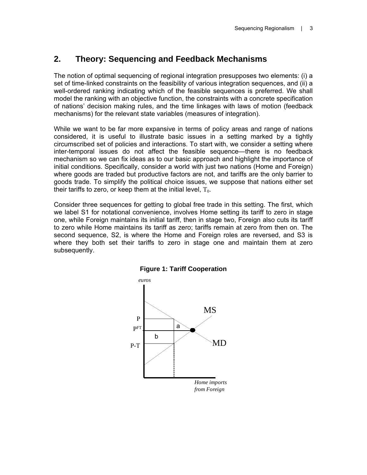## **2. Theory: Sequencing and Feedback Mechanisms**

The notion of optimal sequencing of regional integration presupposes two elements: (i) a set of time-linked constraints on the feasibility of various integration sequences, and (ii) a well-ordered ranking indicating which of the feasible sequences is preferred. We shall model the ranking with an objective function, the constraints with a concrete specification of nations' decision making rules, and the time linkages with laws of motion (feedback mechanisms) for the relevant state variables (measures of integration).

While we want to be far more expansive in terms of policy areas and range of nations considered, it is useful to illustrate basic issues in a setting marked by a tightly circumscribed set of policies and interactions. To start with, we consider a setting where inter-temporal issues do not affect the feasible sequence—there is no feedback mechanism so we can fix ideas as to our basic approach and highlight the importance of initial conditions. Specifically, consider a world with just two nations (Home and Foreign) where goods are traded but productive factors are not, and tariffs are the only barrier to goods trade. To simplify the political choice issues, we suppose that nations either set their tariffs to zero, or keep them at the initial level,  $T_0$ .

Consider three sequences for getting to global free trade in this setting. The first, which we label S1 for notational convenience, involves Home setting its tariff to zero in stage one, while Foreign maintains its initial tariff, then in stage two, Foreign also cuts its tariff to zero while Home maintains its tariff as zero; tariffs remain at zero from then on. The second sequence, S2, is where the Home and Foreign roles are reversed, and S3 is where they both set their tariffs to zero in stage one and maintain them at zero subsequently.



#### **Figure 1: Tariff Cooperation**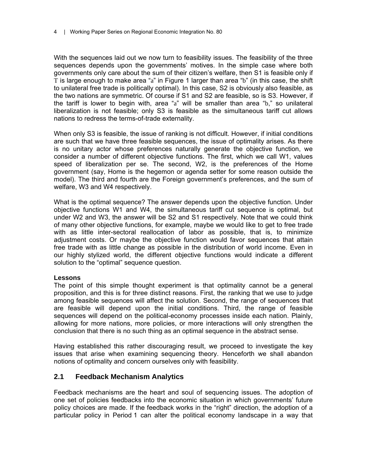With the sequences laid out we now turn to feasibility issues. The feasibility of the three sequences depends upon the governments' motives. In the simple case where both governments only care about the sum of their citizen's welfare, then S1 is feasible only if T is large enough to make area "a" in Figure 1 larger than area "b" (in this case, the shift to unilateral free trade is politically optimal). In this case, S2 is obviously also feasible, as the two nations are symmetric. Of course if S1 and S2 are feasible, so is S3. However, if the tariff is lower to begin with, area "a" will be smaller than area "b," so unilateral liberalization is not feasible; only S3 is feasible as the simultaneous tariff cut allows nations to redress the terms-of-trade externality.

When only S3 is feasible, the issue of ranking is not difficult. However, if initial conditions are such that we have three feasible sequences, the issue of optimality arises. As there is no unitary actor whose preferences naturally generate the objective function, we consider a number of different objective functions. The first, which we call W1, values speed of liberalization per se. The second, W2, is the preferences of the Home government (say, Home is the hegemon or agenda setter for some reason outside the model). The third and fourth are the Foreign government's preferences, and the sum of welfare, W3 and W4 respectively.

What is the optimal sequence? The answer depends upon the objective function. Under objective functions W1 and W4, the simultaneous tariff cut sequence is optimal, but under W2 and W3, the answer will be S2 and S1 respectively. Note that we could think of many other objective functions, for example, maybe we would like to get to free trade with as little inter-sectoral reallocation of labor as possible, that is, to minimize adjustment costs. Or maybe the objective function would favor sequences that attain free trade with as little change as possible in the distribution of world income. Even in our highly stylized world, the different objective functions would indicate a different solution to the "optimal" sequence question.

#### **Lessons**

The point of this simple thought experiment is that optimality cannot be a general proposition, and this is for three distinct reasons. First, the ranking that we use to judge among feasible sequences will affect the solution. Second, the range of sequences that are feasible will depend upon the initial conditions. Third, the range of feasible sequences will depend on the political-economy processes inside each nation. Plainly, allowing for more nations, more policies, or more interactions will only strengthen the conclusion that there is no such thing as an optimal sequence in the abstract sense.

Having established this rather discouraging result, we proceed to investigate the key issues that arise when examining sequencing theory. Henceforth we shall abandon notions of optimality and concern ourselves only with feasibility.

#### **2.1 Feedback Mechanism Analytics**

Feedback mechanisms are the heart and soul of sequencing issues. The adoption of one set of policies feedbacks into the economic situation in which governments' future policy choices are made. If the feedback works in the "right" direction, the adoption of a particular policy in Period 1 can alter the political economy landscape in a way that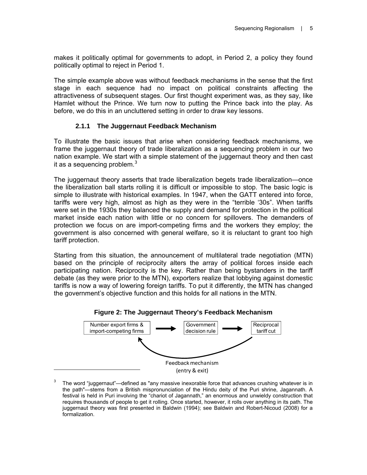makes it politically optimal for governments to adopt, in Period 2, a policy they found politically optimal to reject in Period 1.

The simple example above was without feedback mechanisms in the sense that the first stage in each sequence had no impact on political constraints affecting the attractiveness of subsequent stages. Our first thought experiment was, as they say, like Hamlet without the Prince. We turn now to putting the Prince back into the play. As before, we do this in an uncluttered setting in order to draw key lessons.

#### **2.1.1 The Juggernaut Feedback Mechanism**

To illustrate the basic issues that arise when considering feedback mechanisms, we frame the juggernaut theory of trade liberalization as a sequencing problem in our two nation example. We start with a simple statement of the juggernaut theory and then cast it as a sequencing problem. $3$ 

The juggernaut theory asserts that trade liberalization begets trade liberalization—once the liberalization ball starts rolling it is difficult or impossible to stop. The basic logic is simple to illustrate with historical examples. In 1947, when the GATT entered into force, tariffs were very high, almost as high as they were in the "terrible '30s". When tariffs were set in the 1930s they balanced the supply and demand for protection in the political market inside each nation with little or no concern for spillovers. The demanders of protection we focus on are import-competing firms and the workers they employ; the government is also concerned with general welfare, so it is reluctant to grant too high tariff protection.

Starting from this situation, the announcement of multilateral trade negotiation (MTN) based on the principle of reciprocity alters the array of political forces inside each participating nation. Reciprocity is the key. Rather than being bystanders in the tariff debate (as they were prior to the MTN), exporters realize that lobbying against domestic tariffs is now a way of lowering foreign tariffs. To put it differently, the MTN has changed the government's objective function and this holds for all nations in the MTN.



#### 3 The word "juggernaut"—defined as "any massive inexorable force that advances crushing whatever is in the path"—stems from a British mispronunciation of the Hindu deity of the Puri shrine, Jagannath. A festival is held in Puri involving the "chariot of Jagannath," an enormous and unwieldy construction that requires thousands of people to get it rolling. Once started, however, it rolls over anything in its path. The juggernaut theory was first presented in Baldwin (1994); see Baldwin and Robert-Nicoud (2008) for a formalization.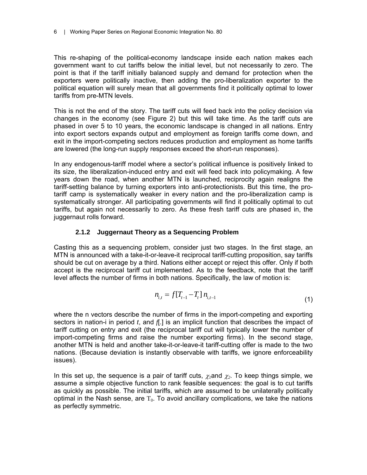This re-shaping of the political-economy landscape inside each nation makes each government want to cut tariffs below the initial level, but not necessarily to zero. The point is that if the tariff initially balanced supply and demand for protection when the exporters were politically inactive, then adding the pro-liberalization exporter to the political equation will surely mean that all governments find it politically optimal to lower tariffs from pre-MTN levels.

This is not the end of the story. The tariff cuts will feed back into the policy decision via changes in the economy (see Figure 2) but this will take time. As the tariff cuts are phased in over 5 to 10 years, the economic landscape is changed in all nations. Entry into export sectors expands output and employment as foreign tariffs come down, and exit in the import-competing sectors reduces production and employment as home tariffs are lowered (the long-run supply responses exceed the short-run responses).

In any endogenous-tariff model where a sector's political influence is positively linked to its size, the liberalization-induced entry and exit will feed back into policymaking. A few years down the road, when another MTN is launched, reciprocity again realigns the tariff-setting balance by turning exporters into anti-protectionists. But this time, the protariff camp is systematically weaker in every nation and the pro-liberalization camp is systematically stronger. All participating governments will find it politically optimal to cut tariffs, but again not necessarily to zero. As these fresh tariff cuts are phased in, the juggernaut rolls forward.

#### **2.1.2 Juggernaut Theory as a Sequencing Problem**

Casting this as a sequencing problem, consider just two stages. In the first stage, an MTN is announced with a take-it-or-leave-it reciprocal tariff-cutting proposition, say tariffs should be cut on average by a third. Nations either accept or reject this offer. Only if both accept is the reciprocal tariff cut implemented. As to the feedback, note that the tariff level affects the number of firms in both nations. Specifically, the law of motion is:

$$
n_{i,t} = f[T_{t-1} - T_t] n_{i,t-1}
$$
\n(1)

where the n vectors describe the number of firms in the import-competing and exporting sectors in nation-i in period *t*, and *f*[.] is an implicit function that describes the impact of tariff cutting on entry and exit (the reciprocal tariff cut will typically lower the number of import-competing firms and raise the number exporting firms). In the second stage, another MTN is held and another take-it-or-leave-it tariff-cutting offer is made to the two nations. (Because deviation is instantly observable with tariffs, we ignore enforceability issues).

In this set up, the sequence is a pair of tariff cuts,  $\chi_1$  and  $\chi_2$ . To keep things simple, we assume a simple objective function to rank feasible sequences: the goal is to cut tariffs as quickly as possible. The initial tariffs, which are assumed to be unilaterally politically optimal in the Nash sense, are  $T_0$ . To avoid ancillary complications, we take the nations as perfectly symmetric.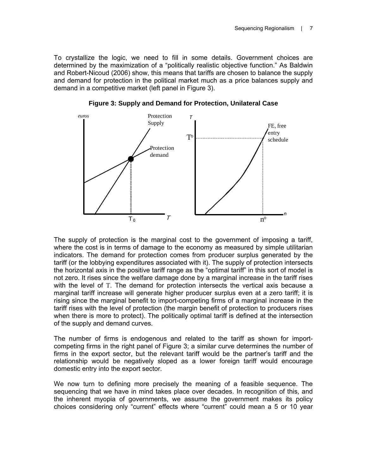To crystallize the logic, we need to fill in some details. Government choices are determined by the maximization of a "politically realistic objective function." As Baldwin and Robert-Nicoud (2006) show, this means that tariffs are chosen to balance the supply and demand for protection in the political market much as a price balances supply and demand in a competitive market (left panel in Figure 3).



**Figure 3: Supply and Demand for Protection, Unilateral Case** 

The supply of protection is the marginal cost to the government of imposing a tariff, where the cost is in terms of damage to the economy as measured by simple utilitarian indicators. The demand for protection comes from producer surplus generated by the tariff (or the lobbying expenditures associated with it). The supply of protection intersects the horizontal axis in the positive tariff range as the "optimal tariff" in this sort of model is not zero. It rises since the welfare damage done by a marginal increase in the tariff rises with the level of T. The demand for protection intersects the vertical axis because a marginal tariff increase will generate higher producer surplus even at a zero tariff; it is rising since the marginal benefit to import-competing firms of a marginal increase in the tariff rises with the level of protection (the margin benefit of protection to producers rises when there is more to protect). The politically optimal tariff is defined at the intersection of the supply and demand curves.

The number of firms is endogenous and related to the tariff as shown for importcompeting firms in the right panel of Figure 3; a similar curve determines the number of firms in the export sector, but the relevant tariff would be the partner's tariff and the relationship would be negatively sloped as a lower foreign tariff would encourage domestic entry into the export sector.

We now turn to defining more precisely the meaning of a feasible sequence. The sequencing that we have in mind takes place over decades. In recognition of this, and the inherent myopia of governments, we assume the government makes its policy choices considering only "current" effects where "current" could mean a 5 or 10 year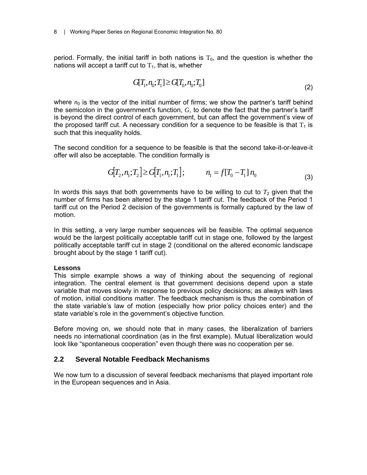period. Formally, the initial tariff in both nations is  $T_0$ , and the question is whether the nations will accept a tariff cut to  $T_1$ , that is, whether

$$
G[T_1, n_0; T_1] \ge G[T_0, n_0; T_0]
$$
\n(2)

where  $n_0$  is the vector of the initial number of firms; we show the partner's tariff behind the semicolon in the government's function, *G*, to denote the fact that the partner's tariff is beyond the direct control of each government, but can affect the government's view of the proposed tariff cut. A necessary condition for a sequence to be feasible is that  $T_1$  is such that this inequality holds.

The second condition for a sequence to be feasible is that the second take-it-or-leave-it offer will also be acceptable. The condition formally is

$$
G[T_2, n_1; T_2] \ge G[T_1, n_1; T_1]; \qquad n_1 = f[T_0 - T_1] n_0
$$
\n(3)

In words this says that both governments have to be willing to cut to  $T_2$  given that the number of firms has been altered by the stage 1 tariff cut. The feedback of the Period 1 tariff cut on the Period 2 decision of the governments is formally captured by the law of motion.

In this setting, a very large number sequences will be feasible. The optimal sequence would be the largest politically acceptable tariff cut in stage one, followed by the largest politically acceptable tariff cut in stage 2 (conditional on the altered economic landscape brought about by the stage 1 tariff cut).

#### **Lessons**

This simple example shows a way of thinking about the sequencing of regional integration. The central element is that government decisions depend upon a state variable that moves slowly in response to previous policy decisions; as always with laws of motion, initial conditions matter. The feedback mechanism is thus the combination of the state variable's law of motion (especially how prior policy choices enter) and the state variable's role in the government's objective function.

Before moving on, we should note that in many cases, the liberalization of barriers needs no international coordination (as in the first example). Mutual liberalization would look like "spontaneous cooperation" even though there was no cooperation per se.

#### **2.2 Several Notable Feedback Mechanisms**

We now turn to a discussion of several feedback mechanisms that played important role in the European sequences and in Asia.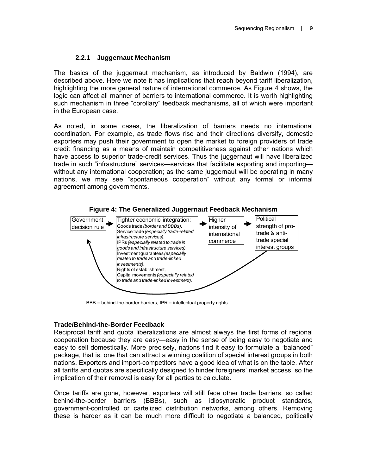#### **2.2.1 Juggernaut Mechanism**

The basics of the juggernaut mechanism, as introduced by Baldwin (1994), are described above. Here we note it has implications that reach beyond tariff liberalization, highlighting the more general nature of international commerce. As Figure 4 shows, the logic can affect all manner of barriers to international commerce. It is worth highlighting such mechanism in three "corollary" feedback mechanisms, all of which were important in the European case.

As noted, in some cases, the liberalization of barriers needs no international coordination. For example, as trade flows rise and their directions diversify, domestic exporters may push their government to open the market to foreign providers of trade credit financing as a means of maintain competitiveness against other nations which have access to superior trade-credit services. Thus the juggernaut will have liberalized trade in such "infrastructure" services—services that facilitate exporting and importing without any international cooperation; as the same juggernaut will be operating in many nations, we may see "spontaneous cooperation" without any formal or informal agreement among governments.



BBB = behind-the-border barriers, IPR = intellectual property rights.

#### **Trade/Behind-the-Border Feedback**

Reciprocal tariff and quota liberalizations are almost always the first forms of regional cooperation because they are easy—easy in the sense of being easy to negotiate and easy to sell domestically. More precisely, nations find it easy to formulate a "balanced" package, that is, one that can attract a winning coalition of special interest groups in both nations. Exporters and import-competitors have a good idea of what is on the table. After all tariffs and quotas are specifically designed to hinder foreigners' market access, so the implication of their removal is easy for all parties to calculate.

Once tariffs are gone, however, exporters will still face other trade barriers, so called behind-the-border barriers (BBBs), such as idiosyncratic product standards, government-controlled or cartelized distribution networks, among others. Removing these is harder as it can be much more difficult to negotiate a balanced, politically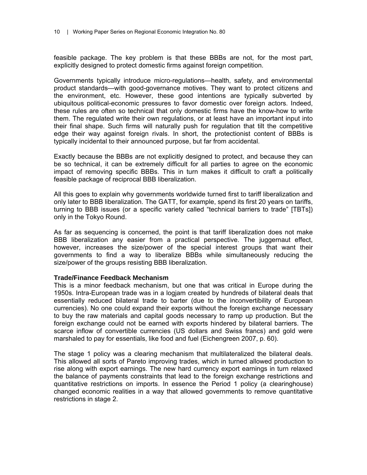feasible package. The key problem is that these BBBs are not, for the most part, explicitly designed to protect domestic firms against foreign competition.

Governments typically introduce micro-regulations—health, safety, and environmental product standards—with good-governance motives. They want to protect citizens and the environment, etc. However, these good intentions are typically subverted by ubiquitous political-economic pressures to favor domestic over foreign actors. Indeed, these rules are often so technical that only domestic firms have the know-how to write them. The regulated write their own regulations, or at least have an important input into their final shape. Such firms will naturally push for regulation that tilt the competitive edge their way against foreign rivals. In short, the protectionist content of BBBs is typically incidental to their announced purpose, but far from accidental.

Exactly because the BBBs are not explicitly designed to protect, and because they can be so technical, it can be extremely difficult for all parties to agree on the economic impact of removing specific BBBs. This in turn makes it difficult to craft a politically feasible package of reciprocal BBB liberalization.

All this goes to explain why governments worldwide turned first to tariff liberalization and only later to BBB liberalization. The GATT, for example, spend its first 20 years on tariffs, turning to BBB issues (or a specific variety called "technical barriers to trade" [TBTs]) only in the Tokyo Round.

As far as sequencing is concerned, the point is that tariff liberalization does not make BBB liberalization any easier from a practical perspective. The juggernaut effect, however, increases the size/power of the special interest groups that want their governments to find a way to liberalize BBBs while simultaneously reducing the size/power of the groups resisting BBB liberalization.

#### **Trade/Finance Feedback Mechanism**

This is a minor feedback mechanism, but one that was critical in Europe during the 1950s. Intra-European trade was in a logjam created by hundreds of bilateral deals that essentially reduced bilateral trade to barter (due to the inconvertibility of European currencies). No one could expand their exports without the foreign exchange necessary to buy the raw materials and capital goods necessary to ramp up production. But the foreign exchange could not be earned with exports hindered by bilateral barriers. The scarce inflow of convertible currencies (US dollars and Swiss francs) and gold were marshaled to pay for essentials, like food and fuel (Eichengreen 2007, p. 60).

The stage 1 policy was a clearing mechanism that multilateralized the bilateral deals. This allowed all sorts of Pareto improving trades, which in turned allowed production to rise along with export earnings. The new hard currency export earnings in turn relaxed the balance of payments constraints that lead to the foreign exchange restrictions and quantitative restrictions on imports. In essence the Period 1 policy (a clearinghouse) changed economic realities in a way that allowed governments to remove quantitative restrictions in stage 2.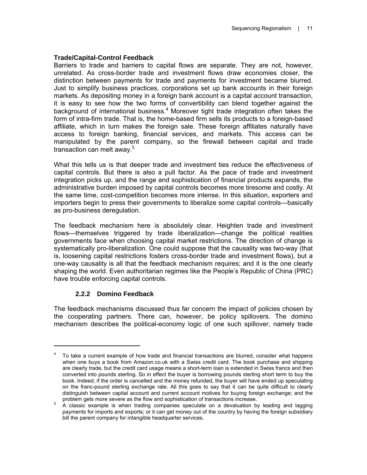#### **Trade/Capital-Control Feedback**

Barriers to trade and barriers to capital flows are separate. They are not, however, unrelated. As cross-border trade and investment flows draw economies closer, the distinction between payments for trade and payments for investment became blurred. Just to simplify business practices, corporations set up bank accounts in their foreign markets. As depositing money in a foreign bank account is a capital account transaction, it is easy to see how the two forms of convertibility can blend together against the background of international business.<sup>4</sup> Moreover tight trade integration often takes the form of intra-firm trade. That is, the home-based firm sells its products to a foreign-based affiliate, which in turn makes the foreign sale. These foreign affiliates naturally have access to foreign banking, financial services, and markets. This access can be manipulated by the parent company, so the firewall between capital and trade transaction can melt away. $5$ 

What this tells us is that deeper trade and investment ties reduce the effectiveness of capital controls. But there is also a pull factor. As the pace of trade and investment integration picks up, and the range and sophistication of financial products expands, the administrative burden imposed by capital controls becomes more tiresome and costly. At the same time, cost-competition becomes more intense. In this situation, exporters and importers begin to press their governments to liberalize some capital controls—basically as pro-business deregulation.

The feedback mechanism here is absolutely clear. Heighten trade and investment flows—themselves triggered by trade liberalization—change the political realities governments face when choosing capital market restrictions. The direction of change is systematically pro-liberalization. One could suppose that the causality was two-way (that is, loosening capital restrictions fosters cross-border trade and investment flows), but a one-way causality is all that the feedback mechanism requires; and it is the one clearly shaping the world. Even authoritarian regimes like the People's Republic of China (PRC) have trouble enforcing capital controls.

#### **2.2.2 Domino Feedback**

 $\overline{a}$ 

The feedback mechanisms discussed thus far concern the impact of policies chosen by the cooperating partners. There can, however, be policy spillovers. The domino mechanism describes the political-economy logic of one such spillover, namely trade

<sup>4</sup> To take a current example of how trade and financial transactions are blurred, consider what happens when one buys a book from Amazon.co.uk with a Swiss credit card. The book purchase and shipping are clearly trade, but the credit card usage means a short-term loan is extended in Swiss francs and then converted into pounds sterling. So in effect the buyer is borrowing pounds sterling short term to buy the book. Indeed, if the order is cancelled and the money refunded, the buyer will have ended up speculating on the franc-pound sterling exchange rate. All this goes to say that it can be quite difficult to clearly distinguish between capital account and current account motives for buying foreign exchange; and the problem gets more severe as the flow and sophistication of transactions increase.

problem gets more severe as the flow and sophistication of transactions increase.<br><sup>5</sup> A classic example is when trading companies speculate on a devaluation by leading and lagging payments for imports and exports; or it can get money out of the country by having the foreign subsidiary bill the parent company for intangible headquarter services.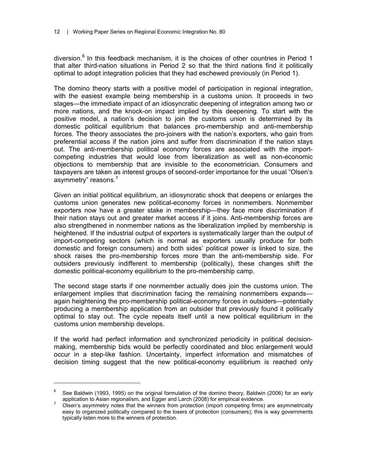diversion.<sup>6</sup> In this feedback mechanism, it is the choices of other countries in Period 1 that alter third-nation situations in Period 2 so that the third nations find it politically optimal to adopt integration policies that they had eschewed previously (in Period 1).

The domino theory starts with a positive model of participation in regional integration, with the easiest example being membership in a customs union. It proceeds in two stages—the immediate impact of an idiosyncratic deepening of integration among two or more nations, and the knock-on impact implied by this deepening. To start with the positive model, a nation's decision to join the customs union is determined by its domestic political equilibrium that balances pro-membership and anti-membership forces. The theory associates the pro-joiners with the nation's exporters, who gain from preferential access if the nation joins and suffer from discrimination if the nation stays out. The anti-membership political economy forces are associated with the importcompeting industries that would lose from liberalization as well as non-economic objections to membership that are invisible to the econometrician. Consumers and taxpayers are taken as interest groups of second-order importance for the usual "Olsen's asymmetry" reasons.<sup>7</sup>

Given an initial political equilibrium, an idiosyncratic shock that deepens or enlarges the customs union generates new political-economy forces in nonmembers. Nonmember exporters now have a greater stake in membership—they face more discrimination if their nation stays out and greater market access if it joins. Anti-membership forces are also strengthened in nonmember nations as the liberalization implied by membership is heightened. If the industrial output of exporters is systematically larger than the output of import-competing sectors (which is normal as exporters usually produce for both domestic and foreign consumers) and both sides' political power is linked to size, the shock raises the pro-membership forces more than the anti-membership side. For outsiders previously indifferent to membership (politically), these changes shift the domestic political-economy equilibrium to the pro-membership camp.

The second stage starts if one nonmember actually does join the customs union. The enlargement implies that discrimination facing the remaining nonmembers expands again heightening the pro-membership political-economy forces in outsiders—potentially producing a membership application from an outsider that previously found it politically optimal to stay out. The cycle repeats itself until a new political equilibrium in the customs union membership develops.

If the world had perfect information and synchronized periodicity in political decisionmaking, membership bids would be perfectly coordinated and bloc enlargement would occur in a step-like fashion. Uncertainty, imperfect information and mismatches of decision timing suggest that the new political-economy equilibrium is reached only

 $\overline{a}$ 

<sup>6</sup> See Baldwin (1993, 1995) on the original formulation of the domino theory, Baldwin (2006) for an early application to Asian regionalism, and Egger and Larch (2008) for empirical evidence.

Olsen's asymmetry notes that the winners from protection (import competing firms) are asymmetrically easy to organized politically compared to the losers of protection (consumers); this is way governments typically listen more to the winners of protection.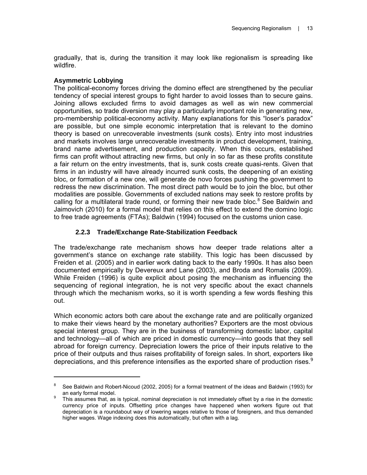gradually, that is, during the transition it may look like regionalism is spreading like wildfire.

#### **Asymmetric Lobbying**

 $\overline{a}$ 

The political-economy forces driving the domino effect are strengthened by the peculiar tendency of special interest groups to fight harder to avoid losses than to secure gains. Joining allows excluded firms to avoid damages as well as win new commercial opportunities, so trade diversion may play a particularly important role in generating new, pro-membership political-economy activity. Many explanations for this "loser's paradox" are possible, but one simple economic interpretation that is relevant to the domino theory is based on unrecoverable investments (sunk costs). Entry into most industries and markets involves large unrecoverable investments in product development, training, brand name advertisement, and production capacity. When this occurs, established firms can profit without attracting new firms, but only in so far as these profits constitute a fair return on the entry investments, that is, sunk costs create quasi-rents. Given that firms in an industry will have already incurred sunk costs, the deepening of an existing bloc, or formation of a new one, will generate de novo forces pushing the government to redress the new discrimination. The most direct path would be to join the bloc, but other modalities are possible. Governments of excluded nations may seek to restore profits by calling for a multilateral trade round, or forming their new trade bloc.<sup>8</sup> See Baldwin and Jaimovich (2010) for a formal model that relies on this effect to extend the domino logic to free trade agreements (FTAs); Baldwin (1994) focused on the customs union case.

#### **2.2.3 Trade/Exchange Rate-Stabilization Feedback**

The trade/exchange rate mechanism shows how deeper trade relations alter a government's stance on exchange rate stability. This logic has been discussed by Freiden et al. (2005) and in earlier work dating back to the early 1990s. It has also been documented empirically by Devereux and Lane (2003), and Broda and Romalis (2009). While Freiden (1996) is quite explicit about posing the mechanism as influencing the sequencing of regional integration, he is not very specific about the exact channels through which the mechanism works, so it is worth spending a few words fleshing this out.

Which economic actors both care about the exchange rate and are politically organized to make their views heard by the monetary authorities? Exporters are the most obvious special interest group. They are in the business of transforming domestic labor, capital and technology—all of which are priced in domestic currency—into goods that they sell abroad for foreign currency. Depreciation lowers the price of their inputs relative to the price of their outputs and thus raises profitability of foreign sales. In short, exporters like depreciations, and this preference intensifies as the exported share of production rises. $9$ 

<sup>8</sup> See Baldwin and Robert-Nicoud (2002, 2005) for a formal treatment of the ideas and Baldwin (1993) for an early formal model.

This assumes that, as is typical, nominal depreciation is not immediately offset by a rise in the domestic currency price of inputs. Offsetting price changes have happened when workers figure out that depreciation is a roundabout way of lowering wages relative to those of foreigners, and thus demanded higher wages. Wage indexing does this automatically, but often with a lag.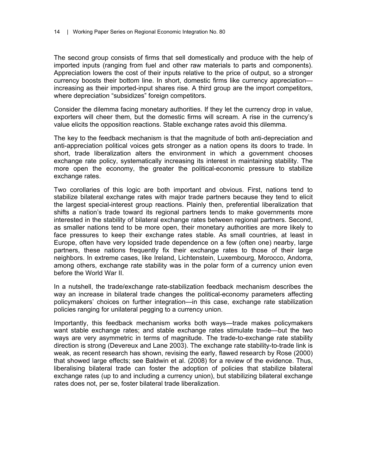The second group consists of firms that sell domestically and produce with the help of imported inputs (ranging from fuel and other raw materials to parts and components). Appreciation lowers the cost of their inputs relative to the price of output, so a stronger currency boosts their bottom line. In short, domestic firms like currency appreciation increasing as their imported-input shares rise. A third group are the import competitors, where depreciation "subsidizes" foreign competitors.

Consider the dilemma facing monetary authorities. If they let the currency drop in value, exporters will cheer them, but the domestic firms will scream. A rise in the currency's value elicits the opposition reactions. Stable exchange rates avoid this dilemma.

The key to the feedback mechanism is that the magnitude of both anti-depreciation and anti-appreciation political voices gets stronger as a nation opens its doors to trade. In short, trade liberalization alters the environment in which a government chooses exchange rate policy, systematically increasing its interest in maintaining stability. The more open the economy, the greater the political-economic pressure to stabilize exchange rates.

Two corollaries of this logic are both important and obvious. First, nations tend to stabilize bilateral exchange rates with major trade partners because they tend to elicit the largest special-interest group reactions. Plainly then, preferential liberalization that shifts a nation's trade toward its regional partners tends to make governments more interested in the stability of bilateral exchange rates between regional partners. Second, as smaller nations tend to be more open, their monetary authorities are more likely to face pressures to keep their exchange rates stable. As small countries, at least in Europe, often have very lopsided trade dependence on a few (often one) nearby, large partners, these nations frequently fix their exchange rates to those of their large neighbors. In extreme cases, like Ireland, Lichtenstein, Luxembourg, Morocco, Andorra, among others, exchange rate stability was in the polar form of a currency union even before the World War II.

In a nutshell, the trade/exchange rate-stabilization feedback mechanism describes the way an increase in bilateral trade changes the political-economy parameters affecting policymakers' choices on further integration—in this case, exchange rate stabilization policies ranging for unilateral pegging to a currency union.

Importantly, this feedback mechanism works both ways—trade makes policymakers want stable exchange rates; and stable exchange rates stimulate trade—but the two ways are very asymmetric in terms of magnitude. The trade-to-exchange rate stability direction is strong (Devereux and Lane 2003). The exchange rate stability-to-trade link is weak, as recent research has shown, revising the early, flawed research by Rose (2000) that showed large effects; see Baldwin et al. (2008) for a review of the evidence. Thus, liberalising bilateral trade can foster the adoption of policies that stabilize bilateral exchange rates (up to and including a currency union), but stabilizing bilateral exchange rates does not, per se, foster bilateral trade liberalization.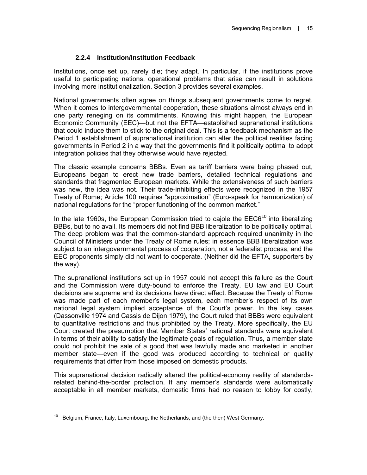#### **2.2.4 Institution/Institution Feedback**

Institutions, once set up, rarely die; they adapt. In particular, if the institutions prove useful to participating nations, operational problems that arise can result in solutions involving more institutionalization. Section 3 provides several examples.

National governments often agree on things subsequent governments come to regret. When it comes to intergovernmental cooperation, these situations almost always end in one party reneging on its commitments. Knowing this might happen, the European Economic Community (EEC)—but not the EFTA—established supranational institutions that could induce them to stick to the original deal. This is a feedback mechanism as the Period 1 establishment of supranational institution can alter the political realities facing governments in Period 2 in a way that the governments find it politically optimal to adopt integration policies that they otherwise would have rejected.

The classic example concerns BBBs. Even as tariff barriers were being phased out, Europeans began to erect new trade barriers, detailed technical regulations and standards that fragmented European markets. While the extensiveness of such barriers was new, the idea was not. Their trade-inhibiting effects were recognized in the 1957 Treaty of Rome; Article 100 requires "approximation" (Euro-speak for harmonization) of national regulations for the "proper functioning of the common market."

In the late 1960s, the European Commission tried to cajole the  $EEC6<sup>10</sup>$  into liberalizing BBBs, but to no avail. Its members did not find BBB liberalization to be politically optimal. The deep problem was that the common-standard approach required unanimity in the Council of Ministers under the Treaty of Rome rules; in essence BBB liberalization was subject to an intergovernmental process of cooperation, not a federalist process, and the EEC proponents simply did not want to cooperate. (Neither did the EFTA, supporters by the way).

The supranational institutions set up in 1957 could not accept this failure as the Court and the Commission were duty-bound to enforce the Treaty. EU law and EU Court decisions are supreme and its decisions have direct effect. Because the Treaty of Rome was made part of each member's legal system, each member's respect of its own national legal system implied acceptance of the Court's power. In the key cases (Dassonville 1974 and Cassis de Dijon 1979), the Court ruled that BBBs were equivalent to quantitative restrictions and thus prohibited by the Treaty. More specifically, the EU Court created the presumption that Member States' national standards were equivalent in terms of their ability to satisfy the legitimate goals of regulation. Thus, a member state could not prohibit the sale of a good that was lawfully made and marketed in another member state—even if the good was produced according to technical or quality requirements that differ from those imposed on domestic products.

This supranational decision radically altered the political-economy reality of standardsrelated behind-the-border protection. If any member's standards were automatically acceptable in all member markets, domestic firms had no reason to lobby for costly,

 $\overline{a}$ 

 $10$  Belgium, France, Italy, Luxembourg, the Netherlands, and (the then) West Germany.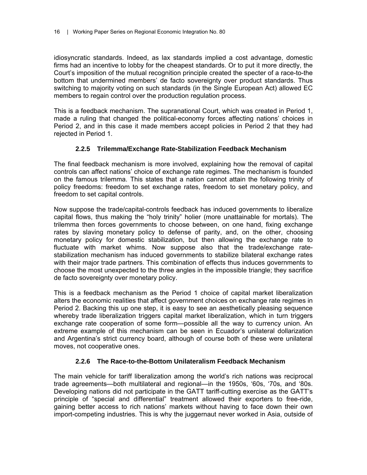idiosyncratic standards. Indeed, as lax standards implied a cost advantage, domestic firms had an incentive to lobby for the cheapest standards. Or to put it more directly, the Court's imposition of the mutual recognition principle created the specter of a race-to-the bottom that undermined members' de facto sovereignty over product standards. Thus switching to majority voting on such standards (in the Single European Act) allowed EC members to regain control over the production regulation process.

This is a feedback mechanism. The supranational Court, which was created in Period 1, made a ruling that changed the political-economy forces affecting nations' choices in Period 2, and in this case it made members accept policies in Period 2 that they had rejected in Period 1.

#### **2.2.5 Trilemma/Exchange Rate-Stabilization Feedback Mechanism**

The final feedback mechanism is more involved, explaining how the removal of capital controls can affect nations' choice of exchange rate regimes. The mechanism is founded on the famous trilemma. This states that a nation cannot attain the following trinity of policy freedoms: freedom to set exchange rates, freedom to set monetary policy, and freedom to set capital controls.

Now suppose the trade/capital-controls feedback has induced governments to liberalize capital flows, thus making the "holy trinity" holier (more unattainable for mortals). The trilemma then forces governments to choose between, on one hand, fixing exchange rates by slaving monetary policy to defense of parity, and, on the other, choosing monetary policy for domestic stabilization, but then allowing the exchange rate to fluctuate with market whims. Now suppose also that the trade/exchange ratestabilization mechanism has induced governments to stabilize bilateral exchange rates with their major trade partners. This combination of effects thus induces governments to choose the most unexpected to the three angles in the impossible triangle; they sacrifice de facto sovereignty over monetary policy.

This is a feedback mechanism as the Period 1 choice of capital market liberalization alters the economic realities that affect government choices on exchange rate regimes in Period 2. Backing this up one step, it is easy to see an aesthetically pleasing sequence whereby trade liberalization triggers capital market liberalization, which in turn triggers exchange rate cooperation of some form—possible all the way to currency union. An extreme example of this mechanism can be seen in Ecuador's unilateral dollarization and Argentina's strict currency board, although of course both of these were unilateral moves, not cooperative ones.

#### **2.2.6 The Race-to-the-Bottom Unilateralism Feedback Mechanism**

The main vehicle for tariff liberalization among the world's rich nations was reciprocal trade agreements—both multilateral and regional—in the 1950s, '60s, '70s, and '80s. Developing nations did not participate in the GATT tariff-cutting exercise as the GATT's principle of "special and differential" treatment allowed their exporters to free-ride, gaining better access to rich nations' markets without having to face down their own import-competing industries. This is why the juggernaut never worked in Asia, outside of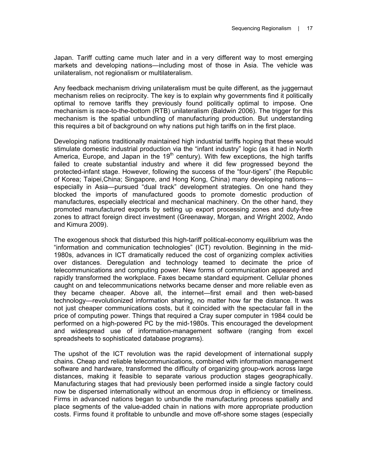Japan. Tariff cutting came much later and in a very different way to most emerging markets and developing nations—including most of those in Asia. The vehicle was unilateralism, not regionalism or multilateralism.

Any feedback mechanism driving unilateralism must be quite different, as the juggernaut mechanism relies on reciprocity. The key is to explain why governments find it politically optimal to remove tariffs they previously found politically optimal to impose. One mechanism is race-to-the-bottom (RTB) unilateralism (Baldwin 2006). The trigger for this mechanism is the spatial unbundling of manufacturing production. But understanding this requires a bit of background on why nations put high tariffs on in the first place.

Developing nations traditionally maintained high industrial tariffs hoping that these would stimulate domestic industrial production via the "infant industry" logic (as it had in North America, Europe, and Japan in the  $19<sup>th</sup>$  century). With few exceptions, the high tariffs failed to create substantial industry and where it did few progressed beyond the protected-infant stage. However, following the success of the "four-tigers" (the Republic of Korea; Taipei,China; Singapore, and Hong Kong, China) many developing nations especially in Asia—pursued "dual track" development strategies. On one hand they blocked the imports of manufactured goods to promote domestic production of manufactures, especially electrical and mechanical machinery. On the other hand, they promoted manufactured exports by setting up export processing zones and duty-free zones to attract foreign direct investment (Greenaway, Morgan, and Wright 2002, Ando and Kimura 2009).

The exogenous shock that disturbed this high-tariff political-economy equilibrium was the "information and communication technologies" (ICT) revolution. Beginning in the mid-1980s, advances in ICT dramatically reduced the cost of organizing complex activities over distances. Deregulation and technology teamed to decimate the price of telecommunications and computing power. New forms of communication appeared and rapidly transformed the workplace. Faxes became standard equipment. Cellular phones caught on and telecommunications networks became denser and more reliable even as they became cheaper. Above all, the internet—first email and then web-based technology—revolutionized information sharing, no matter how far the distance. It was not just cheaper communications costs, but it coincided with the spectacular fall in the price of computing power. Things that required a Cray super computer in 1984 could be performed on a high-powered PC by the mid-1980s. This encouraged the development and widespread use of information-management software (ranging from excel spreadsheets to sophisticated database programs).

The upshot of the ICT revolution was the rapid development of international supply chains. Cheap and reliable telecommunications, combined with information management software and hardware, transformed the difficulty of organizing group-work across large distances, making it feasible to separate various production stages geographically. Manufacturing stages that had previously been performed inside a single factory could now be dispersed internationally without an enormous drop in efficiency or timeliness. Firms in advanced nations began to unbundle the manufacturing process spatially and place segments of the value-added chain in nations with more appropriate production costs. Firms found it profitable to unbundle and move off-shore some stages (especially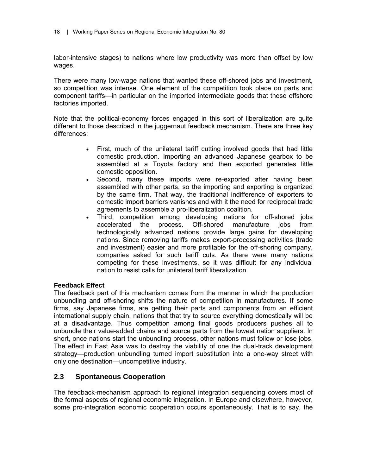labor-intensive stages) to nations where low productivity was more than offset by low wages.

There were many low-wage nations that wanted these off-shored jobs and investment, so competition was intense. One element of the competition took place on parts and component tariffs—in particular on the imported intermediate goods that these offshore factories imported.

Note that the political-economy forces engaged in this sort of liberalization are quite different to those described in the juggernaut feedback mechanism. There are three key differences:

- First, much of the unilateral tariff cutting involved goods that had little domestic production. Importing an advanced Japanese gearbox to be assembled at a Toyota factory and then exported generates little domestic opposition.
- Second, many these imports were re-exported after having been assembled with other parts, so the importing and exporting is organized by the same firm. That way, the traditional indifference of exporters to domestic import barriers vanishes and with it the need for reciprocal trade agreements to assemble a pro-liberalization coalition.
- Third, competition among developing nations for off-shored jobs accelerated the process. Off-shored manufacture jobs from technologically advanced nations provide large gains for developing nations. Since removing tariffs makes export-processing activities (trade and investment) easier and more profitable for the off-shoring company, companies asked for such tariff cuts. As there were many nations competing for these investments, so it was difficult for any individual nation to resist calls for unilateral tariff liberalization.

#### **Feedback Effect**

The feedback part of this mechanism comes from the manner in which the production unbundling and off-shoring shifts the nature of competition in manufactures. If some firms, say Japanese firms, are getting their parts and components from an efficient international supply chain, nations that that try to source everything domestically will be at a disadvantage. Thus competition among final goods producers pushes all to unbundle their value-added chains and source parts from the lowest nation suppliers. In short, once nations start the unbundling process, other nations must follow or lose jobs. The effect in East Asia was to destroy the viability of one the dual-track development strategy—production unbundling turned import substitution into a one-way street with only one destination—uncompetitive industry.

#### **2.3 Spontaneous Cooperation**

The feedback-mechanism approach to regional integration sequencing covers most of the formal aspects of regional economic integration. In Europe and elsewhere, however, some pro-integration economic cooperation occurs spontaneously. That is to say, the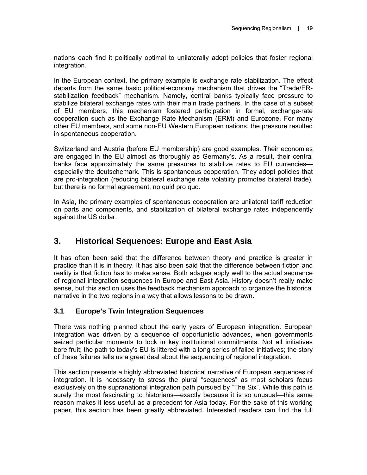nations each find it politically optimal to unilaterally adopt policies that foster regional integration.

In the European context, the primary example is exchange rate stabilization. The effect departs from the same basic political-economy mechanism that drives the "Trade/ERstabilization feedback" mechanism. Namely, central banks typically face pressure to stabilize bilateral exchange rates with their main trade partners. In the case of a subset of EU members, this mechanism fostered participation in formal, exchange-rate cooperation such as the Exchange Rate Mechanism (ERM) and Eurozone. For many other EU members, and some non-EU Western European nations, the pressure resulted in spontaneous cooperation.

Switzerland and Austria (before EU membership) are good examples. Their economies are engaged in the EU almost as thoroughly as Germany's. As a result, their central banks face approximately the same pressures to stabilize rates to EU currencies especially the deutschemark. This is spontaneous cooperation. They adopt policies that are pro-integration (reducing bilateral exchange rate volatility promotes bilateral trade), but there is no formal agreement, no quid pro quo.

In Asia, the primary examples of spontaneous cooperation are unilateral tariff reduction on parts and components, and stabilization of bilateral exchange rates independently against the US dollar.

## **3. Historical Sequences: Europe and East Asia**

It has often been said that the difference between theory and practice is greater in practice than it is in theory. It has also been said that the difference between fiction and reality is that fiction has to make sense. Both adages apply well to the actual sequence of regional integration sequences in Europe and East Asia. History doesn't really make sense, but this section uses the feedback mechanism approach to organize the historical narrative in the two regions in a way that allows lessons to be drawn.

#### **3.1 Europe's Twin Integration Sequences**

There was nothing planned about the early years of European integration. European integration was driven by a sequence of opportunistic advances, when governments seized particular moments to lock in key institutional commitments. Not all initiatives bore fruit; the path to today's EU is littered with a long series of failed initiatives; the story of these failures tells us a great deal about the sequencing of regional integration.

This section presents a highly abbreviated historical narrative of European sequences of integration. It is necessary to stress the plural "sequences" as most scholars focus exclusively on the supranational integration path pursued by "The Six". While this path is surely the most fascinating to historians—exactly because it is so unusual—this same reason makes it less useful as a precedent for Asia today. For the sake of this working paper, this section has been greatly abbreviated. Interested readers can find the full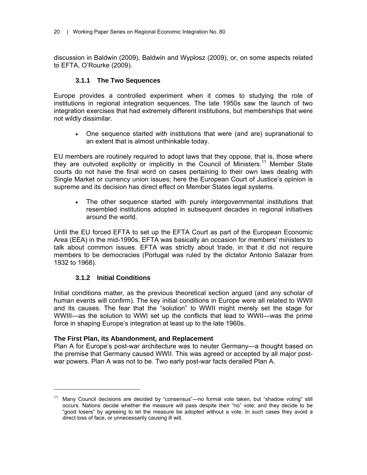discussion in Baldwin (2009), Baldwin and Wyplosz (2009), or, on some aspects related to EFTA, O'Rourke (2009).

#### **3.1.1 The Two Sequences**

Europe provides a controlled experiment when it comes to studying the role of institutions in regional integration sequences. The late 1950s saw the launch of two integration exercises that had extremely different institutions, but memberships that were not wildly dissimilar.

• One sequence started with institutions that were (and are) supranational to an extent that is almost unthinkable today.

EU members are routinely required to adopt laws that they oppose, that is, those where they are outvoted explicitly or implicitly in the Council of Ministers.<sup>11</sup> Member State courts do not have the final word on cases pertaining to their own laws dealing with Single Market or currency union issues; here the European Court of Justice's opinion is supreme and its decision has direct effect on Member States legal systems.

• The other sequence started with purely intergovernmental institutions that resembled institutions adopted in subsequent decades in regional initiatives around the world.

Until the EU forced EFTA to set up the EFTA Court as part of the European Economic Area (EEA) in the mid-1990s, EFTA was basically an occasion for members' ministers to talk about common issues. EFTA was strictly about trade, in that it did not require members to be democracies (Portugal was ruled by the dictator Antonio Salazar from 1932 to 1968).

#### **3.1.2 Initial Conditions**

 $\overline{a}$ 

Initial conditions matter, as the previous theoretical section argued (and any scholar of human events will confirm). The key initial conditions in Europe were all related to WWII and its causes. The fear that the "solution" to WWII might merely set the stage for WWIII—as the solution to WWI set up the conflicts that lead to WWII—was the prime force in shaping Europe's integration at least up to the late 1960s.

#### **The First Plan, its Abandonment, and Replacement**

Plan A for Europe's post-war architecture was to neuter Germany—a thought based on the premise that Germany caused WWII. This was agreed or accepted by all major postwar powers. Plan A was not to be. Two early post-war facts derailed Plan A.

<sup>&</sup>lt;sup>11</sup> Many Council decisions are decided by "consensus"—no formal vote taken, but "shadow voting" still occurs. Nations decide whether the measure will pass despite their "no" vote; and they decide to be "good losers" by agreeing to let the measure be adopted without a vote. In such cases they avoid a direct loss of face, or unnecessarily causing ill will.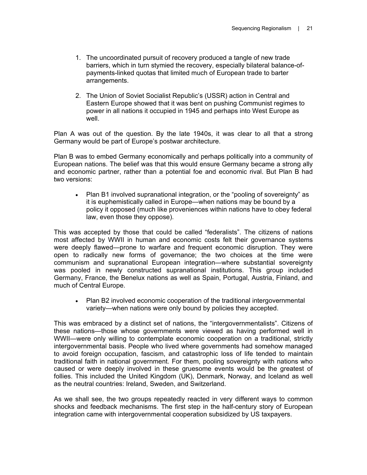- 1. The uncoordinated pursuit of recovery produced a tangle of new trade barriers, which in turn stymied the recovery, especially bilateral balance-ofpayments-linked quotas that limited much of European trade to barter arrangements.
- 2. The Union of Soviet Socialist Republic's (USSR) action in Central and Eastern Europe showed that it was bent on pushing Communist regimes to power in all nations it occupied in 1945 and perhaps into West Europe as well.

Plan A was out of the question. By the late 1940s, it was clear to all that a strong Germany would be part of Europe's postwar architecture.

Plan B was to embed Germany economically and perhaps politically into a community of European nations. The belief was that this would ensure Germany became a strong ally and economic partner, rather than a potential foe and economic rival. But Plan B had two versions:

• Plan B1 involved supranational integration, or the "pooling of sovereignty" as it is euphemistically called in Europe—when nations may be bound by a policy it opposed (much like proveniences within nations have to obey federal law, even those they oppose).

This was accepted by those that could be called "federalists". The citizens of nations most affected by WWII in human and economic costs felt their governance systems were deeply flawed—prone to warfare and frequent economic disruption. They were open to radically new forms of governance; the two choices at the time were communism and supranational European integration—where substantial sovereignty was pooled in newly constructed supranational institutions. This group included Germany, France, the Benelux nations as well as Spain, Portugal, Austria, Finland, and much of Central Europe.

• Plan B2 involved economic cooperation of the traditional intergovernmental variety—when nations were only bound by policies they accepted.

This was embraced by a distinct set of nations, the "intergovernmentalists". Citizens of these nations—those whose governments were viewed as having performed well in WWII—were only willing to contemplate economic cooperation on a traditional, strictly intergovernmental basis. People who lived where governments had somehow managed to avoid foreign occupation, fascism, and catastrophic loss of life tended to maintain traditional faith in national government. For them, pooling sovereignty with nations who caused or were deeply involved in these gruesome events would be the greatest of follies. This included the United Kingdom (UK), Denmark, Norway, and Iceland as well as the neutral countries: Ireland, Sweden, and Switzerland.

As we shall see, the two groups repeatedly reacted in very different ways to common shocks and feedback mechanisms. The first step in the half-century story of European integration came with intergovernmental cooperation subsidized by US taxpayers.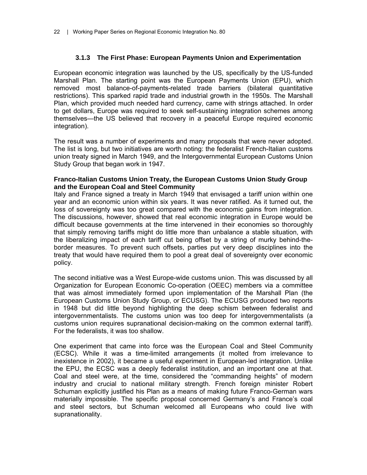#### **3.1.3 The First Phase: European Payments Union and Experimentation**

European economic integration was launched by the US, specifically by the US-funded Marshall Plan. The starting point was the European Payments Union (EPU), which removed most balance-of-payments-related trade barriers (bilateral quantitative restrictions). This sparked rapid trade and industrial growth in the 1950s. The Marshall Plan, which provided much needed hard currency, came with strings attached. In order to get dollars, Europe was required to seek self-sustaining integration schemes among themselves—the US believed that recovery in a peaceful Europe required economic integration).

The result was a number of experiments and many proposals that were never adopted. The list is long, but two initiatives are worth noting: the federalist French-Italian customs union treaty signed in March 1949, and the Intergovernmental European Customs Union Study Group that began work in 1947.

#### **Franco-Italian Customs Union Treaty, the European Customs Union Study Group and the European Coal and Steel Community**

Italy and France signed a treaty in March 1949 that envisaged a tariff union within one year and an economic union within six years. It was never ratified. As it turned out, the loss of sovereignty was too great compared with the economic gains from integration. The discussions, however, showed that real economic integration in Europe would be difficult because governments at the time intervened in their economies so thoroughly that simply removing tariffs might do little more than unbalance a stable situation, with the liberalizing impact of each tariff cut being offset by a string of murky behind-theborder measures. To prevent such offsets, parties put very deep disciplines into the treaty that would have required them to pool a great deal of sovereignty over economic policy.

The second initiative was a West Europe-wide customs union. This was discussed by all Organization for European Economic Co-operation (OEEC) members via a committee that was almost immediately formed upon implementation of the Marshall Plan (the European Customs Union Study Group, or ECUSG). The ECUSG produced two reports in 1948 but did little beyond highlighting the deep schism between federalist and intergovernmentalists. The customs union was too deep for intergovernmentalists (a customs union requires supranational decision-making on the common external tariff). For the federalists, it was too shallow.

One experiment that came into force was the European Coal and Steel Community (ECSC). While it was a time-limited arrangements (it molted from irrelevance to inexistence in 2002), it became a useful experiment in European-led integration. Unlike the EPU, the ECSC was a deeply federalist institution, and an important one at that. Coal and steel were, at the time, considered the "commanding heights" of modern industry and crucial to national military strength. French foreign minister Robert Schuman explicitly justified his Plan as a means of making future Franco-German wars materially impossible. The specific proposal concerned Germany's and France's coal and steel sectors, but Schuman welcomed all Europeans who could live with supranationality.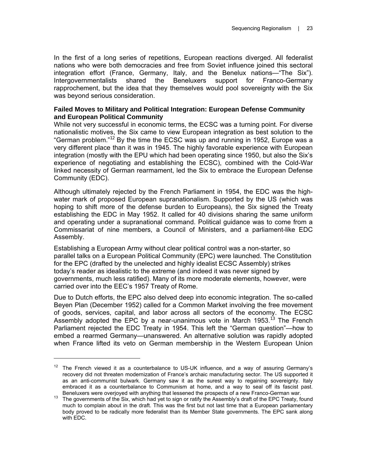In the first of a long series of repetitions, European reactions diverged. All federalist nations who were both democracies and free from Soviet influence joined this sectoral integration effort (France, Germany, Italy, and the Benelux nations—"The Six"). Intergovernmentalists shared the Beneluxers support for Franco-Germany rapprochement, but the idea that they themselves would pool sovereignty with the Six was beyond serious consideration.

#### **Failed Moves to Military and Political Integration: European Defense Community and European Political Community**

While not very successful in economic terms, the ECSC was a turning point. For diverse nationalistic motives, the Six came to view European integration as best solution to the "German problem. $12$  By the time the ECSC was up and running in 1952, Europe was a very different place than it was in 1945. The highly favorable experience with European integration (mostly with the EPU which had been operating since 1950, but also the Six's experience of negotiating and establishing the ECSC), combined with the Cold-War linked necessity of German rearmament, led the Six to embrace the European Defense Community (EDC).

Although ultimately rejected by the French Parliament in 1954, the EDC was the highwater mark of proposed European supranationalism. Supported by the US (which was hoping to shift more of the defense burden to Europeans), the Six signed the Treaty establishing the EDC in May 1952. It called for 40 divisions sharing the same uniform and operating under a supranational command. Political guidance was to come from a Commissariat of nine members, a Council of Ministers, and a parliament-like EDC Assembly.

Establishing a European Army without clear political control was a non-starter, so parallel talks on a European Political Community (EPC) were launched. The Constitution for the EPC (drafted by the unelected and highly idealist ECSC Assembly) strikes today's reader as idealistic to the extreme (and indeed it was never signed by governments, much less ratified). Many of its more moderate elements, however, were carried over into the EEC's 1957 Treaty of Rome.

Due to Dutch efforts, the EPC also delved deep into economic integration. The so-called Beyen Plan (December 1952) called for a Common Market involving the free movement of goods, services, capital, and labor across all sectors of the economy. The ECSC Assembly adopted the EPC by a near-unanimous vote in March 1953.<sup>13</sup> The French Parliament rejected the EDC Treaty in 1954. This left the "German question"—how to embed a rearmed Germany—unanswered. An alternative solution was rapidly adopted when France lifted its veto on German membership in the Western European Union

 $\overline{a}$ 

 $12$  The French viewed it as a counterbalance to US-UK influence, and a way of assuring Germany's recovery did not threaten modernization of France's archaic manufacturing sector. The US supported it as an anti-communist bulwark. Germany saw it as the surest way to regaining sovereignty. Italy embraced it as a counterbalance to Communism at home, and a way to seal off its fascist past.<br>Beneluxers were overjoyed with anything that lessened the prospects of a new Franco-German war.

Beneluxers were every yearned that any thing that leads on ratify the Assembly's draft of the EPC Treaty, found much to complain about in the draft. This was the first but not last time that a European parliamentary body proved to be radically more federalist than its Member State governments. The EPC sank along with EDC.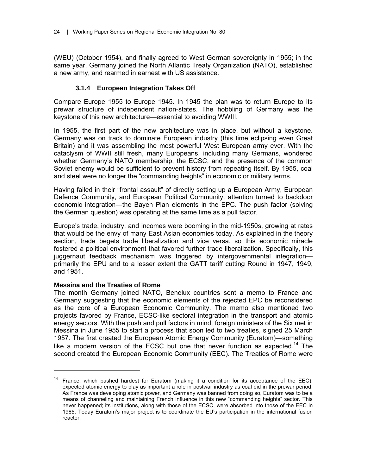(WEU) (October 1954), and finally agreed to West German sovereignty in 1955; in the same year, Germany joined the North Atlantic Treaty Organization (NATO), established a new army, and rearmed in earnest with US assistance.

#### **3.1.4 European Integration Takes Off**

Compare Europe 1955 to Europe 1945. In 1945 the plan was to return Europe to its prewar structure of independent nation-states. The hobbling of Germany was the keystone of this new architecture—essential to avoiding WWIII.

In 1955, the first part of the new architecture was in place, but without a keystone. Germany was on track to dominate European industry (this time eclipsing even Great Britain) and it was assembling the most powerful West European army ever. With the cataclysm of WWII still fresh, many Europeans, including many Germans, wondered whether Germany's NATO membership, the ECSC, and the presence of the common Soviet enemy would be sufficient to prevent history from repeating itself. By 1955, coal and steel were no longer the "commanding heights" in economic or military terms.

Having failed in their "frontal assault" of directly setting up a European Army, European Defence Community, and European Political Community, attention turned to backdoor economic integration—the Bayen Plan elements in the EPC. The push factor (solving the German question) was operating at the same time as a pull factor.

Europe's trade, industry, and incomes were booming in the mid-1950s, growing at rates that would be the envy of many East Asian economies today. As explained in the theory section, trade begets trade liberalization and vice versa, so this economic miracle fostered a political environment that favored further trade liberalization. Specifically, this juggernaut feedback mechanism was triggered by intergovernmental integration primarily the EPU and to a lesser extent the GATT tariff cutting Round in 1947, 1949, and 1951.

#### **Messina and the Treaties of Rome**

 $\overline{a}$ 

The month Germany joined NATO, Benelux countries sent a memo to France and Germany suggesting that the economic elements of the rejected EPC be reconsidered as the core of a European Economic Community. The memo also mentioned two projects favored by France, ECSC-like sectoral integration in the transport and atomic energy sectors. With the push and pull factors in mind, foreign ministers of the Six met in Messina in June 1955 to start a process that soon led to two treaties, signed 25 March 1957. The first created the European Atomic Energy Community (Euratom)—something like a modern version of the ECSC but one that never function as expected.<sup>14</sup> The second created the European Economic Community (EEC). The Treaties of Rome were

 $14$  France, which pushed hardest for Euratom (making it a condition for its acceptance of the EEC), expected atomic energy to play as important a role in postwar industry as coal did in the prewar period. As France was developing atomic power, and Germany was banned from doing so, Euratom was to be a means of channeling and maintaining French influence in this new "commanding heights" sector. This never happened; its institutions, along with those of the ECSC, were absorbed into those of the EEC in 1965. Today Euratom's major project is to coordinate the EU's participation in the international fusion reactor.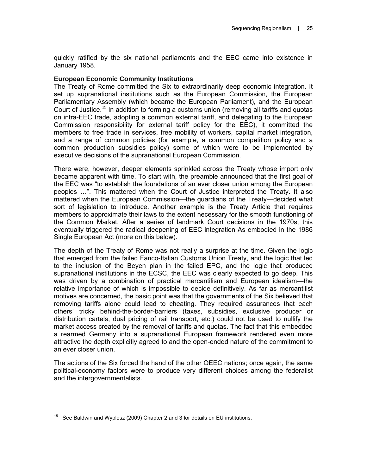quickly ratified by the six national parliaments and the EEC came into existence in January 1958.

#### **European Economic Community Institutions**

The Treaty of Rome committed the Six to extraordinarily deep economic integration. It set up supranational institutions such as the European Commission, the European Parliamentary Assembly (which became the European Parliament), and the European Court of Justice.<sup>15</sup> In addition to forming a customs union (removing all tariffs and quotas on intra-EEC trade, adopting a common external tariff, and delegating to the European Commission responsibility for external tariff policy for the EEC), it committed the members to free trade in services, free mobility of workers, capital market integration, and a range of common policies (for example, a common competition policy and a common production subsidies policy) some of which were to be implemented by executive decisions of the supranational European Commission.

There were, however, deeper elements sprinkled across the Treaty whose import only became apparent with time. To start with, the preamble announced that the first goal of the EEC was "to establish the foundations of an ever closer union among the European peoples …". This mattered when the Court of Justice interpreted the Treaty. It also mattered when the European Commission—the guardians of the Treaty—decided what sort of legislation to introduce. Another example is the Treaty Article that requires members to approximate their laws to the extent necessary for the smooth functioning of the Common Market. After a series of landmark Court decisions in the 1970s, this eventually triggered the radical deepening of EEC integration As embodied in the 1986 Single European Act (more on this below).

The depth of the Treaty of Rome was not really a surprise at the time. Given the logic that emerged from the failed Fanco-Italian Customs Union Treaty, and the logic that led to the inclusion of the Beyen plan in the failed EPC, and the logic that produced supranational institutions in the ECSC, the EEC was clearly expected to go deep. This was driven by a combination of practical mercantilism and European idealism—the relative importance of which is impossible to decide definitively. As far as mercantilist motives are concerned, the basic point was that the governments of the Six believed that removing tariffs alone could lead to cheating. They required assurances that each others' tricky behind-the-border-barriers (taxes, subsidies, exclusive producer or distribution cartels, dual pricing of rail transport, etc.) could not be used to nullify the market access created by the removal of tariffs and quotas. The fact that this embedded a rearmed Germany into a supranational European framework rendered even more attractive the depth explicitly agreed to and the open-ended nature of the commitment to an ever closer union.

The actions of the Six forced the hand of the other OEEC nations; once again, the same political-economy factors were to produce very different choices among the federalist and the intergovernmentalists.

 $\overline{a}$ 

<sup>&</sup>lt;sup>15</sup> See Baldwin and Wyplosz (2009) Chapter 2 and 3 for details on EU institutions.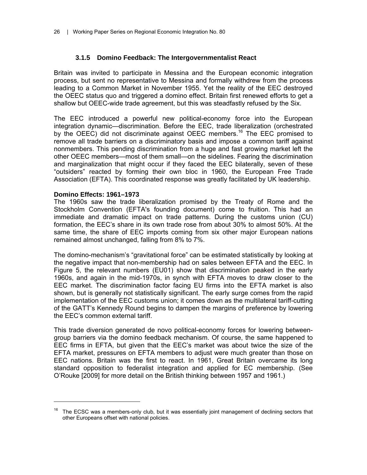#### **3.1.5 Domino Feedback: The Intergovernmentalist React**

Britain was invited to participate in Messina and the European economic integration process, but sent no representative to Messina and formally withdrew from the process leading to a Common Market in November 1955. Yet the reality of the EEC destroyed the OEEC status quo and triggered a domino effect. Britain first renewed efforts to get a shallow but OEEC-wide trade agreement, but this was steadfastly refused by the Six.

The EEC introduced a powerful new political-economy force into the European integration dynamic—discrimination. Before the EEC, trade liberalization (orchestrated by the OEEC) did not discriminate against OEEC members.<sup>16</sup> The EEC promised to remove all trade barriers on a discriminatory basis and impose a common tariff against nonmembers. This pending discrimination from a huge and fast growing market left the other OEEC members—most of them small—on the sidelines. Fearing the discrimination and marginalization that might occur if they faced the EEC bilaterally, seven of these "outsiders" reacted by forming their own bloc in 1960, the European Free Trade Association (EFTA). This coordinated response was greatly facilitated by UK leadership.

#### **Domino Effects: 1961–1973**

 $\overline{a}$ 

The 1960s saw the trade liberalization promised by the Treaty of Rome and the Stockholm Convention (EFTA's founding document) come to fruition. This had an immediate and dramatic impact on trade patterns. During the customs union (CU) formation, the EEC's share in its own trade rose from about 30% to almost 50%. At the same time, the share of EEC imports coming from six other major European nations remained almost unchanged, falling from 8% to 7%.

The domino-mechanism's "gravitational force" can be estimated statistically by looking at the negative impact that non-membership had on sales between EFTA and the EEC. In Figure 5, the relevant numbers (EU01) show that discrimination peaked in the early 1960s, and again in the mid-1970s, in synch with EFTA moves to draw closer to the EEC market. The discrimination factor facing EU firms into the EFTA market is also shown, but is generally not statistically significant. The early surge comes from the rapid implementation of the EEC customs union; it comes down as the multilateral tariff-cutting of the GATT's Kennedy Round begins to dampen the margins of preference by lowering the EEC's common external tariff.

This trade diversion generated de novo political-economy forces for lowering betweengroup barriers via the domino feedback mechanism. Of course, the same happened to EEC firms in EFTA, but given that the EEC's market was about twice the size of the EFTA market, pressures on EFTA members to adjust were much greater than those on EEC nations. Britain was the first to react. In 1961, Great Britain overcame its long standard opposition to federalist integration and applied for EC membership. (See O'Rouke [2009] for more detail on the British thinking between 1957 and 1961.)

 $16$  The ECSC was a members-only club, but it was essentially joint management of declining sectors that other Europeans offset with national policies.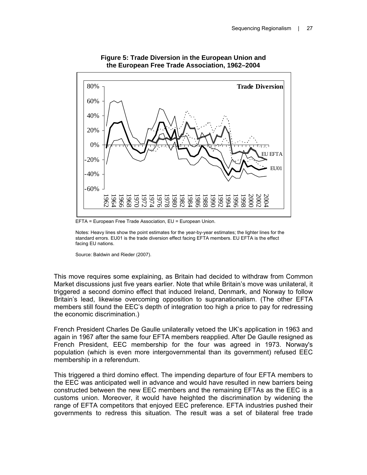

#### **Figure 5: Trade Diversion in the European Union and the European Free Trade Association, 1962–2004**

EFTA = European Free Trade Association, EU = European Union.

Notes: Heavy lines show the point estimates for the year-by-year estimates; the lighter lines for the standard errors. EU01 is the trade diversion effect facing EFTA members. EU EFTA is the effect facing EU nations.

Source: Baldwin and Rieder (2007).

This move requires some explaining, as Britain had decided to withdraw from Common Market discussions just five years earlier. Note that while Britain's move was unilateral, it triggered a second domino effect that induced Ireland, Denmark, and Norway to follow Britain's lead, likewise overcoming opposition to supranationalism. (The other EFTA members still found the EEC's depth of integration too high a price to pay for redressing the economic discrimination.)

French President Charles De Gaulle unilaterally vetoed the UK's application in 1963 and again in 1967 after the same four EFTA members reapplied. After De Gaulle resigned as French President, EEC membership for the four was agreed in 1973. Norway's population (which is even more intergovernmental than its government) refused EEC membership in a referendum.

This triggered a third domino effect. The impending departure of four EFTA members to the EEC was anticipated well in advance and would have resulted in new barriers being constructed between the new EEC members and the remaining EFTAs as the EEC is a customs union. Moreover, it would have heighted the discrimination by widening the range of EFTA competitors that enjoyed EEC preference. EFTA industries pushed their governments to redress this situation. The result was a set of bilateral free trade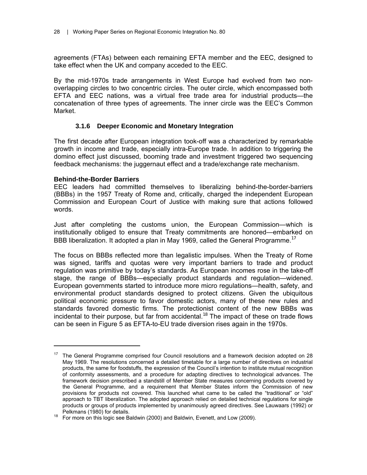agreements (FTAs) between each remaining EFTA member and the EEC, designed to take effect when the UK and company acceded to the EEC.

By the mid-1970s trade arrangements in West Europe had evolved from two nonoverlapping circles to two concentric circles. The outer circle, which encompassed both EFTA and EEC nations, was a virtual free trade area for industrial products—the concatenation of three types of agreements. The inner circle was the EEC's Common Market.

#### **3.1.6 Deeper Economic and Monetary Integration**

The first decade after European integration took-off was a characterized by remarkable growth in income and trade, especially intra-Europe trade. In addition to triggering the domino effect just discussed, booming trade and investment triggered two sequencing feedback mechanisms: the juggernaut effect and a trade/exchange rate mechanism.

#### **Behind-the-Border Barriers**

 $\overline{a}$ 

EEC leaders had committed themselves to liberalizing behind-the-border-barriers (BBBs) in the 1957 Treaty of Rome and, critically, charged the independent European Commission and European Court of Justice with making sure that actions followed words.

Just after completing the customs union, the European Commission—which is institutionally obliged to ensure that Treaty commitments are honored—embarked on BBB liberalization. It adopted a plan in May 1969, called the General Programme.<sup>17</sup>

The focus on BBBs reflected more than legalistic impulses. When the Treaty of Rome was signed, tariffs and quotas were very important barriers to trade and product regulation was primitive by today's standards. As European incomes rose in the take-off stage, the range of BBBs—especially product standards and regulation—widened. European governments started to introduce more micro regulations—health, safety, and environmental product standards designed to protect citizens. Given the ubiquitous political economic pressure to favor domestic actors, many of these new rules and standards favored domestic firms. The protectionist content of the new BBBs was incidental to their purpose, but far from accidental.<sup>18</sup> The impact of these on trade flows can be seen in Figure 5 as EFTA-to-EU trade diversion rises again in the 1970s.

<sup>&</sup>lt;sup>17</sup> The General Programme comprised four Council resolutions and a framework decision adopted on 28 May 1969. The resolutions concerned a detailed timetable for a large number of directives on industrial products, the same for foodstuffs, the expression of the Council's intention to institute mutual recognition of conformity assessments, and a procedure for adapting directives to technological advances. The framework decision prescribed a standstill of Member State measures concerning products covered by the General Programme, and a requirement that Member States inform the Commission of new provisions for products not covered. This launched what came to be called the "traditional" or "old" approach to TBT liberalization. The adopted approach relied on detailed technical regulations for single products or groups of products implemented by unanimously agreed directives. See Lauwaars (1992) or

Pelkmans (1980) for details. 18 For more on this logic see Baldwin (2000) and Baldwin, Evenett, and Low (2009).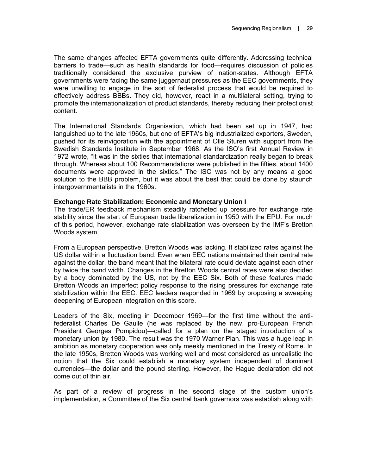The same changes affected EFTA governments quite differently. Addressing technical barriers to trade—such as health standards for food—requires discussion of policies traditionally considered the exclusive purview of nation-states. Although EFTA governments were facing the same juggernaut pressures as the EEC governments, they were unwilling to engage in the sort of federalist process that would be required to effectively address BBBs. They did, however, react in a multilateral setting, trying to promote the internationalization of product standards, thereby reducing their protectionist content.

The International Standards Organisation, which had been set up in 1947, had languished up to the late 1960s, but one of EFTA's big industrialized exporters, Sweden, pushed for its reinvigoration with the appointment of Olle Sturen with support from the Swedish Standards Institute in September 1968. As the ISO's first Annual Review in 1972 wrote, "it was in the sixties that international standardization really began to break through. Whereas about 100 Recommendations were published in the fifties, about 1400 documents were approved in the sixties." The ISO was not by any means a good solution to the BBB problem, but it was about the best that could be done by staunch intergovernmentalists in the 1960s.

## **Exchange Rate Stabilization: Economic and Monetary Union I**

The trade/ER feedback mechanism steadily ratcheted up pressure for exchange rate stability since the start of European trade liberalization in 1950 with the EPU. For much of this period, however, exchange rate stabilization was overseen by the IMF's Bretton Woods system.

From a European perspective, Bretton Woods was lacking. It stabilized rates against the US dollar within a fluctuation band. Even when EEC nations maintained their central rate against the dollar, the band meant that the bilateral rate could deviate against each other by twice the band width. Changes in the Bretton Woods central rates were also decided by a body dominated by the US, not by the EEC Six. Both of these features made Bretton Woods an imperfect policy response to the rising pressures for exchange rate stabilization within the EEC. EEC leaders responded in 1969 by proposing a sweeping deepening of European integration on this score.

Leaders of the Six, meeting in December 1969—for the first time without the antifederalist Charles De Gaulle (he was replaced by the new, pro-European French President Georges Pompidou)—called for a plan on the staged introduction of a monetary union by 1980. The result was the 1970 Warner Plan. This was a huge leap in ambition as monetary cooperation was only meekly mentioned in the Treaty of Rome. In the late 1950s, Bretton Woods was working well and most considered as unrealistic the notion that the Six could establish a monetary system independent of dominant currencies—the dollar and the pound sterling. However, the Hague declaration did not come out of thin air.

As part of a review of progress in the second stage of the custom union's implementation, a Committee of the Six central bank governors was establish along with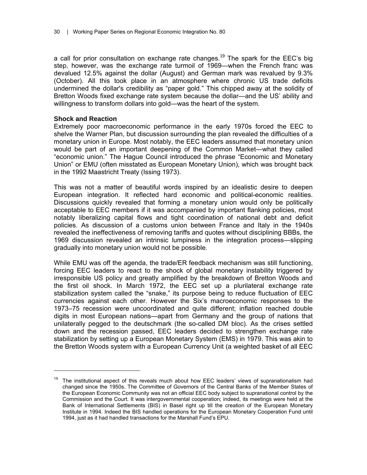a call for prior consultation on exchange rate changes.<sup>19</sup> The spark for the EEC's big step, however, was the exchange rate turmoil of 1969—when the French franc was devalued 12.5% against the dollar (August) and German mark was revalued by 9.3% (October). All this took place in an atmosphere where chronic US trade deficits undermined the dollar's credibility as "paper gold." This chipped away at the solidity of Bretton Woods fixed exchange rate system because the dollar—and the US' ability and willingness to transform dollars into gold—was the heart of the system.

## **Shock and Reaction**

 $\overline{a}$ 

Extremely poor macroeconomic performance in the early 1970s forced the EEC to shelve the Warner Plan, but discussion surrounding the plan revealed the difficulties of a monetary union in Europe. Most notably, the EEC leaders assumed that monetary union would be part of an important deepening of the Common Market—what they called "economic union." The Hague Council introduced the phrase "Economic and Monetary Union" or EMU (often misstated as European Monetary Union), which was brought back in the 1992 Maastricht Treaty (Issing 1973).

This was not a matter of beautiful words inspired by an idealistic desire to deepen European integration. It reflected hard economic and political-economic realities. Discussions quickly revealed that forming a monetary union would only be politically acceptable to EEC members if it was accompanied by important flanking policies, most notably liberalizing capital flows and tight coordination of national debt and deficit policies. As discussion of a customs union between France and Italy in the 1940s revealed the ineffectiveness of removing tariffs and quotes without disciplining BBBs, the 1969 discussion revealed an intrinsic lumpiness in the integration process—slipping gradually into monetary union would not be possible.

While EMU was off the agenda, the trade/ER feedback mechanism was still functioning, forcing EEC leaders to react to the shock of global monetary instability triggered by irresponsible US policy and greatly amplified by the breakdown of Bretton Woods and the first oil shock. In March 1972, the EEC set up a plurilateral exchange rate stabilization system called the "snake," its purpose being to reduce fluctuation of EEC currencies against each other. However the Six's macroeconomic responses to the 1973–75 recession were uncoordinated and quite different; inflation reached double digits in most European nations—apart from Germany and the group of nations that unilaterally pegged to the deutschmark (the so-called DM bloc). As the crises settled down and the recession passed, EEC leaders decided to strengthen exchange rate stabilization by setting up a European Monetary System (EMS) in 1979. This was akin to the Bretton Woods system with a European Currency Unit (a weighted basket of all EEC

 $19$  The institutional aspect of this reveals much about how EEC leaders' views of supranationalism had changed since the 1950s. The Committee of Governors of the Central Banks of the Member States of the European Economic Community was not an official EEC body subject to supranational control by the Commission and the Court. It was intergovernmental cooperation; indeed, its meetings were held at the Bank of International Settlements (BIS) in Basel right up till the creation of the European Monetary Institute in 1994. Indeed the BIS handled operations for the European Monetary Cooperation Fund until 1994, just as it had handled transactions for the Marshall Fund's EPU.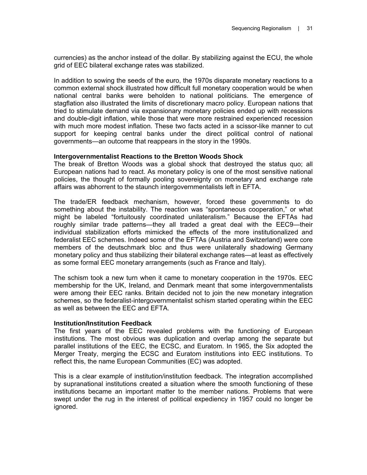currencies) as the anchor instead of the dollar. By stabilizing against the ECU, the whole grid of EEC bilateral exchange rates was stabilized.

In addition to sowing the seeds of the euro, the 1970s disparate monetary reactions to a common external shock illustrated how difficult full monetary cooperation would be when national central banks were beholden to national politicians. The emergence of stagflation also illustrated the limits of discretionary macro policy. European nations that tried to stimulate demand via expansionary monetary policies ended up with recessions and double-digit inflation, while those that were more restrained experienced recession with much more modest inflation. These two facts acted in a scissor-like manner to cut support for keeping central banks under the direct political control of national governments—an outcome that reappears in the story in the 1990s.

## **Intergovernmentalist Reactions to the Bretton Woods Shock**

The break of Bretton Woods was a global shock that destroyed the status quo; all European nations had to react. As monetary policy is one of the most sensitive national policies, the thought of formally pooling sovereignty on monetary and exchange rate affairs was abhorrent to the staunch intergovernmentalists left in EFTA.

The trade/ER feedback mechanism, however, forced these governments to do something about the instability. The reaction was "spontaneous cooperation," or what might be labeled "fortuitously coordinated unilateralism." Because the EFTAs had roughly similar trade patterns—they all traded a great deal with the EEC9—their individual stabilization efforts mimicked the effects of the more institutionalized and federalist EEC schemes. Indeed some of the EFTAs (Austria and Switzerland) were core members of the deutschmark bloc and thus were unilaterally shadowing Germany monetary policy and thus stabilizing their bilateral exchange rates—at least as effectively as some formal EEC monetary arrangements (such as France and Italy).

The schism took a new turn when it came to monetary cooperation in the 1970s. EEC membership for the UK, Ireland, and Denmark meant that some intergovernmentalists were among their EEC ranks. Britain decided not to join the new monetary integration schemes, so the federalist-intergovernmentalist schism started operating within the EEC as well as between the EEC and EFTA.

## **Institution/Institution Feedback**

The first years of the EEC revealed problems with the functioning of European institutions. The most obvious was duplication and overlap among the separate but parallel institutions of the EEC, the ECSC, and Euratom. In 1965, the Six adopted the Merger Treaty, merging the ECSC and Euratom institutions into EEC institutions. To reflect this, the name European Communities (EC) was adopted.

This is a clear example of institution/institution feedback. The integration accomplished by supranational institutions created a situation where the smooth functioning of these institutions became an important matter to the member nations. Problems that were swept under the rug in the interest of political expediency in 1957 could no longer be ignored.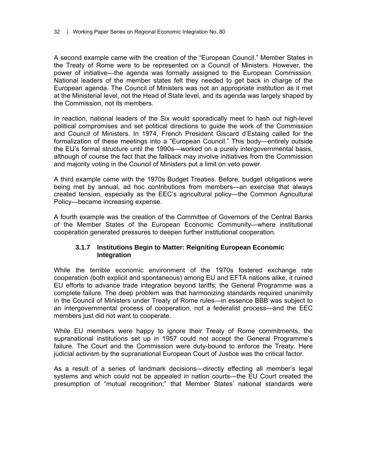A second example came with the creation of the "European Council." Member States in the Treaty of Rome were to be represented on a Council of Ministers. However, the power of initiative—the agenda was formally assigned to the European Commission. National leaders of the member states felt they needed to get back in charge of the European agenda. The Council of Ministers was not an appropriate institution as it met at the Ministerial level, not the Head of State level, and its agenda was largely shaped by the Commission, not its members.

In reaction, national leaders of the Six would sporadically meet to hash out high-level political compromises and set political directions to guide the work of the Commission and Council of Ministers. In 1974, French President Giscard d'Estaing called for the formalization of these meetings into a "European Council." This body—entirely outside the EU's formal structure until the 1990s—worked on a purely intergovernmental basis, although of course the fact that the fallback may involve initiatives from the Commission and majority voting in the Council of Ministers put a limit on veto power.

A third example came with the 1970s Budget Treaties. Before, budget obligations were being met by annual, ad hoc contributions from members—an exercise that always created tension, especially as the EEC's agricultural policy—the Common Agricultural Policy—became increasing expense.

A fourth example was the creation of the Committee of Governors of the Central Banks of the Member States of the European Economic Community—where institutional cooperation generated pressures to deepen further institutional cooperation.

## **3.1.7 Institutions Begin to Matter: Reigniting European Economic Integration**

While the terrible economic environment of the 1970s fostered exchange rate cooperation (both explicit and spontaneous) among EU and EFTA nations alike, it ruined EU efforts to advance trade integration beyond tariffs; the General Programme was a complete failure. The deep problem was that harmonizing standards required unanimity in the Council of Ministers under Treaty of Rome rules—in essence BBB was subject to an intergovernmental process of cooperation, not a federalist process—and the EEC members just did not want to cooperate.

While EU members were happy to ignore their Treaty of Rome commitments, the supranational institutions set up in 1957 could not accept the General Programme's failure. The Court and the Commission were duty-bound to enforce the Treaty. Here judicial activism by the supranational European Court of Justice was the critical factor.

As a result of a series of landmark decisions—directly effecting all member's legal systems and which could not be appealed in nation courts—the EU Court created the presumption of "mutual recognition;" that Member States' national standards were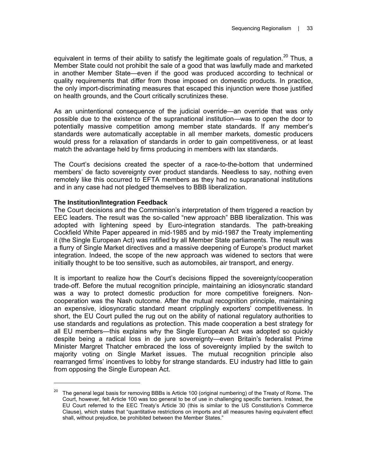equivalent in terms of their ability to satisfy the legitimate goals of regulation.<sup>20</sup> Thus, a Member State could not prohibit the sale of a good that was lawfully made and marketed in another Member State—even if the good was produced according to technical or quality requirements that differ from those imposed on domestic products. In practice, the only import-discriminating measures that escaped this injunction were those justified on health grounds, and the Court critically scrutinizes these.

As an unintentional consequence of the judicial override—an override that was only possible due to the existence of the supranational institution—was to open the door to potentially massive competition among member state standards. If any member's standards were automatically acceptable in all member markets, domestic producers would press for a relaxation of standards in order to gain competitiveness, or at least match the advantage held by firms producing in members with lax standards.

The Court's decisions created the specter of a race-to-the-bottom that undermined members' de facto sovereignty over product standards. Needless to say, nothing even remotely like this occurred to EFTA members as they had no supranational institutions and in any case had not pledged themselves to BBB liberalization.

## **The Institution/Integration Feedback**

 $\overline{a}$ 

The Court decisions and the Commission's interpretation of them triggered a reaction by EEC leaders. The result was the so-called "new approach" BBB liberalization. This was adopted with lightening speed by Euro-integration standards. The path-breaking Cockfield White Paper appeared in mid-1985 and by mid-1987 the Treaty implementing it (the Single European Act) was ratified by all Member State parliaments. The result was a flurry of Single Market directives and a massive deepening of Europe's product market integration. Indeed, the scope of the new approach was widened to sectors that were initially thought to be too sensitive, such as automobiles, air transport, and energy.

It is important to realize how the Court's decisions flipped the sovereignty/cooperation trade-off. Before the mutual recognition principle, maintaining an idiosyncratic standard was a way to protect domestic production for more competitive foreigners. Noncooperation was the Nash outcome. After the mutual recognition principle, maintaining an expensive, idiosyncratic standard meant cripplingly exporters' competitiveness. In short, the EU Court pulled the rug out on the ability of national regulatory authorities to use standards and regulations as protection. This made cooperation a best strategy for all EU members—this explains why the Single European Act was adopted so quickly despite being a radical loss in de jure sovereignty—even Britain's federalist Prime Minister Margret Thatcher embraced the loss of sovereignty implied by the switch to majority voting on Single Market issues. The mutual recognition principle also rearranged firms' incentives to lobby for strange standards. EU industry had little to gain from opposing the Single European Act.

<sup>&</sup>lt;sup>20</sup> The general legal basis for removing BBBs is Article 100 (original numbering) of the Treaty of Rome. The Court, however, felt Article 100 was too general to be of use in challenging specific barriers. Instead, the EU Court referred to the EEC Treaty's Article 30 (this is similar to the US Constitution's Commerce Clause), which states that "quantitative restrictions on imports and all measures having equivalent effect shall, without prejudice, be prohibited between the Member States."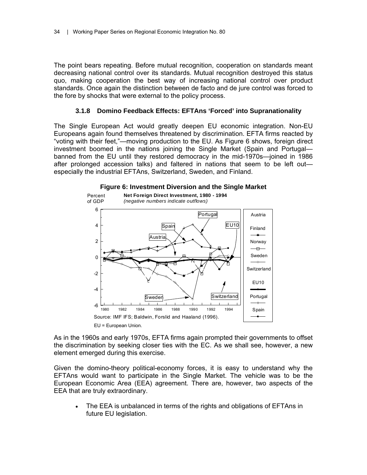The point bears repeating. Before mutual recognition, cooperation on standards meant decreasing national control over its standards. Mutual recognition destroyed this status quo, making cooperation the best way of increasing national control over product standards. Once again the distinction between de facto and de jure control was forced to the fore by shocks that were external to the policy process.

## **3.1.8 Domino Feedback Effects: EFTAns 'Forced' into Supranationality**

The Single European Act would greatly deepen EU economic integration. Non-EU Europeans again found themselves threatened by discrimination. EFTA firms reacted by "voting with their feet,"—moving production to the EU. As Figure 6 shows, foreign direct investment boomed in the nations joining the Single Market (Spain and Portugal banned from the EU until they restored democracy in the mid-1970s—joined in 1986 after prolonged accession talks) and faltered in nations that seem to be left out especially the industrial EFTAns, Switzerland, Sweden, and Finland.



## **Figure 6: Investment Diversion and the Single Market**

As in the 1960s and early 1970s, EFTA firms again prompted their governments to offset the discrimination by seeking closer ties with the EC. As we shall see, however, a new element emerged during this exercise.

Given the domino-theory political-economy forces, it is easy to understand why the EFTAns would want to participate in the Single Market. The vehicle was to be the European Economic Area (EEA) agreement. There are, however, two aspects of the EEA that are truly extraordinary.

The EEA is unbalanced in terms of the rights and obligations of EFTAns in future EU legislation.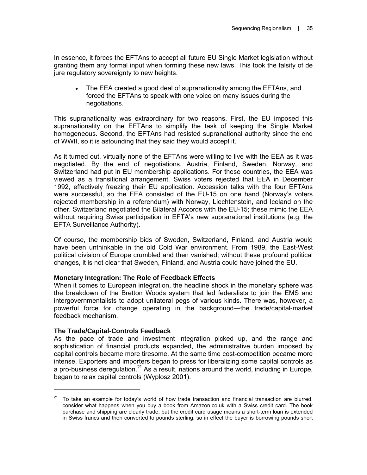In essence, it forces the EFTAns to accept all future EU Single Market legislation without granting them any formal input when forming these new laws. This took the falsity of de jure regulatory sovereignty to new heights.

• The EEA created a good deal of supranationality among the EFTAns, and forced the EFTAns to speak with one voice on many issues during the negotiations.

This supranationality was extraordinary for two reasons. First, the EU imposed this supranationality on the EFTAns to simplify the task of keeping the Single Market homogeneous. Second, the EFTAns had resisted supranational authority since the end of WWII, so it is astounding that they said they would accept it.

As it turned out, virtually none of the EFTAns were willing to live with the EEA as it was negotiated. By the end of negotiations, Austria, Finland, Sweden, Norway, and Switzerland had put in EU membership applications. For these countries, the EEA was viewed as a transitional arrangement. Swiss voters rejected that EEA in December 1992, effectively freezing their EU application. Accession talks with the four EFTAns were successful, so the EEA consisted of the EU-15 on one hand (Norway's voters rejected membership in a referendum) with Norway, Liechtenstein, and Iceland on the other. Switzerland negotiated the Bilateral Accords with the EU-15; these mimic the EEA without requiring Swiss participation in EFTA's new supranational institutions (e.g. the EFTA Surveillance Authority).

Of course, the membership bids of Sweden, Switzerland, Finland, and Austria would have been unthinkable in the old Cold War environment. From 1989, the East-West political division of Europe crumbled and then vanished; without these profound political changes, it is not clear that Sweden, Finland, and Austria could have joined the EU.

## **Monetary Integration: The Role of Feedback Effects**

When it comes to European integration, the headline shock in the monetary sphere was the breakdown of the Bretton Woods system that led federalists to join the EMS and intergovernmentalists to adopt unilateral pegs of various kinds. There was, however, a powerful force for change operating in the background—the trade/capital-market feedback mechanism.

## **The Trade/Capital-Controls Feedback**

 $\overline{a}$ 

As the pace of trade and investment integration picked up, and the range and sophistication of financial products expanded, the administrative burden imposed by capital controls became more tiresome. At the same time cost-competition became more intense. Exporters and importers began to press for liberalizing some capital controls as a pro-business deregulation.<sup>21</sup> As a result, nations around the world, including in Europe, began to relax capital controls (Wyplosz 2001).

 $21$  To take an example for today's world of how trade transaction and financial transaction are blurred, consider what happens when you buy a book from Amazon.co.uk with a Swiss credit card. The book purchase and shipping are clearly trade, but the credit card usage means a short-term loan is extended in Swiss francs and then converted to pounds sterling, so in effect the buyer is borrowing pounds short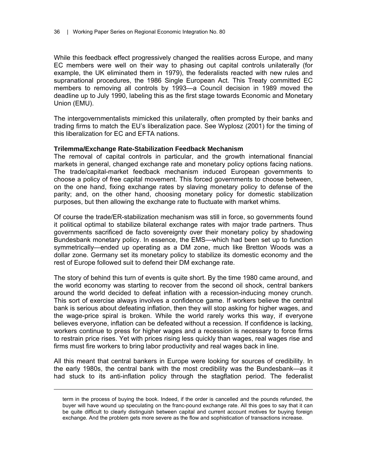While this feedback effect progressively changed the realities across Europe, and many EC members were well on their way to phasing out capital controls unilaterally (for example, the UK eliminated them in 1979), the federalists reacted with new rules and supranational procedures, the 1986 Single European Act. This Treaty committed EC members to removing all controls by 1993—a Council decision in 1989 moved the deadline up to July 1990, labeling this as the first stage towards Economic and Monetary Union (EMU).

The intergovernmentalists mimicked this unilaterally, often prompted by their banks and trading firms to match the EU's liberalization pace. See Wyplosz (2001) for the timing of this liberalization for EC and EFTA nations.

#### **Trilemma/Exchange Rate-Stabilization Feedback Mechanism**

The removal of capital controls in particular, and the growth international financial markets in general, changed exchange rate and monetary policy options facing nations. The trade/capital-market feedback mechanism induced European governments to choose a policy of free capital movement. This forced governments to choose between, on the one hand, fixing exchange rates by slaving monetary policy to defense of the parity; and, on the other hand, choosing monetary policy for domestic stabilization purposes, but then allowing the exchange rate to fluctuate with market whims.

Of course the trade/ER-stabilization mechanism was still in force, so governments found it political optimal to stabilize bilateral exchange rates with major trade partners. Thus governments sacrificed de facto sovereignty over their monetary policy by shadowing Bundesbank monetary policy. In essence, the EMS—which had been set up to function symmetrically—ended up operating as a DM zone, much like Bretton Woods was a dollar zone. Germany set its monetary policy to stabilize its domestic economy and the rest of Europe followed suit to defend their DM exchange rate.

The story of behind this turn of events is quite short. By the time 1980 came around, and the world economy was starting to recover from the second oil shock, central bankers around the world decided to defeat inflation with a recession-inducing money crunch. This sort of exercise always involves a confidence game. If workers believe the central bank is serious about defeating inflation, then they will stop asking for higher wages, and the wage-price spiral is broken. While the world rarely works this way, if everyone believes everyone, inflation can be defeated without a recession. If confidence is lacking, workers continue to press for higher wages and a recession is necessary to force firms to restrain price rises. Yet with prices rising less quickly than wages, real wages rise and firms must fire workers to bring labor productivity and real wages back in line.

All this meant that central bankers in Europe were looking for sources of credibility. In the early 1980s, the central bank with the most credibility was the Bundesbank—as it had stuck to its anti-inflation policy through the stagflation period. The federalist

 $\overline{a}$ 

term in the process of buying the book. Indeed, if the order is cancelled and the pounds refunded, the buyer will have wound up speculating on the franc-pound exchange rate. All this goes to say that it can be quite difficult to clearly distinguish between capital and current account motives for buying foreign exchange. And the problem gets more severe as the flow and sophistication of transactions increase.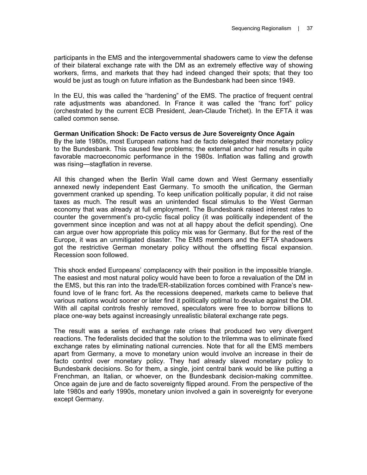participants in the EMS and the intergovernmental shadowers came to view the defense of their bilateral exchange rate with the DM as an extremely effective way of showing workers, firms, and markets that they had indeed changed their spots; that they too would be just as tough on future inflation as the Bundesbank had been since 1949.

In the EU, this was called the "hardening" of the EMS. The practice of frequent central rate adjustments was abandoned. In France it was called the "franc fort" policy (orchestrated by the current ECB President, Jean-Claude Trichet). In the EFTA it was called common sense.

## **German Unification Shock: De Facto versus de Jure Sovereignty Once Again**

By the late 1980s, most European nations had de facto delegated their monetary policy to the Bundesbank. This caused few problems; the external anchor had results in quite favorable macroeconomic performance in the 1980s. Inflation was falling and growth was rising—stagflation in reverse.

All this changed when the Berlin Wall came down and West Germany essentially annexed newly independent East Germany. To smooth the unification, the German government cranked up spending. To keep unification politically popular, it did not raise taxes as much. The result was an unintended fiscal stimulus to the West German economy that was already at full employment. The Bundesbank raised interest rates to counter the government's pro-cyclic fiscal policy (it was politically independent of the government since inception and was not at all happy about the deficit spending). One can argue over how appropriate this policy mix was for Germany. But for the rest of the Europe, it was an unmitigated disaster. The EMS members and the EFTA shadowers got the restrictive German monetary policy without the offsetting fiscal expansion. Recession soon followed.

This shock ended Europeans' complacency with their position in the impossible triangle. The easiest and most natural policy would have been to force a revaluation of the DM in the EMS, but this ran into the trade/ER-stabilization forces combined with France's newfound love of le franc fort. As the recessions deepened, markets came to believe that various nations would sooner or later find it politically optimal to devalue against the DM. With all capital controls freshly removed, speculators were free to borrow billions to place one-way bets against increasingly unrealistic bilateral exchange rate pegs.

The result was a series of exchange rate crises that produced two very divergent reactions. The federalists decided that the solution to the trilemma was to eliminate fixed exchange rates by eliminating national currencies. Note that for all the EMS members apart from Germany, a move to monetary union would involve an increase in their de facto control over monetary policy. They had already slaved monetary policy to Bundesbank decisions. So for them, a single, joint central bank would be like putting a Frenchman, an Italian, or whoever, on the Bundesbank decision-making committee. Once again de jure and de facto sovereignty flipped around. From the perspective of the late 1980s and early 1990s, monetary union involved a gain in sovereignty for everyone except Germany.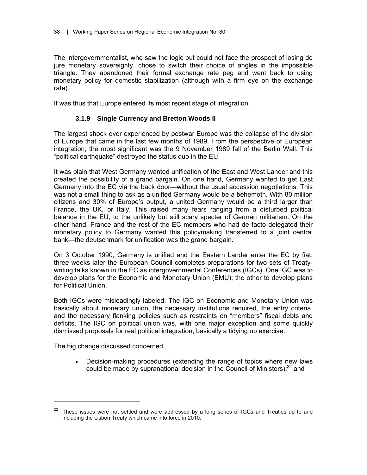The intergovernmentalist, who saw the logic but could not face the prospect of losing de jure monetary sovereignty, chose to switch their choice of angles in the impossible triangle. They abandoned their formal exchange rate peg and went back to using monetary policy for domestic stabilization (although with a firm eye on the exchange rate).

It was thus that Europe entered its most recent stage of integration.

## **3.1.9 Single Currency and Bretton Woods II**

The largest shock ever experienced by postwar Europe was the collapse of the division of Europe that came in the last few months of 1989. From the perspective of European integration, the most significant was the 9 November 1989 fall of the Berlin Wall. This "political earthquake" destroyed the status quo in the EU.

It was plain that West Germany wanted unification of the East and West Lander and this created the possibility of a grand bargain. On one hand, Germany wanted to get East Germany into the EC via the back door—without the usual accession negotiations. This was not a small thing to ask as a unified Germany would be a behemoth. With 80 million citizens and 30% of Europe's output, a united Germany would be a third larger than France, the UK, or Italy. This raised many fears ranging from a disturbed political balance in the EU, to the unlikely but still scary specter of German militarism. On the other hand, France and the rest of the EC members who had de facto delegated their monetary policy to Germany wanted this policymaking transferred to a joint central bank—the deutschmark for unification was the grand bargain.

On 3 October 1990, Germany is unified and the Eastern Lander enter the EC by fiat; three weeks later the European Council completes preparations for two sets of Treatywriting talks known in the EC as intergovernmental Conferences (IGCs). One IGC was to develop plans for the Economic and Monetary Union (EMU); the other to develop plans for Political Union.

Both IGCs were misleadingly labeled. The IGC on Economic and Monetary Union was basically about monetary union, the necessary institutions required, the entry criteria, and the necessary flanking policies such as restraints on "members" fiscal debts and deficits. The IGC on political union was, with one major exception and some quickly dismissed proposals for real political integration, basically a tidying up exercise.

The big change discussed concerned

 $\overline{a}$ 

• Decision-making procedures (extending the range of topics where new laws could be made by supranational decision in the Council of Ministers); $^{22}$  and

<sup>&</sup>lt;sup>22</sup> These issues were not settled and were addressed by a long series of IGCs and Treaties up to and including the Lisbon Treaty which came into force in 2010.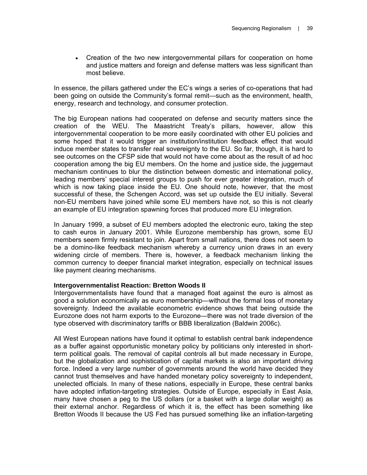• Creation of the two new intergovernmental pillars for cooperation on home and justice matters and foreign and defense matters was less significant than most believe.

In essence, the pillars gathered under the EC's wings a series of co-operations that had been going on outside the Community's formal remit—such as the environment, health, energy, research and technology, and consumer protection.

The big European nations had cooperated on defense and security matters since the creation of the WEU. The Maastricht Treaty's pillars, however, allow this intergovernmental cooperation to be more easily coordinated with other EU policies and some hoped that it would trigger an institution/institution feedback effect that would induce member states to transfer real sovereignty to the EU. So far, though, it is hard to see outcomes on the CFSP side that would not have come about as the result of ad hoc cooperation among the big EU members. On the home and justice side, the juggernaut mechanism continues to blur the distinction between domestic and international policy, leading members' special interest groups to push for ever greater integration, much of which is now taking place inside the EU. One should note, however, that the most successful of these, the Schengen Accord, was set up outside the EU initially. Several non-EU members have joined while some EU members have not, so this is not clearly an example of EU integration spawning forces that produced more EU integration.

In January 1999, a subset of EU members adopted the electronic euro, taking the step to cash euros in January 2001. While Eurozone membership has grown, some EU members seem firmly resistant to join. Apart from small nations, there does not seem to be a domino-like feedback mechanism whereby a currency union draws in an every widening circle of members. There is, however, a feedback mechanism linking the common currency to deeper financial market integration, especially on technical issues like payment clearing mechanisms.

## **Intergovernmentalist Reaction: Bretton Woods II**

Intergovernmentalists have found that a managed float against the euro is almost as good a solution economically as euro membership—without the formal loss of monetary sovereignty. Indeed the available econometric evidence shows that being outside the Eurozone does not harm exports to the Eurozone—there was not trade diversion of the type observed with discriminatory tariffs or BBB liberalization (Baldwin 2006c).

All West European nations have found it optimal to establish central bank independence as a buffer against opportunistic monetary policy by politicians only interested in shortterm political goals. The removal of capital controls all but made necessary in Europe, but the globalization and sophistication of capital markets is also an important driving force. Indeed a very large number of governments around the world have decided they cannot trust themselves and have handed monetary policy sovereignty to independent, unelected officials. In many of these nations, especially in Europe, these central banks have adopted inflation-targeting strategies. Outside of Europe, especially in East Asia, many have chosen a peg to the US dollars (or a basket with a large dollar weight) as their external anchor. Regardless of which it is, the effect has been something like Bretton Woods II because the US Fed has pursued something like an inflation-targeting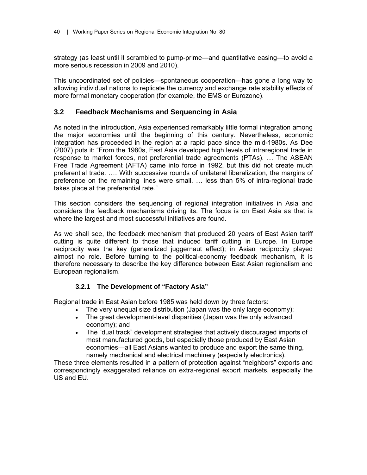strategy (as least until it scrambled to pump-prime—and quantitative easing—to avoid a more serious recession in 2009 and 2010).

This uncoordinated set of policies—spontaneous cooperation—has gone a long way to allowing individual nations to replicate the currency and exchange rate stability effects of more formal monetary cooperation (for example, the EMS or Eurozone).

## **3.2 Feedback Mechanisms and Sequencing in Asia**

As noted in the introduction, Asia experienced remarkably little formal integration among the major economies until the beginning of this century. Nevertheless, economic integration has proceeded in the region at a rapid pace since the mid-1980s. As Dee (2007) puts it: "From the 1980s, East Asia developed high levels of intraregional trade in response to market forces, not preferential trade agreements (PTAs). … The ASEAN Free Trade Agreement (AFTA) came into force in 1992, but this did not create much preferential trade. …. With successive rounds of unilateral liberalization, the margins of preference on the remaining lines were small. … less than 5% of intra-regional trade takes place at the preferential rate."

This section considers the sequencing of regional integration initiatives in Asia and considers the feedback mechanisms driving its. The focus is on East Asia as that is where the largest and most successful initiatives are found.

As we shall see, the feedback mechanism that produced 20 years of East Asian tariff cutting is quite different to those that induced tariff cutting in Europe. In Europe reciprocity was the key (generalized juggernaut effect); in Asian reciprocity played almost no role. Before turning to the political-economy feedback mechanism, it is therefore necessary to describe the key difference between East Asian regionalism and European regionalism.

## **3.2.1 The Development of "Factory Asia"**

Regional trade in East Asian before 1985 was held down by three factors:

- The very unequal size distribution (Japan was the only large economy);
- The great development-level disparities (Japan was the only advanced economy); and
- The "dual track" development strategies that actively discouraged imports of most manufactured goods, but especially those produced by East Asian economies—all East Asians wanted to produce and export the same thing, namely mechanical and electrical machinery (especially electronics).

These three elements resulted in a pattern of protection against "neighbors" exports and correspondingly exaggerated reliance on extra-regional export markets, especially the US and EU.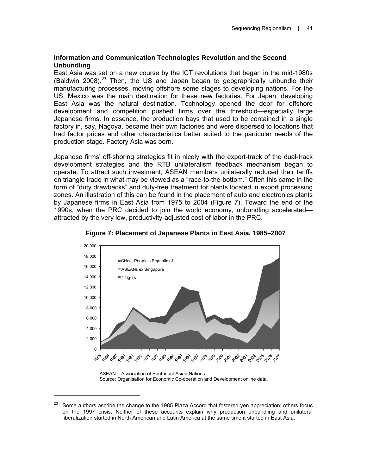## **Information and Communication Technologies Revolution and the Second Unbundling**

East Asia was set on a new course by the ICT revolutions that began in the mid-1980s (Baldwin 2008).<sup>23</sup> Then, the US and Japan began to geographically unbundle their manufacturing processes, moving offshore some stages to developing nations. For the US, Mexico was the main destination for these new factories. For Japan, developing East Asia was the natural destination. Technology opened the door for offshore development and competition pushed firms over the threshold—especially large Japanese firms. In essence, the production bays that used to be contained in a single factory in, say, Nagoya, became their own factories and were dispersed to locations that had factor prices and other characteristics better suited to the particular needs of the production stage. Factory Asia was born.

Japanese firms' off-shoring strategies fit in nicely with the export-track of the dual-track development strategies and the RTB unilateralism feedback mechanism began to operate. To attract such investment, ASEAN members unilaterally reduced their tariffs on triangle trade in what may be viewed as a "race-to-the-bottom." Often this came in the form of "duty drawbacks" and duty-free treatment for plants located in export processing zones. An illustration of this can be found in the placement of auto and electronics plants by Japanese firms in East Asia from 1975 to 2004 (Figure 7). Toward the end of the 1990s, when the PRC decided to join the world economy, unbundling accelerated attracted by the very low, productivity-adjusted cost of labor in the PRC.



**Figure 7: Placement of Japanese Plants in East Asia, 1985–2007** 

ASEAN = Association of Southeast Asian Nations. Source: Organisation for Economic Co-operation and Development online data.

 $\overline{a}$ 

Some authors ascribe the change to the 1985 Plaza Accord that fostered yen appreciation; others focus on the 1997 crisis. Neither of these accounts explain why production unbundling and unilateral liberalization started in North American and Latin America at the same time it started in East Asia.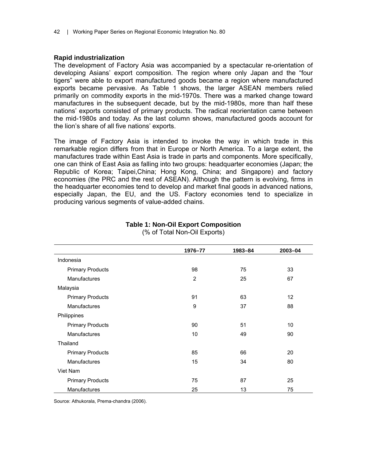## **Rapid industrialization**

The development of Factory Asia was accompanied by a spectacular re-orientation of developing Asians' export composition. The region where only Japan and the "four tigers" were able to export manufactured goods became a region where manufactured exports became pervasive. As Table 1 shows, the larger ASEAN members relied primarily on commodity exports in the mid-1970s. There was a marked change toward manufactures in the subsequent decade, but by the mid-1980s, more than half these nations' exports consisted of primary products. The radical reorientation came between the mid-1980s and today. As the last column shows, manufactured goods account for the lion's share of all five nations' exports.

The image of Factory Asia is intended to invoke the way in which trade in this remarkable region differs from that in Europe or North America. To a large extent, the manufactures trade within East Asia is trade in parts and components. More specifically, one can think of East Asia as falling into two groups: headquarter economies (Japan; the Republic of Korea; Taipei,China; Hong Kong, China; and Singapore) and factory economies (the PRC and the rest of ASEAN). Although the pattern is evolving, firms in the headquarter economies tend to develop and market final goods in advanced nations, especially Japan, the EU, and the US. Factory economies tend to specialize in producing various segments of value-added chains.

|                         | 1976-77        | 1983-84 | 2003-04 |
|-------------------------|----------------|---------|---------|
| Indonesia               |                |         |         |
| <b>Primary Products</b> | 98             | 75      | 33      |
| Manufactures            | $\overline{2}$ | 25      | 67      |
| Malaysia                |                |         |         |
| <b>Primary Products</b> | 91             | 63      | 12      |
| Manufactures            | 9              | 37      | 88      |
| Philippines             |                |         |         |
| <b>Primary Products</b> | 90             | 51      | 10      |
| <b>Manufactures</b>     | 10             | 49      | 90      |
| Thailand                |                |         |         |
| <b>Primary Products</b> | 85             | 66      | 20      |
| <b>Manufactures</b>     | 15             | 34      | 80      |
| Viet Nam                |                |         |         |
| <b>Primary Products</b> | 75             | 87      | 25      |
| <b>Manufactures</b>     | 25             | 13      | 75      |

#### **Table 1: Non-Oil Export Composition**  (% of Total Non-Oil Exports)

Source: Athukorala, Prema-chandra (2006).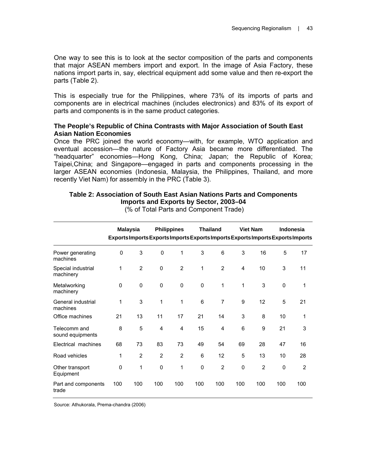One way to see this is to look at the sector composition of the parts and components that major ASEAN members import and export. In the image of Asia Factory, these nations import parts in, say, electrical equipment add some value and then re-export the parts (Table 2).

This is especially true for the Philippines, where 73% of its imports of parts and components are in electrical machines (includes electronics) and 83% of its export of parts and components is in the same product categories.

## **The People's Republic of China Contrasts with Major Association of South East Asian Nation Economies**

Once the PRC joined the world economy—with, for example, WTO application and eventual accession—the nature of Factory Asia became more differentiated. The "headquarter" economies—Hong Kong, China; Japan; the Republic of Korea; Taipei,China; and Singapore—engaged in parts and components processing in the larger ASEAN economies (Indonesia, Malaysia, the Philippines, Thailand, and more recently Viet Nam) for assembly in the PRC (Table 3).

|                                  |             | <b>Malaysia</b> |             | <b>Philippines</b> |             | <b>Thailand</b> |             | <b>Viet Nam</b> |             | <b>Indonesia</b><br>Exports Imports Exports Imports Exports Imports Exports Imports Exports Imports |
|----------------------------------|-------------|-----------------|-------------|--------------------|-------------|-----------------|-------------|-----------------|-------------|-----------------------------------------------------------------------------------------------------|
| Power generating<br>machines     | 0           | 3               | $\mathbf 0$ | 1                  | 3           | 6               | 3           | 16              | 5           | 17                                                                                                  |
| Special industrial<br>machinery  | 1           | 2               | 0           | 2                  | 1           | 2               | 4           | 10              | 3           | 11                                                                                                  |
| Metalworking<br>machinery        | $\mathbf 0$ | $\mathbf 0$     | 0           | 0                  | $\mathbf 0$ | $\mathbf{1}$    | 1           | 3               | $\mathbf 0$ | 1                                                                                                   |
| General industrial<br>machines   | 1           | 3               | 1           | 1                  | 6           | $\overline{7}$  | 9           | 12              | 5           | 21                                                                                                  |
| Office machines                  | 21          | 13              | 11          | 17                 | 21          | 14              | 3           | 8               | 10          | 1                                                                                                   |
| Telecomm and<br>sound equipments | 8           | 5               | 4           | 4                  | 15          | 4               | 6           | 9               | 21          | 3                                                                                                   |
| Electrical machines              | 68          | 73              | 83          | 73                 | 49          | 54              | 69          | 28              | 47          | 16                                                                                                  |
| Road vehicles                    | 1           | $\overline{2}$  | 2           | 2                  | 6           | 12              | 5           | 13              | 10          | 28                                                                                                  |
| Other transport<br>Equipment     | $\mathbf 0$ | 1               | 0           | 1                  | 0           | $\overline{2}$  | $\mathbf 0$ | $\overline{2}$  | 0           | $\overline{2}$                                                                                      |
| Part and components<br>trade     | 100         | 100             | 100         | 100                | 100         | 100             | 100         | 100             | 100         | 100                                                                                                 |

**Imports and Exports by Sector, 2003–04**  (% of Total Parts and Component Trade)

**Table 2: Association of South East Asian Nations Parts and Components** 

Source: Athukorala, Prema-chandra (2006)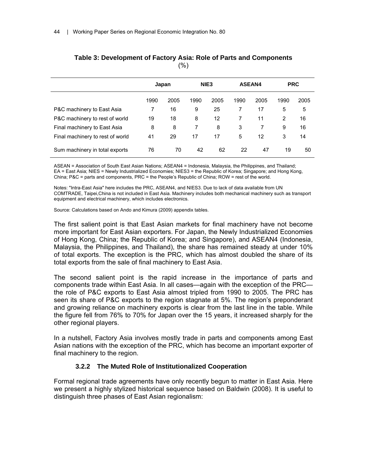|                                  | Japan |      | NIE <sub>3</sub> |      | <b>ASEAN4</b> |      | <b>PRC</b>     |      |
|----------------------------------|-------|------|------------------|------|---------------|------|----------------|------|
|                                  | 1990  | 2005 | 1990             | 2005 | 1990          | 2005 | 1990           | 2005 |
| P&C machinery to East Asia       |       | 16   | 9                | 25   | 7             | 17   | 5              | 5    |
| P&C machinery to rest of world   | 19    | 18   | 8                | 12   | 7             | 11   | $\overline{2}$ | 16   |
| Final machinery to East Asia     | 8     | 8    | 7                | 8    | 3             | 7    | 9              | 16   |
| Final machinery to rest of world | 41    | 29   | 17               | 17   | 5             | 12   | 3              | 14   |
| Sum machinery in total exports   | 76    | 70   | 42               | 62   | 22            | 47   | 19             | 50   |

## **Table 3: Development of Factory Asia: Role of Parts and Components**   $(%)$

ASEAN = Association of South East Asian Nations; ASEAN4 = Indonesia, Malaysia, the Philippines, and Thailand; EA = East Asia; NIES = Newly Industrialized Economies; NIES3 = the Republic of Korea; Singapore; and Hong Kong, China; P&C = parts and components, PRC = the People's Republic of China; ROW = rest of the world.

Notes: "Intra-East Asia" here includes the PRC, ASEAN4, and NIES3. Due to lack of data available from UN COMTRADE, Taipei,China is not included in East Asia. Machinery includes both mechanical machinery such as transport equipment and electrical machinery, which includes electronics.

Source: Calculations based on Ando and Kimura (2009) appendix tables.

The first salient point is that East Asian markets for final machinery have not become more important for East Asian exporters. For Japan, the Newly Industrialized Economies of Hong Kong, China; the Republic of Korea; and Singapore), and ASEAN4 (Indonesia, Malaysia, the Philippines, and Thailand), the share has remained steady at under 10% of total exports. The exception is the PRC, which has almost doubled the share of its total exports from the sale of final machinery to East Asia.

The second salient point is the rapid increase in the importance of parts and components trade within East Asia. In all cases—again with the exception of the PRC the role of P&C exports to East Asia almost tripled from 1990 to 2005. The PRC has seen its share of P&C exports to the region stagnate at 5%. The region's preponderant and growing reliance on machinery exports is clear from the last line in the table. While the figure fell from 76% to 70% for Japan over the 15 years, it increased sharply for the other regional players.

In a nutshell, Factory Asia involves mostly trade in parts and components among East Asian nations with the exception of the PRC, which has become an important exporter of final machinery to the region.

## **3.2.2 The Muted Role of Institutionalized Cooperation**

Formal regional trade agreements have only recently begun to matter in East Asia. Here we present a highly stylized historical sequence based on Baldwin (2008). It is useful to distinguish three phases of East Asian regionalism: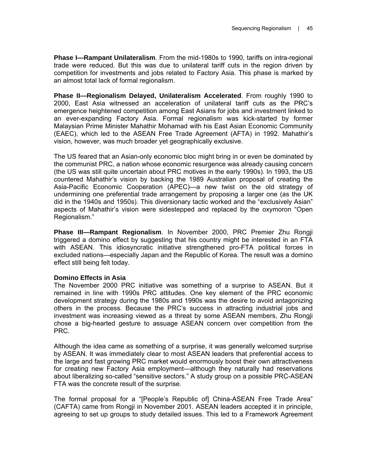**Phase I—Rampant Unilateralism**. From the mid-1980s to 1990, tariffs on intra-regional trade were reduced. But this was due to unilateral tariff cuts in the region driven by competition for investments and jobs related to Factory Asia. This phase is marked by an almost total lack of formal regionalism.

**Phase II—Regionalism Delayed, Unilateralism Accelerated**. From roughly 1990 to 2000, East Asia witnessed an acceleration of unilateral tariff cuts as the PRC's emergence heightened competition among East Asians for jobs and investment linked to an ever-expanding Factory Asia. Formal regionalism was kick-started by former Malaysian Prime Minister Mahathir Mohamad with his East Asian Economic Community (EAEC), which led to the ASEAN Free Trade Agreement (AFTA) in 1992. Mahathir's vision, however, was much broader yet geographically exclusive.

The US feared that an Asian-only economic bloc might bring in or even be dominated by the communist PRC, a nation whose economic resurgence was already causing concern (the US was still quite uncertain about PRC motives in the early 1990s). In 1993, the US countered Mahathir's vision by backing the 1989 Australian proposal of creating the Asia-Pacific Economic Cooperation (APEC)—a new twist on the old strategy of undermining one preferential trade arrangement by proposing a larger one (as the UK did in the 1940s and 1950s). This diversionary tactic worked and the "exclusively Asian" aspects of Mahathir's vision were sidestepped and replaced by the oxymoron "Open Regionalism."

**Phase III—Rampant Regionalism**. In November 2000, PRC Premier Zhu Rongji triggered a domino effect by suggesting that his country might be interested in an FTA with ASEAN. This idiosyncratic initiative strengthened pro-FTA political forces in excluded nations—especially Japan and the Republic of Korea. The result was a domino effect still being felt today.

## **Domino Effects in Asia**

The November 2000 PRC initiative was something of a surprise to ASEAN. But it remained in line with 1990s PRC attitudes. One key element of the PRC economic development strategy during the 1980s and 1990s was the desire to avoid antagonizing others in the process. Because the PRC's success in attracting industrial jobs and investment was increasing viewed as a threat by some ASEAN members, Zhu Rongji chose a big-hearted gesture to assuage ASEAN concern over competition from the PRC.

Although the idea came as something of a surprise, it was generally welcomed surprise by ASEAN. It was immediately clear to most ASEAN leaders that preferential access to the large and fast growing PRC market would enormously boost their own attractiveness for creating new Factory Asia employment—although they naturally had reservations about liberalizing so-called "sensitive sectors." A study group on a possible PRC-ASEAN FTA was the concrete result of the surprise.

The formal proposal for a "[People's Republic of] China-ASEAN Free Trade Area" (CAFTA) came from Rongji in November 2001. ASEAN leaders accepted it in principle, agreeing to set up groups to study detailed issues. This led to a Framework Agreement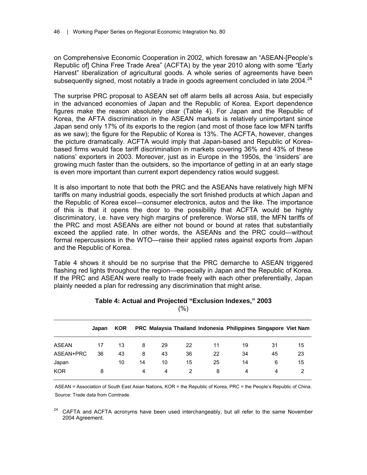on Comprehensive Economic Cooperation in 2002, which foresaw an "ASEAN-[People's Republic of] China Free Trade Area" (ACFTA) by the year 2010 along with some "Early Harvest" liberalization of agricultural goods. A whole series of agreements have been subsequently signed, most notably a trade in goods agreement concluded in late 2004.<sup>24</sup>

The surprise PRC proposal to ASEAN set off alarm bells all across Asia, but especially in the advanced economies of Japan and the Republic of Korea. Export dependence figures make the reason absolutely clear (Table 4). For Japan and the Republic of Korea, the AFTA discrimination in the ASEAN markets is relatively unimportant since Japan send only 17% of its exports to the region (and most of those face low MFN tariffs as we saw); the figure for the Republic of Korea is 13%. The ACFTA, however, changes the picture dramatically. ACFTA would imply that Japan-based and Republic of Koreabased firms would face tariff discrimination in markets covering 36% and 43% of these nations' exporters in 2003. Moreover, just as in Europe in the 1950s, the 'insiders' are growing much faster than the outsiders, so the importance of getting in at an early stage is even more important than current export dependency ratios would suggest.

It is also important to note that both the PRC and the ASEANs have relatively high MFN tariffs on many industrial goods, especially the sort finished products at which Japan and the Republic of Korea excel—consumer electronics, autos and the like. The importance of this is that it opens the door to the possibility that ACFTA would be highly discriminatory, i.e. have very high margins of preference. Worse still, the MFN tariffs of the PRC and most ASEANs are either not bound or bound at rates that substantially exceed the applied rate. In other words, the ASEANs and the PRC could—without formal repercussions in the WTO—raise their applied rates against exports from Japan and the Republic of Korea.

Table 4 shows it should be no surprise that the PRC demarche to ASEAN triggered flashing red lights throughout the region—especially in Japan and the Republic of Korea. If the PRC and ASEAN were really to trade freely with each other preferentially, Japan plainly needed a plan for redressing any discrimination that might arise.

|              | Japan | <b>KOR</b> |    |    |    |    | PRC Malaysia Thailand Indonesia Philippines Singapore Viet Nam |    |    |
|--------------|-------|------------|----|----|----|----|----------------------------------------------------------------|----|----|
| <b>ASEAN</b> | 17    | 13         | 8  | 29 | 22 | 11 | 19                                                             | 31 | 15 |
| ASEAN+PRC    | 36    | 43         | 8  | 43 | 36 | 22 | 34                                                             | 45 | 23 |
| Japan        |       | 10         | 14 | 10 | 15 | 25 | 14                                                             | 6  | 15 |
| <b>KOR</b>   | 8     |            | 4  | 4  |    | 8  | 4                                                              | 4  |    |

#### **Table 4: Actual and Projected "Exclusion Indexes," 2003**   $(% )$

ASEAN = Association of South East Asian Nations, KOR = the Republic of Korea, PRC = the People's Republic of China. Source: Trade data from Comtrade.

<sup>24</sup> CAFTA and ACFTA acronyms have been used interchangeably, but all refer to the same November 2004 Agreement.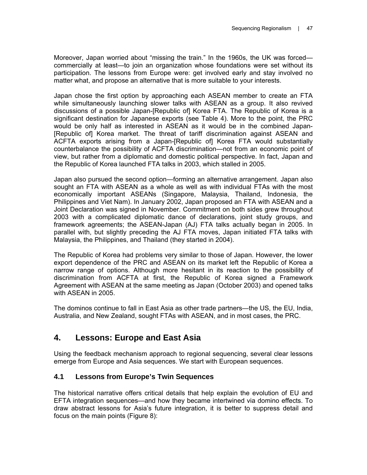Moreover, Japan worried about "missing the train." In the 1960s, the UK was forced commercially at least—to join an organization whose foundations were set without its participation. The lessons from Europe were: get involved early and stay involved no matter what, and propose an alternative that is more suitable to your interests.

Japan chose the first option by approaching each ASEAN member to create an FTA while simultaneously launching slower talks with ASEAN as a group. It also revived discussions of a possible Japan-[Republic of] Korea FTA. The Republic of Korea is a significant destination for Japanese exports (see Table 4). More to the point, the PRC would be only half as interested in ASEAN as it would be in the combined Japan- [Republic of] Korea market. The threat of tariff discrimination against ASEAN and ACFTA exports arising from a Japan-[Republic of] Korea FTA would substantially counterbalance the possibility of ACFTA discrimination—not from an economic point of view, but rather from a diplomatic and domestic political perspective. In fact, Japan and the Republic of Korea launched FTA talks in 2003, which stalled in 2005.

Japan also pursued the second option—forming an alternative arrangement. Japan also sought an FTA with ASEAN as a whole as well as with individual FTAs with the most economically important ASEANs (Singapore, Malaysia, Thailand, Indonesia, the Philippines and Viet Nam). In January 2002, Japan proposed an FTA with ASEAN and a Joint Declaration was signed in November. Commitment on both sides grew throughout 2003 with a complicated diplomatic dance of declarations, joint study groups, and framework agreements; the ASEAN-Japan (AJ) FTA talks actually began in 2005. In parallel with, but slightly preceding the AJ FTA moves, Japan initiated FTA talks with Malaysia, the Philippines, and Thailand (they started in 2004).

The Republic of Korea had problems very similar to those of Japan. However, the lower export dependence of the PRC and ASEAN on its market left the Republic of Korea a narrow range of options. Although more hesitant in its reaction to the possibility of discrimination from ACFTA at first, the Republic of Korea signed a Framework Agreement with ASEAN at the same meeting as Japan (October 2003) and opened talks with ASEAN in 2005.

The dominos continue to fall in East Asia as other trade partners—the US, the EU, India, Australia, and New Zealand, sought FTAs with ASEAN, and in most cases, the PRC.

# **4. Lessons: Europe and East Asia**

Using the feedback mechanism approach to regional sequencing, several clear lessons emerge from Europe and Asia sequences. We start with European sequences.

## **4.1 Lessons from Europe's Twin Sequences**

The historical narrative offers critical details that help explain the evolution of EU and EFTA integration sequences—and how they became intertwined via domino effects. To draw abstract lessons for Asia's future integration, it is better to suppress detail and focus on the main points (Figure 8):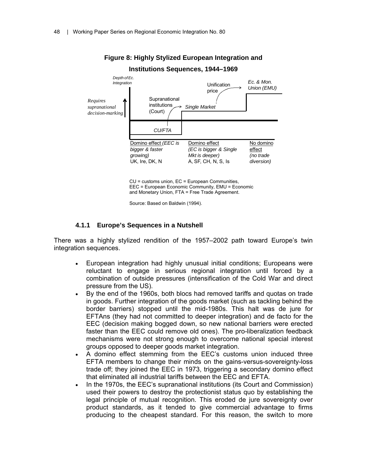

**Figure 8: Highly Stylized European Integration and** 

CU = customs union, EC = European Communities, EEC = European Economic Community, EMU = Economic and Monetary Union, FTA = Free Trade Agreement.

Source: Based on Baldwin (1994).

#### **4.1.1 Europe's Sequences in a Nutshell**

There was a highly stylized rendition of the 1957–2002 path toward Europe's twin integration sequences.

- European integration had highly unusual initial conditions; Europeans were reluctant to engage in serious regional integration until forced by a combination of outside pressures (intensification of the Cold War and direct pressure from the US).
- By the end of the 1960s, both blocs had removed tariffs and quotas on trade in goods. Further integration of the goods market (such as tackling behind the border barriers) stopped until the mid-1980s. This halt was de jure for EFTAns (they had not committed to deeper integration) and de facto for the EEC (decision making bogged down, so new national barriers were erected faster than the EEC could remove old ones). The pro-liberalization feedback mechanisms were not strong enough to overcome national special interest groups opposed to deeper goods market integration.
- A domino effect stemming from the EEC's customs union induced three EFTA members to change their minds on the gains-versus-sovereignty-loss trade off; they joined the EEC in 1973, triggering a secondary domino effect that eliminated all industrial tariffs between the EEC and EFTA.
- In the 1970s, the EEC's supranational institutions (its Court and Commission) used their powers to destroy the protectionist status quo by establishing the legal principle of mutual recognition. This eroded de jure sovereignty over product standards, as it tended to give commercial advantage to firms producing to the cheapest standard. For this reason, the switch to more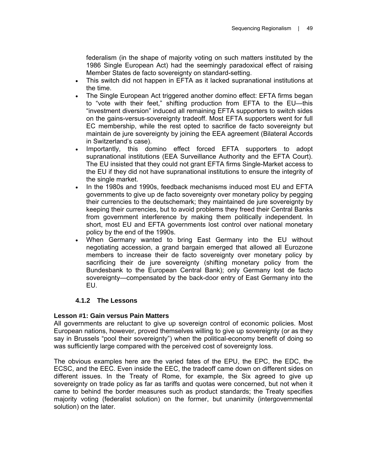federalism (in the shape of majority voting on such matters instituted by the 1986 Single European Act) had the seemingly paradoxical effect of raising Member States de facto sovereignty on standard-setting.

- This switch did not happen in EFTA as it lacked supranational institutions at the time.
- The Single European Act triggered another domino effect: EFTA firms began to "vote with their feet," shifting production from EFTA to the EU—this "investment diversion" induced all remaining EFTA supporters to switch sides on the gains-versus-sovereignty tradeoff. Most EFTA supporters went for full EC membership, while the rest opted to sacrifice de facto sovereignty but maintain de jure sovereignty by joining the EEA agreement (Bilateral Accords in Switzerland's case).
- Importantly, this domino effect forced EFTA supporters to adopt supranational institutions (EEA Surveillance Authority and the EFTA Court). The EU insisted that they could not grant EFTA firms Single-Market access to the EU if they did not have supranational institutions to ensure the integrity of the single market.
- In the 1980s and 1990s, feedback mechanisms induced most EU and EFTA governments to give up de facto sovereignty over monetary policy by pegging their currencies to the deutschemark; they maintained de jure sovereignty by keeping their currencies, but to avoid problems they freed their Central Banks from government interference by making them politically independent. In short, most EU and EFTA governments lost control over national monetary policy by the end of the 1990s.
- When Germany wanted to bring East Germany into the EU without negotiating accession, a grand bargain emerged that allowed all Eurozone members to increase their de facto sovereignty over monetary policy by sacrificing their de jure sovereignty (shifting monetary policy from the Bundesbank to the European Central Bank); only Germany lost de facto sovereignty—compensated by the back-door entry of East Germany into the EU.

## **4.1.2 The Lessons**

## **Lesson #1: Gain versus Pain Matters**

All governments are reluctant to give up sovereign control of economic policies. Most European nations, however, proved themselves willing to give up sovereignty (or as they say in Brussels "pool their sovereignty") when the political-economy benefit of doing so was sufficiently large compared with the perceived cost of sovereignty loss.

The obvious examples here are the varied fates of the EPU, the EPC, the EDC, the ECSC, and the EEC. Even inside the EEC, the tradeoff came down on different sides on different issues. In the Treaty of Rome, for example, the Six agreed to give up sovereignty on trade policy as far as tariffs and quotas were concerned, but not when it came to behind the border measures such as product standards; the Treaty specifies majority voting (federalist solution) on the former, but unanimity (intergovernmental solution) on the later.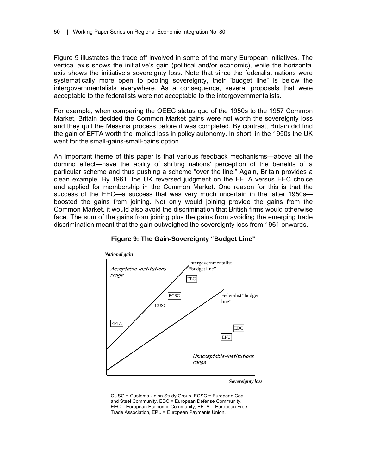Figure 9 illustrates the trade off involved in some of the many European initiatives. The vertical axis shows the initiative's gain (political and/or economic), while the horizontal axis shows the initiative's sovereignty loss. Note that since the federalist nations were systematically more open to pooling sovereignty, their "budget line" is below the intergovernmentalists everywhere. As a consequence, several proposals that were acceptable to the federalists were not acceptable to the intergovernmentalists.

For example, when comparing the OEEC status quo of the 1950s to the 1957 Common Market, Britain decided the Common Market gains were not worth the sovereignty loss and they quit the Messina process before it was completed. By contrast, Britain did find the gain of EFTA worth the implied loss in policy autonomy. In short, in the 1950s the UK went for the small-gains-small-pains option.

An important theme of this paper is that various feedback mechanisms—above all the domino effect—have the ability of shifting nations' perception of the benefits of a particular scheme and thus pushing a scheme "over the line." Again, Britain provides a clean example. By 1961, the UK reversed judgment on the EFTA versus EEC choice and applied for membership in the Common Market. One reason for this is that the success of the EEC—a success that was very much uncertain in the latter 1950s boosted the gains from joining. Not only would joining provide the gains from the Common Market, it would also avoid the discrimination that British firms would otherwise face. The sum of the gains from joining plus the gains from avoiding the emerging trade discrimination meant that the gain outweighed the sovereignty loss from 1961 onwards.



**Figure 9: The Gain-Sovereignty "Budget Line"** 

*Sovereignty loss*

CUSG = Customs Union Study Group, ECSC = European Coal and Steel Community, EDC = European Defense Community, EEC = European Economic Community, EFTA = European Free Trade Association, EPU = European Payments Union.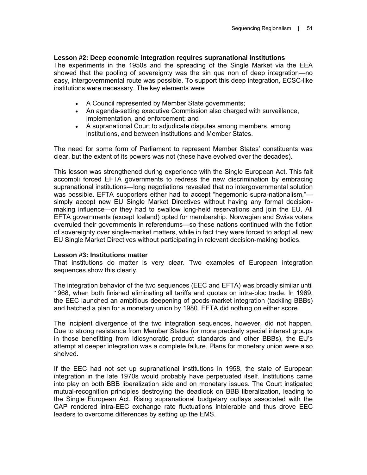## **Lesson #2: Deep economic integration requires supranational institutions**

The experiments in the 1950s and the spreading of the Single Market via the EEA showed that the pooling of sovereignty was the sin qua non of deep integration—no easy, intergovernmental route was possible. To support this deep integration, ECSC-like institutions were necessary. The key elements were

- A Council represented by Member State governments;
- An agenda-setting executive Commission also charged with surveillance, implementation, and enforcement; and
- A supranational Court to adjudicate disputes among members, among institutions, and between institutions and Member States.

The need for some form of Parliament to represent Member States' constituents was clear, but the extent of its powers was not (these have evolved over the decades).

This lesson was strengthened during experience with the Single European Act. This fait accompli forced EFTA governments to redress the new discrimination by embracing supranational institutions—long negotiations revealed that no intergovernmental solution was possible. EFTA supporters either had to accept "hegemonic supra-nationalism," simply accept new EU Single Market Directives without having any formal decisionmaking influence—or they had to swallow long-held reservations and join the EU. All EFTA governments (except Iceland) opted for membership. Norwegian and Swiss voters overruled their governments in referendums—so these nations continued with the fiction of sovereignty over single-market matters, while in fact they were forced to adopt all new EU Single Market Directives without participating in relevant decision-making bodies.

## **Lesson #3: Institutions matter**

That institutions do matter is very clear. Two examples of European integration sequences show this clearly.

The integration behavior of the two sequences (EEC and EFTA) was broadly similar until 1968, when both finished eliminating all tariffs and quotas on intra-bloc trade. In 1969, the EEC launched an ambitious deepening of goods-market integration (tackling BBBs) and hatched a plan for a monetary union by 1980. EFTA did nothing on either score.

The incipient divergence of the two integration sequences, however, did not happen. Due to strong resistance from Member States (or more precisely special interest groups in those benefitting from idiosyncratic product standards and other BBBs), the EU's attempt at deeper integration was a complete failure. Plans for monetary union were also shelved.

If the EEC had not set up supranational institutions in 1958, the state of European integration in the late 1970s would probably have perpetuated itself. Institutions came into play on both BBB liberalization side and on monetary issues. The Court instigated mutual-recognition principles destroying the deadlock on BBB liberalization, leading to the Single European Act. Rising supranational budgetary outlays associated with the CAP rendered intra-EEC exchange rate fluctuations intolerable and thus drove EEC leaders to overcome differences by setting up the EMS.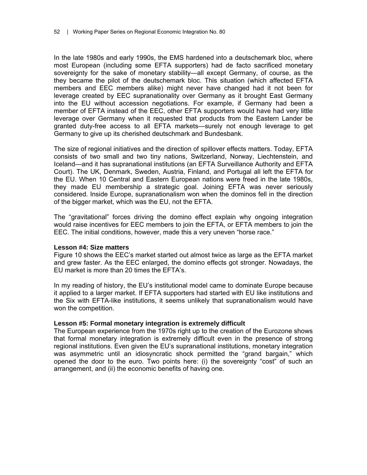In the late 1980s and early 1990s, the EMS hardened into a deutschemark bloc, where most European (including some EFTA supporters) had de facto sacrificed monetary sovereignty for the sake of monetary stability—all except Germany, of course, as the they became the pilot of the deutschemark bloc. This situation (which affected EFTA members and EEC members alike) might never have changed had it not been for leverage created by EEC supranationality over Germany as it brought East Germany into the EU without accession negotiations. For example, if Germany had been a member of EFTA instead of the EEC, other EFTA supporters would have had very little leverage over Germany when it requested that products from the Eastern Lander be granted duty-free access to all EFTA markets—surely not enough leverage to get Germany to give up its cherished deutschmark and Bundesbank.

The size of regional initiatives and the direction of spillover effects matters. Today, EFTA consists of two small and two tiny nations, Switzerland, Norway, Liechtenstein, and Iceland—and it has supranational institutions (an EFTA Surveillance Authority and EFTA Court). The UK, Denmark, Sweden, Austria, Finland, and Portugal all left the EFTA for the EU. When 10 Central and Eastern European nations were freed in the late 1980s, they made EU membership a strategic goal. Joining EFTA was never seriously considered. Inside Europe, supranationalism won when the dominos fell in the direction of the bigger market, which was the EU, not the EFTA.

The "gravitational" forces driving the domino effect explain why ongoing integration would raise incentives for EEC members to join the EFTA, or EFTA members to join the EEC. The initial conditions, however, made this a very uneven "horse race."

## **Lesson #4: Size matters**

Figure 10 shows the EEC's market started out almost twice as large as the EFTA market and grew faster. As the EEC enlarged, the domino effects got stronger. Nowadays, the EU market is more than 20 times the EFTA's.

In my reading of history, the EU's institutional model came to dominate Europe because it applied to a larger market. If EFTA supporters had started with EU like institutions and the Six with EFTA-like institutions, it seems unlikely that supranationalism would have won the competition.

#### **Lesson #5: Formal monetary integration is extremely difficult**

The European experience from the 1970s right up to the creation of the Eurozone shows that formal monetary integration is extremely difficult even in the presence of strong regional institutions. Even given the EU's supranational institutions, monetary integration was asymmetric until an idiosyncratic shock permitted the "grand bargain," which opened the door to the euro. Two points here: (i) the sovereignty "cost" of such an arrangement, and (ii) the economic benefits of having one.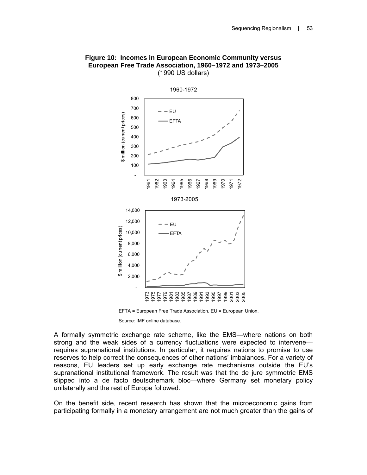

#### **Figure 10: Incomes in European Economic Community versus European Free Trade Association, 1960–1972 and 1973–2005**  (1990 US dollars)

EFTA = European Free Trade Association, EU = European Union.

Source: IMF online database.

A formally symmetric exchange rate scheme, like the EMS—where nations on both strong and the weak sides of a currency fluctuations were expected to intervene requires supranational institutions. In particular, it requires nations to promise to use reserves to help correct the consequences of other nations' imbalances. For a variety of reasons, EU leaders set up early exchange rate mechanisms outside the EU's supranational institutional framework. The result was that the de jure symmetric EMS slipped into a de facto deutschemark bloc—where Germany set monetary policy unilaterally and the rest of Europe followed.

On the benefit side, recent research has shown that the microeconomic gains from participating formally in a monetary arrangement are not much greater than the gains of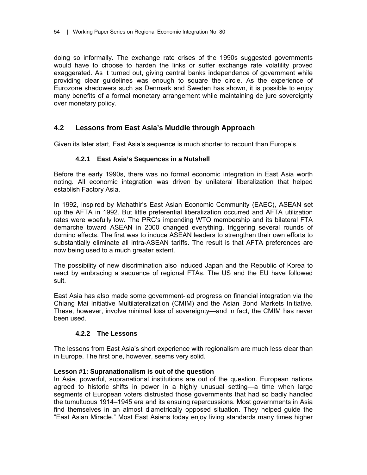doing so informally. The exchange rate crises of the 1990s suggested governments would have to choose to harden the links or suffer exchange rate volatility proved exaggerated. As it turned out, giving central banks independence of government while providing clear guidelines was enough to square the circle. As the experience of Eurozone shadowers such as Denmark and Sweden has shown, it is possible to enjoy many benefits of a formal monetary arrangement while maintaining de jure sovereignty over monetary policy.

## **4.2 Lessons from East Asia's Muddle through Approach**

Given its later start, East Asia's sequence is much shorter to recount than Europe's.

## **4.2.1 East Asia's Sequences in a Nutshell**

Before the early 1990s, there was no formal economic integration in East Asia worth noting. All economic integration was driven by unilateral liberalization that helped establish Factory Asia.

In 1992, inspired by Mahathir's East Asian Economic Community (EAEC), ASEAN set up the AFTA in 1992. But little preferential liberalization occurred and AFTA utilization rates were woefully low. The PRC's impending WTO membership and its bilateral FTA demarche toward ASEAN in 2000 changed everything, triggering several rounds of domino effects. The first was to induce ASEAN leaders to strengthen their own efforts to substantially eliminate all intra-ASEAN tariffs. The result is that AFTA preferences are now being used to a much greater extent.

The possibility of new discrimination also induced Japan and the Republic of Korea to react by embracing a sequence of regional FTAs. The US and the EU have followed suit.

East Asia has also made some government-led progress on financial integration via the Chiang Mai Initiative Multilateralization (CMIM) and the Asian Bond Markets Initiative. These, however, involve minimal loss of sovereignty—and in fact, the CMIM has never been used.

## **4.2.2 The Lessons**

The lessons from East Asia's short experience with regionalism are much less clear than in Europe. The first one, however, seems very solid.

## **Lesson #1: Supranationalism is out of the question**

In Asia, powerful, supranational institutions are out of the question. European nations agreed to historic shifts in power in a highly unusual setting—a time when large segments of European voters distrusted those governments that had so badly handled the tumultuous 1914–1945 era and its ensuing repercussions. Most governments in Asia find themselves in an almost diametrically opposed situation. They helped guide the "East Asian Miracle." Most East Asians today enjoy living standards many times higher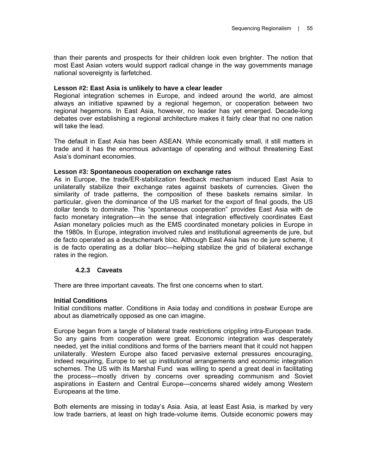than their parents and prospects for their children look even brighter. The notion that most East Asian voters would support radical change in the way governments manage national sovereignty is farfetched.

## **Lesson #2: East Asia is unlikely to have a clear leader**

Regional integration schemes in Europe, and indeed around the world, are almost always an initiative spawned by a regional hegemon, or cooperation between two regional hegemons. In East Asia, however, no leader has yet emerged. Decade-long debates over establishing a regional architecture makes it fairly clear that no one nation will take the lead.

The default in East Asia has been ASEAN. While economically small, it still matters in trade and it has the enormous advantage of operating and without threatening East Asia's dominant economies.

#### **Lesson #3: Spontaneous cooperation on exchange rates**

As in Europe, the trade/ER-stabilization feedback mechanism induced East Asia to unilaterally stabilize their exchange rates against baskets of currencies. Given the similarity of trade patterns, the composition of these baskets remains similar. In particular, given the dominance of the US market for the export of final goods, the US dollar tends to dominate. This "spontaneous cooperation" provides East Asia with de facto monetary integration—in the sense that integration effectively coordinates East Asian monetary policies much as the EMS coordinated monetary policies in Europe in the 1980s. In Europe, integration involved rules and institutional agreements de jure, but de facto operated as a deutschemark bloc. Although East Asia has no de jure scheme, it is de facto operating as a dollar bloc—helping stabilize the grid of bilateral exchange rates in the region.

## **4.2.3 Caveats**

There are three important caveats. The first one concerns when to start.

## **Initial Conditions**

Initial conditions matter. Conditions in Asia today and conditions in postwar Europe are about as diametrically opposed as one can imagine.

Europe began from a tangle of bilateral trade restrictions crippling intra-European trade. So any gains from cooperation were great. Economic integration was desperately needed, yet the initial conditions and forms of the barriers meant that it could not happen unilaterally. Western Europe also faced pervasive external pressures encouraging, indeed requiring, Europe to set up institutional arrangements and economic integration schemes. The US with its Marshal Fund was willing to spend a great deal in facilitating the process—mostly driven by concerns over spreading communism and Soviet aspirations in Eastern and Central Europe—concerns shared widely among Western Europeans at the time.

Both elements are missing in today's Asia. Asia, at least East Asia, is marked by very low trade barriers, at least on high trade-volume items. Outside economic powers may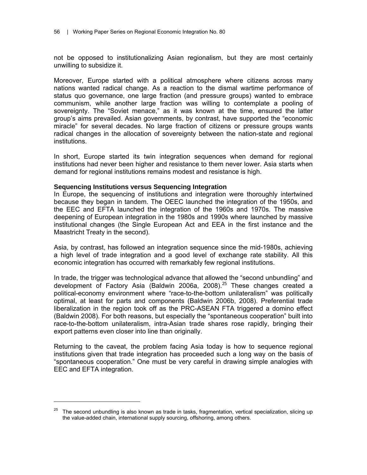not be opposed to institutionalizing Asian regionalism, but they are most certainly unwilling to subsidize it.

Moreover, Europe started with a political atmosphere where citizens across many nations wanted radical change. As a reaction to the dismal wartime performance of status quo governance, one large fraction (and pressure groups) wanted to embrace communism, while another large fraction was willing to contemplate a pooling of sovereignty. The "Soviet menace," as it was known at the time, ensured the latter group's aims prevailed. Asian governments, by contrast, have supported the "economic miracle" for several decades. No large fraction of citizens or pressure groups wants radical changes in the allocation of sovereignty between the nation-state and regional institutions.

In short, Europe started its twin integration sequences when demand for regional institutions had never been higher and resistance to them never lower. Asia starts when demand for regional institutions remains modest and resistance is high.

#### **Sequencing Institutions versus Sequencing Integration**

 $\overline{a}$ 

In Europe, the sequencing of institutions and integration were thoroughly intertwined because they began in tandem. The OEEC launched the integration of the 1950s, and the EEC and EFTA launched the integration of the 1960s and 1970s. The massive deepening of European integration in the 1980s and 1990s where launched by massive institutional changes (the Single European Act and EEA in the first instance and the Maastricht Treaty in the second).

Asia, by contrast, has followed an integration sequence since the mid-1980s, achieving a high level of trade integration and a good level of exchange rate stability. All this economic integration has occurred with remarkably few regional institutions.

In trade, the trigger was technological advance that allowed the "second unbundling" and development of Factory Asia (Baldwin 2006a, 2008).<sup>25</sup> These changes created a political-economy environment where "race-to-the-bottom unilateralism" was politically optimal, at least for parts and components (Baldwin 2006b, 2008). Preferential trade liberalization in the region took off as the PRC-ASEAN FTA triggered a domino effect (Baldwin 2008). For both reasons, but especially the "spontaneous cooperation" built into race-to-the-bottom unilateralism, intra-Asian trade shares rose rapidly, bringing their export patterns even closer into line than originally.

Returning to the caveat, the problem facing Asia today is how to sequence regional institutions given that trade integration has proceeded such a long way on the basis of "spontaneous cooperation." One must be very careful in drawing simple analogies with EEC and EFTA integration.

 $25$  The second unbundling is also known as trade in tasks, fragmentation, vertical specialization, slicing up the value-added chain, international supply sourcing, offshoring, among others.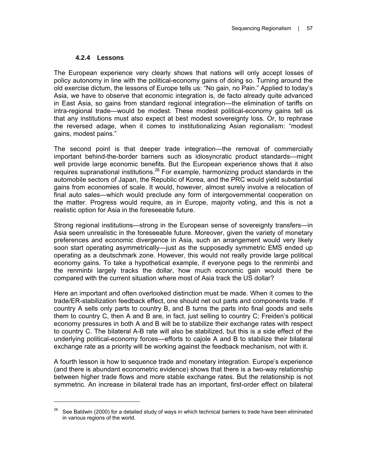## **4.2.4 Lessons**

 $\overline{a}$ 

The European experience very clearly shows that nations will only accept losses of policy autonomy in line with the political-economy gains of doing so. Turning around the old exercise dictum, the lessons of Europe tells us: "No gain, no Pain." Applied to today's Asia, we have to observe that economic integration is, de facto already quite advanced in East Asia, so gains from standard regional integration—the elimination of tariffs on intra-regional trade—would be modest. These modest political-economy gains tell us that any institutions must also expect at best modest sovereignty loss. Or, to rephrase the reversed adage, when it comes to institutionalizing Asian regionalism: "modest gains, modest pains."

The second point is that deeper trade integration—the removal of commercially important behind-the-border barriers such as idiosyncratic product standards—might well provide large economic benefits. But the European experience shows that it also requires supranational institutions.<sup>26</sup> For example, harmonizing product standards in the automobile sectors of Japan, the Republic of Korea, and the PRC would yield substantial gains from economies of scale. It would, however, almost surely involve a relocation of final auto sales—which would preclude any form of intergovernmental cooperation on the matter. Progress would require, as in Europe, majority voting, and this is not a realistic option for Asia in the foreseeable future.

Strong regional institutions—strong in the European sense of sovereignty transfers—in Asia seem unrealistic in the foreseeable future. Moreover, given the variety of monetary preferences and economic divergence in Asia, such an arrangement would very likely soon start operating asymmetrically—just as the supposedly symmetric EMS ended up operating as a deutschmark zone. However, this would not really provide large political economy gains. To take a hypothetical example, if everyone pegs to the renminbi and the renminbi largely tracks the dollar, how much economic gain would there be compared with the current situation where most of Asia track the US dollar?

Here an important and often overlooked distinction must be made. When it comes to the trade/ER-stabilization feedback effect, one should net out parts and components trade. If country A sells only parts to country B, and B turns the parts into final goods and sells them to country C, then A and B are, in fact, just selling to country C; Freiden's political economy pressures in both A and B will be to stabilize their exchange rates with respect to country C. The bilateral A-B rate will also be stabilized, but this is a side effect of the underlying political-economy forces—efforts to cajole A and B to stabilize their bilateral exchange rate as a priority will be working against the feedback mechanism, not with it.

A fourth lesson is how to sequence trade and monetary integration. Europe's experience (and there is abundant econometric evidence) shows that there is a two-way relationship between higher trade flows and more stable exchange rates. But the relationship is not symmetric. An increase in bilateral trade has an important, first-order effect on bilateral

 $26$  See Baldwin (2000) for a detailed study of ways in which technical barriers to trade have been eliminated in various regions of the world.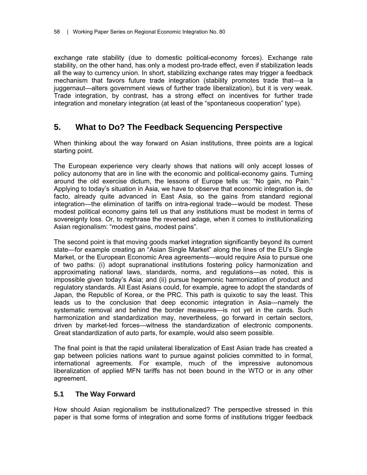exchange rate stability (due to domestic political-economy forces). Exchange rate stability, on the other hand, has only a modest pro-trade effect, even if stabilization leads all the way to currency union. In short, stabilizing exchange rates may trigger a feedback mechanism that favors future trade integration (stability promotes trade that—a la juggernaut—alters government views of further trade liberalization), but it is very weak. Trade integration, by contrast, has a strong effect on incentives for further trade integration and monetary integration (at least of the "spontaneous cooperation" type).

## **5. What to Do? The Feedback Sequencing Perspective**

When thinking about the way forward on Asian institutions, three points are a logical starting point.

The European experience very clearly shows that nations will only accept losses of policy autonomy that are in line with the economic and political-economy gains. Turning around the old exercise dictum, the lessons of Europe tells us: "No gain, no Pain." Applying to today's situation in Asia, we have to observe that economic integration is, de facto, already quite advanced in East Asia, so the gains from standard regional integration—the elimination of tariffs on intra-regional trade—would be modest. These modest political economy gains tell us that any institutions must be modest in terms of sovereignty loss. Or, to rephrase the reversed adage, when it comes to institutionalizing Asian regionalism: "modest gains, modest pains".

The second point is that moving goods market integration significantly beyond its current state—for example creating an "Asian Single Market" along the lines of the EU's Single Market, or the European Economic Area agreements—would require Asia to pursue one of two paths: (i) adopt supranational institutions fostering policy harmonization and approximating national laws, standards, norms, and regulations—as noted, this is impossible given today's Asia; and (ii) pursue hegemonic harmonization of product and regulatory standards. All East Asians could, for example, agree to adopt the standards of Japan, the Republic of Korea, or the PRC. This path is quixotic to say the least. This leads us to the conclusion that deep economic integration in Asia—namely the systematic removal and behind the border measures—is not yet in the cards. Such harmonization and standardization may, nevertheless, go forward in certain sectors, driven by market-led forces—witness the standardization of electronic components. Great standardization of auto parts, for example, would also seem possible.

The final point is that the rapid unilateral liberalization of East Asian trade has created a gap between policies nations want to pursue against policies committed to in formal, international agreements. For example, much of the impressive autonomous liberalization of applied MFN tariffs has not been bound in the WTO or in any other agreement.

## **5.1 The Way Forward**

How should Asian regionalism be institutionalized? The perspective stressed in this paper is that some forms of integration and some forms of institutions trigger feedback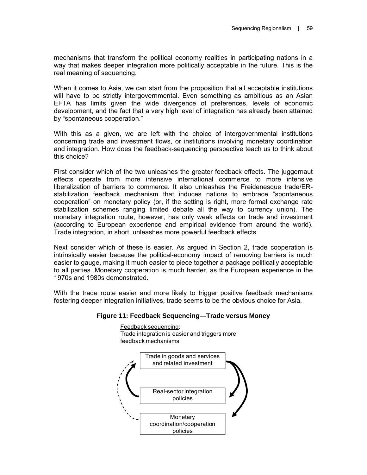mechanisms that transform the political economy realities in participating nations in a way that makes deeper integration more politically acceptable in the future. This is the real meaning of sequencing.

When it comes to Asia, we can start from the proposition that all acceptable institutions will have to be strictly intergovernmental. Even something as ambitious as an Asian EFTA has limits given the wide divergence of preferences, levels of economic development, and the fact that a very high level of integration has already been attained by "spontaneous cooperation."

With this as a given, we are left with the choice of intergovernmental institutions concerning trade and investment flows, or institutions involving monetary coordination and integration. How does the feedback-sequencing perspective teach us to think about this choice?

First consider which of the two unleashes the greater feedback effects. The juggernaut effects operate from more intensive international commerce to more intensive liberalization of barriers to commerce. It also unleashes the Freidenesque trade/ERstabilization feedback mechanism that induces nations to embrace "spontaneous cooperation" on monetary policy (or, if the setting is right, more formal exchange rate stabilization schemes ranging limited debate all the way to currency union). The monetary integration route, however, has only weak effects on trade and investment (according to European experience and empirical evidence from around the world). Trade integration, in short, unleashes more powerful feedback effects.

Next consider which of these is easier. As argued in Section 2, trade cooperation is intrinsically easier because the political-economy impact of removing barriers is much easier to gauge, making it much easier to piece together a package politically acceptable to all parties. Monetary cooperation is much harder, as the European experience in the 1970s and 1980s demonstrated.

With the trade route easier and more likely to trigger positive feedback mechanisms fostering deeper integration initiatives, trade seems to be the obvious choice for Asia.

## **Figure 11: Feedback Sequencing—Trade versus Money**

Feedback sequencing: Trade integration is easier and triggers more feedback mechanisms

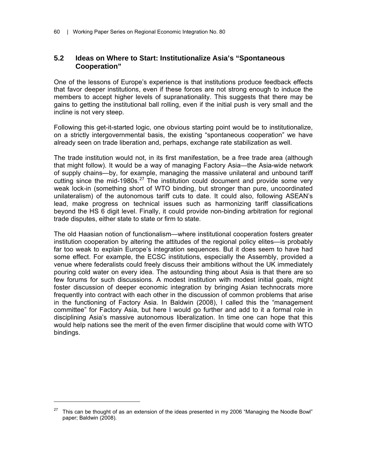## **5.2 Ideas on Where to Start: Institutionalize Asia's "Spontaneous Cooperation"**

One of the lessons of Europe's experience is that institutions produce feedback effects that favor deeper institutions, even if these forces are not strong enough to induce the members to accept higher levels of supranationality. This suggests that there may be gains to getting the institutional ball rolling, even if the initial push is very small and the incline is not very steep.

Following this get-it-started logic, one obvious starting point would be to institutionalize, on a strictly intergovernmental basis, the existing "spontaneous cooperation" we have already seen on trade liberation and, perhaps, exchange rate stabilization as well.

The trade institution would not, in its first manifestation, be a free trade area (although that might follow). It would be a way of managing Factory Asia—the Asia-wide network of supply chains—by, for example, managing the massive unilateral and unbound tariff cutting since the mid-1980s.<sup>27</sup> The institution could document and provide some very weak lock-in (something short of WTO binding, but stronger than pure, uncoordinated unilateralism) of the autonomous tariff cuts to date. It could also, following ASEAN's lead, make progress on technical issues such as harmonizing tariff classifications beyond the HS 6 digit level. Finally, it could provide non-binding arbitration for regional trade disputes, either state to state or firm to state.

The old Haasian notion of functionalism—where institutional cooperation fosters greater institution cooperation by altering the attitudes of the regional policy elites—is probably far too weak to explain Europe's integration sequences. But it does seem to have had some effect. For example, the ECSC institutions, especially the Assembly, provided a venue where federalists could freely discuss their ambitions without the UK immediately pouring cold water on every idea. The astounding thing about Asia is that there are so few forums for such discussions. A modest institution with modest initial goals, might foster discussion of deeper economic integration by bringing Asian technocrats more frequently into contract with each other in the discussion of common problems that arise in the functioning of Factory Asia. In Baldwin (2008), I called this the "management committee" for Factory Asia, but here I would go further and add to it a formal role in disciplining Asia's massive autonomous liberalization. In time one can hope that this would help nations see the merit of the even firmer discipline that would come with WTO bindings.

 $\overline{a}$ 

<sup>27</sup> This can be thought of as an extension of the ideas presented in my 2006 "Managing the Noodle Bowl" paper; Baldwin (2008).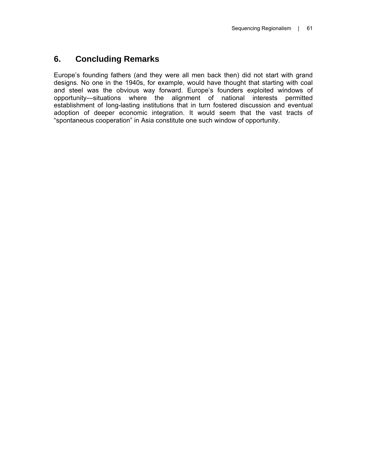# **6. Concluding Remarks**

Europe's founding fathers (and they were all men back then) did not start with grand designs. No one in the 1940s, for example, would have thought that starting with coal and steel was the obvious way forward. Europe's founders exploited windows of opportunity—situations where the alignment of national interests permitted establishment of long-lasting institutions that in turn fostered discussion and eventual adoption of deeper economic integration. It would seem that the vast tracts of "spontaneous cooperation" in Asia constitute one such window of opportunity.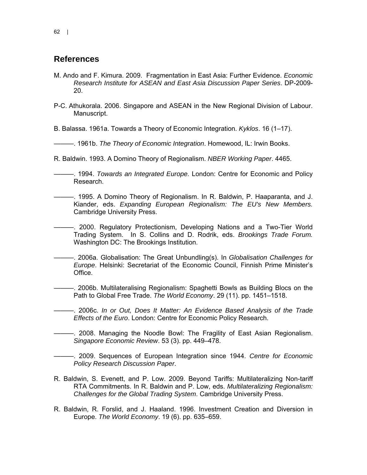## **References**

- M..Ando and F..Kimura. 2009. Fragmentation in East Asia: Further Evidence. *Economic Research Institute for ASEAN and East Asia Discussion Paper Series*. DP-2009- 20.
- P-C..Athukorala. 2006. Singapore and ASEAN in the New Regional Division of Labour. Manuscript.

B..Balassa. 1961a. Towards a Theory of Economic Integration. *Kyklos*. 16 (1–17).

———. 1961b. *The Theory of Economic Integration*. Homewood, IL: Irwin Books.

- R. Baldwin. 1993. A Domino Theory of Regionalism. *NBER Working Paper*. 4465.
- ———. 1994. *Towards an Integrated Europe.* London: Centre for Economic and Policy Research.
- ———. 1995. A Domino Theory of Regionalism. In R. Baldwin, P. Haaparanta, and J. Kiander, eds. *Expanding European Regionalism: The EU's New Members.* Cambridge University Press.
- -. 2000. Regulatory Protectionism, Developing Nations and a Two-Tier World Trading System. In S. Collins and D. Rodrik, eds. *Brookings Trade Forum.* Washington DC: The Brookings Institution.
- ———. 2006a. Globalisation: The Great Unbundling(s). In *Globalisation Challenges for Europe*. Helsinki: Secretariat of the Economic Council, Finnish Prime Minister's Office.
- ———. 2006b. Multilateralising Regionalism: Spaghetti Bowls as Building Blocs on the Path to Global Free Trade. *The World Economy*. 29.(11). pp..1451–1518.
	- ———. 2006c. *In or Out, Does It Matter: An Evidence Based Analysis of the Trade Effects of the Euro*. London: Centre for Economic Policy Research.
	- ———. 2008. Managing the Noodle Bowl: The Fragility of East Asian Regionalism. *Singapore Economic Review*. 53.(3). pp. 449–478.
- ———. 2009. Sequences of European Integration since 1944. *Centre for Economic Policy Research Discussion Paper*.
- R. Baldwin, S. Evenett, and P. Low. 2009. Beyond Tariffs: Multilateralizing Non-tariff RTA Commitments. In R. Baldwin and P. Low, eds. *Multilateralizing Regionalism: Challenges for the Global Trading System*. Cambridge University Press.
- R. Baldwin, R. Forslid, and J. Haaland. 1996. Investment Creation and Diversion in Europe. *The World Economy*. 19.(6). pp..635–659.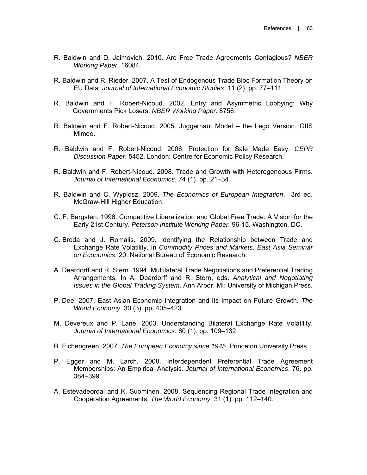- R. Baldwin and D. Jaimovich. 2010. Are Free Trade Agreements Contagious? *NBER Working Paper.* 16084.
- R. Baldwin and R. Rieder. 2007. A Test of Endogenous Trade Bloc Formation Theory on EU Data. *Journal of International Economic Studies*. 11 (2). pp. 77–111.
- R. Baldwin and F. Robert-Nicoud. 2002. Entry and Asymmetric Lobbying: Why Governments Pick Losers. *NBER Working Paper*. 8756.
- R. Baldwin and F. Robert-Nicoud. 2005. Juggernaut Model the Lego Version. GIIS Mimeo.
- R. Baldwin and F. Robert-Nicoud. 2006. Protection for Sale Made Easy. *CEPR Discussion Paper*. 5452. London: Centre for Economic Policy Research.
- R. Baldwin and F. Robert-Nicoud. 2008. Trade and Growth with Heterogeneous Firms. *Journal of International Economics*. 74 (1). pp. 21–34.
- R. Baldwin and C. Wyplosz. 2009. *The Economics of European Integration*. 3rd ed. McGraw-Hill Higher Education.
- C. F. Bergsten. 1996. Competitive Liberalization and Global Free Trade: A Vision for the Early 21st Century. *Peterson Institute Working Paper.* 96-15. Washington, DC.
- C. Broda and J. Romalis. 2009. Identifying the Relationship between Trade and Exchange Rate Volatility. In *Commodity Prices and Markets, East Asia Seminar on Economics*. 20. National Bureau of Economic Research.
- A. Deardorff and R. Stern. 1994. Multilateral Trade Negotiations and Preferential Trading Arrangements. In A. Deardorff and R. Stern, eds. *Analytical and Negotiating Issues in the Global Trading System*. Ann Arbor, MI: University of Michigan Press.
- P..Dee. 2007. East Asian Economic Integration and its Impact on Future Growth. *The World Economy*. 30 (3). pp. 405–423.
- M. Devereux and P. Lane. 2003. Understanding Bilateral Exchange Rate Volatility. *Journal of International Economics*. 60 (1). pp. 109–132.
- B. Eichengreen. 2007. *The European Economy since 1945*. Princeton University Press.
- P. Egger and M. Larch. 2008. Interdependent Preferential Trade Agreement Memberships: An Empirical Analysis. *Journal of International Economics*. 76. pp. 384–399.
- A. Estevadeordal and K. Suominen. 2008. Sequencing Regional Trade Integration and Cooperation Agreements. *The World Economy.* 31 (1). pp. 112–140.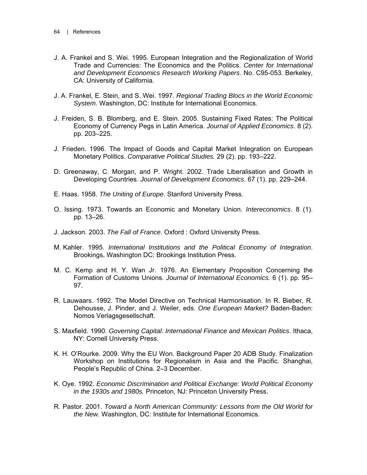- J. A. Frankel and S. Wei. 1995. European Integration and the Regionalization of World Trade and Currencies: The Economics and the Politics. *Center for International and Development Economics Research Working Papers*. No. C95-053. Berkeley, CA: University of California.
- J. A. Frankel, E. Stein, and S. Wei. 1997. *Regional Trading Blocs in the World Economic System*. Washington, DC: Institute for International Economics.
- J. Freiden, S. B. Blomberg, and E. Stein. 2005. Sustaining Fixed Rates: The Political Economy of Currency Pegs in Latin America. *Journal of Applied Economics*. 8 (2). pp. 203–225.
- J. Frieden. 1996. The Impact of Goods and Capital Market Integration on European Monetary Politics. *Comparative Political Studies.* 29 (2). pp. 193–222.
- D. Greenaway, C. Morgan, and P. Wright. 2002. Trade Liberalisation and Growth in Developing Countries. *Journal of Development Economics*. 67.(1). pp. 229–244.
- E. Haas. 1958. *The Uniting of Europe*. Stanford University Press.
- O. Issing. 1973. Towards an Economic and Monetary Union. *Intereconomics*. 8 (1). pp. 13–26.
- J. Jackson. 2003. *The Fall of France*. Oxford : Oxford University Press.
- M..Kahler. 1995. *International Institutions and the Political Economy of Integration*. Brookings, Washington DC: Brookings Institution Press.
- M. C. Kemp and H. Y. Wan Jr. 1976. An Elementary Proposition Concerning the Formation of Customs Unions. *Journal of International Economics.* 6 (1). pp. 95– 97.
- R. Lauwaars. 1992. The Model Directive on Technical Harmonisation. In R. Bieber, R. Dehousse, J. Pinder, and J. Weiler, eds. *One European Market?* Baden-Baden: Nomos Verlagsgesellschaft.
- S. Maxfield. 1990. *Governing Capital: International Finance and Mexican Politics*. Ithaca, NY: Cornell University Press.
- K. H. O'Rourke. 2009. Why the EU Won. Background Paper 20 ADB Study. Finalization Workshop on Institutions for Regionalism in Asia and the Pacific. Shanghai, People's Republic of China. 2–3 December.
- K. Oye. 1992. *Economic Discrimination and Political Exchange: World Political Economy in the 1930s and 1980s.* Princeton, NJ: Princeton University Press.
- R. Pastor. 2001. *Toward a North American Community: Lessons from the Old World for the New*. Washington, DC: Institute for International Economics.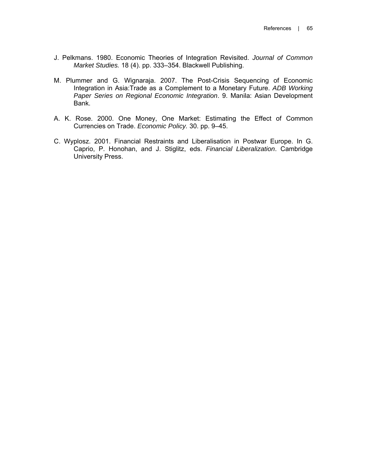- J. Pelkmans. 1980. Economic Theories of Integration Revisited. *Journal of Common Market Studies.* 18 (4). pp. 333–354. Blackwell Publishing.
- M. Plummer and G. Wignaraja. 2007. The Post-Crisis Sequencing of Economic Integration in Asia:Trade as a Complement to a Monetary Future. *ADB Working Paper Series on Regional Economic Integration*. 9. Manila: Asian Development Bank.
- A. K. Rose. 2000. One Money, One Market: Estimating the Effect of Common Currencies on Trade. *Economic Policy.* 30. pp. 9–45.
- C. Wyplosz. 2001. Financial Restraints and Liberalisation in Postwar Europe. In G. Caprio, P. Honohan, and J. Stiglitz, eds. *Financial Liberalization*. Cambridge University Press.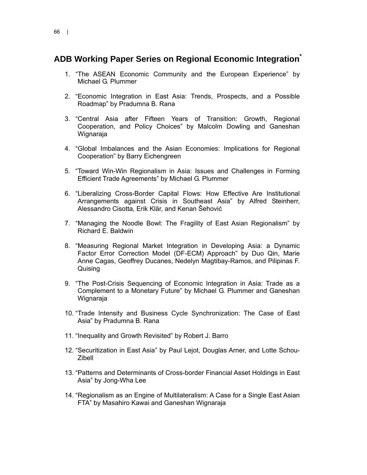## **ADB Working Paper Series on Regional Economic Integration\***

- 1. "The ASEAN Economic Community and the European Experience" by Michael G. Plummer
- 2. "Economic Integration in East Asia: Trends, Prospects, and a Possible Roadmap" by Pradumna B. Rana
- 3. "Central Asia after Fifteen Years of Transition: Growth, Regional Cooperation, and Policy Choices" by Malcolm Dowling and Ganeshan Wignaraja
- 4. "Global Imbalances and the Asian Economies: Implications for Regional Cooperation" by Barry Eichengreen
- 5. "Toward Win-Win Regionalism in Asia: Issues and Challenges in Forming Efficient Trade Agreements" by Michael G. Plummer
- 6. "Liberalizing Cross-Border Capital Flows: How Effective Are Institutional Arrangements against Crisis in Southeast Asia" by Alfred Steinherr, Alessandro Cisotta, Erik Klär, and Kenan Šehović
- 7. "Managing the Noodle Bowl: The Fragility of East Asian Regionalism" by Richard E. Baldwin
- 8. "Measuring Regional Market Integration in Developing Asia: a Dynamic Factor Error Correction Model (DF-ECM) Approach" by Duo Qin, Marie Anne Cagas, Geoffrey Ducanes, Nedelyn Magtibay-Ramos, and Pilipinas F. Quising
- 9. "The Post-Crisis Sequencing of Economic Integration in Asia: Trade as a Complement to a Monetary Future" by Michael G. Plummer and Ganeshan Wignaraja
- 10. "Trade Intensity and Business Cycle Synchronization: The Case of East Asia" by Pradumna B. Rana
- 11. "Inequality and Growth Revisited" by Robert J. Barro
- 12. "Securitization in East Asia" by Paul Lejot, Douglas Arner, and Lotte Schou-Zibell
- 13. "Patterns and Determinants of Cross-border Financial Asset Holdings in East Asia" by Jong-Wha Lee
- 14. "Regionalism as an Engine of Multilateralism: A Case for a Single East Asian FTA" by Masahiro Kawai and Ganeshan Wignaraja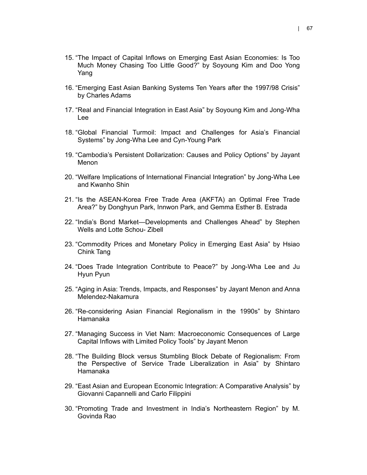- 15. "The Impact of Capital Inflows on Emerging East Asian Economies: Is Too Much Money Chasing Too Little Good?" by Soyoung Kim and Doo Yong Yang
- 16. "Emerging East Asian Banking Systems Ten Years after the 1997/98 Crisis" by Charles Adams
- 17. "Real and Financial Integration in East Asia" by Soyoung Kim and Jong-Wha Lee
- 18. "Global Financial Turmoil: Impact and Challenges for Asia's Financial Systems" by Jong-Wha Lee and Cyn-Young Park
- 19. "Cambodia's Persistent Dollarization: Causes and Policy Options" by Jayant Menon
- 20. "Welfare Implications of International Financial Integration" by Jong-Wha Lee and Kwanho Shin
- 21. "Is the ASEAN-Korea Free Trade Area (AKFTA) an Optimal Free Trade Area?" by Donghyun Park, Innwon Park, and Gemma Esther B. Estrada
- 22. "India's Bond Market—Developments and Challenges Ahead" by Stephen Wells and Lotte Schou- Zibell
- 23. "Commodity Prices and Monetary Policy in Emerging East Asia" by Hsiao Chink Tang
- 24. "Does Trade Integration Contribute to Peace?" by Jong-Wha Lee and Ju Hyun Pyun
- 25. "Aging in Asia: Trends, Impacts, and Responses" by Jayant Menon and Anna Melendez-Nakamura
- 26. "Re-considering Asian Financial Regionalism in the 1990s" by Shintaro Hamanaka
- 27. "Managing Success in Viet Nam: Macroeconomic Consequences of Large Capital Inflows with Limited Policy Tools" by Jayant Menon
- 28. "The Building Block versus Stumbling Block Debate of Regionalism: From the Perspective of Service Trade Liberalization in Asia" by Shintaro Hamanaka
- 29. "East Asian and European Economic Integration: A Comparative Analysis" by Giovanni Capannelli and Carlo Filippini
- 30. "Promoting Trade and Investment in India's Northeastern Region" by M. Govinda Rao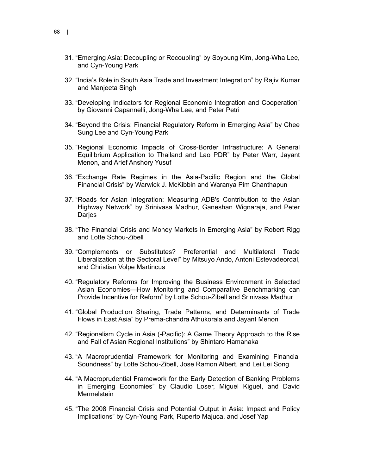- 31. "Emerging Asia: Decoupling or Recoupling" by Soyoung Kim, Jong-Wha Lee, and Cyn-Young Park
- 32. "India's Role in South Asia Trade and Investment Integration" by Rajiv Kumar and Manjeeta Singh
- 33. "Developing Indicators for Regional Economic Integration and Cooperation" by Giovanni Capannelli, Jong-Wha Lee, and Peter Petri
- 34. "Beyond the Crisis: Financial Regulatory Reform in Emerging Asia" by Chee Sung Lee and Cyn-Young Park
- 35. "Regional Economic Impacts of Cross-Border Infrastructure: A General Equilibrium Application to Thailand and Lao PDR" by Peter Warr, Jayant Menon, and Arief Anshory Yusuf
- 36. "Exchange Rate Regimes in the Asia-Pacific Region and the Global Financial Crisis" by Warwick J. McKibbin and Waranya Pim Chanthapun
- 37. "Roads for Asian Integration: Measuring ADB's Contribution to the Asian Highway Network" by Srinivasa Madhur, Ganeshan Wignaraja, and Peter Darjes
- 38. "The Financial Crisis and Money Markets in Emerging Asia" by Robert Rigg and Lotte Schou-Zibell
- 39. "Complements or Substitutes? Preferential and Multilateral Trade Liberalization at the Sectoral Level" by Mitsuyo Ando, Antoni Estevadeordal, and Christian Volpe Martincus
- 40. "Regulatory Reforms for Improving the Business Environment in Selected Asian Economies—How Monitoring and Comparative Benchmarking can Provide Incentive for Reform" by Lotte Schou-Zibell and Srinivasa Madhur
- 41. "Global Production Sharing, Trade Patterns, and Determinants of Trade Flows in East Asia" by Prema-chandra Athukorala and Jayant Menon
- 42. "Regionalism Cycle in Asia (-Pacific): A Game Theory Approach to the Rise and Fall of Asian Regional Institutions" by Shintaro Hamanaka
- 43. "A Macroprudential Framework for Monitoring and Examining Financial Soundness" by Lotte Schou-Zibell, Jose Ramon Albert, and Lei Lei Song
- 44. "A Macroprudential Framework for the Early Detection of Banking Problems in Emerging Economies" by Claudio Loser, Miguel Kiguel, and David **Mermelstein**
- 45. "The 2008 Financial Crisis and Potential Output in Asia: Impact and Policy Implications" by Cyn-Young Park, Ruperto Majuca, and Josef Yap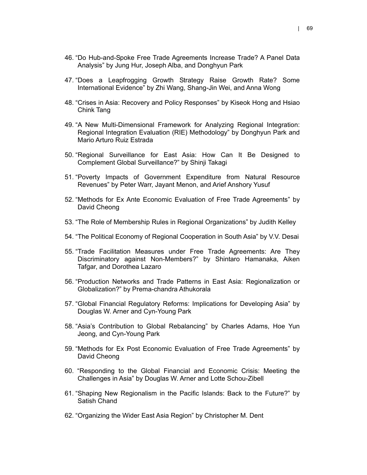- 46. "Do Hub-and-Spoke Free Trade Agreements Increase Trade? A Panel Data Analysis" by Jung Hur, Joseph Alba, and Donghyun Park
- 47. "Does a Leapfrogging Growth Strategy Raise Growth Rate? Some International Evidence" by Zhi Wang, Shang-Jin Wei, and Anna Wong
- 48. "Crises in Asia: Recovery and Policy Responses" by Kiseok Hong and Hsiao Chink Tang
- 49. "A New Multi-Dimensional Framework for Analyzing Regional Integration: Regional Integration Evaluation (RIE) Methodology" by Donghyun Park and Mario Arturo Ruiz Estrada
- 50. "Regional Surveillance for East Asia: How Can It Be Designed to Complement Global Surveillance?" by Shinji Takagi
- 51. "Poverty Impacts of Government Expenditure from Natural Resource Revenues" by Peter Warr, Jayant Menon, and Arief Anshory Yusuf
- 52. "Methods for Ex Ante Economic Evaluation of Free Trade Agreements" by David Cheong
- 53. "The Role of Membership Rules in Regional Organizations" by Judith Kelley
- 54. "The Political Economy of Regional Cooperation in South Asia" by V.V. Desai
- 55. "Trade Facilitation Measures under Free Trade Agreements: Are They Discriminatory against Non-Members?" by Shintaro Hamanaka, Aiken Tafgar, and Dorothea Lazaro
- 56. "Production Networks and Trade Patterns in East Asia: Regionalization or Globalization?" by Prema-chandra Athukorala
- 57. "Global Financial Regulatory Reforms: Implications for Developing Asia" by Douglas W. Arner and Cyn-Young Park
- 58. "Asia's Contribution to Global Rebalancing" by Charles Adams, Hoe Yun Jeong, and Cyn-Young Park
- 59. "Methods for Ex Post Economic Evaluation of Free Trade Agreements" by David Cheong
- 60. "Responding to the Global Financial and Economic Crisis: Meeting the Challenges in Asia" by Douglas W. Arner and Lotte Schou-Zibell
- 61. "Shaping New Regionalism in the Pacific Islands: Back to the Future?" by Satish Chand
- 62. "Organizing the Wider East Asia Region" by Christopher M. Dent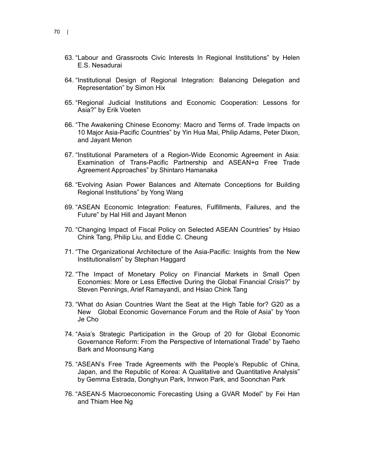- 63. "Labour and Grassroots Civic Interests In Regional Institutions" by Helen E.S. Nesadurai
- 64. "Institutional Design of Regional Integration: Balancing Delegation and Representation" by Simon Hix
- 65. "Regional Judicial Institutions and Economic Cooperation: Lessons for Asia?" by Erik Voeten
- 66. "The Awakening Chinese Economy: Macro and Terms of. Trade Impacts on 10 Major Asia-Pacific Countries" by Yin Hua Mai, Philip Adams, Peter Dixon, and Jayant Menon
- 67. "Institutional Parameters of a Region-Wide Economic Agreement in Asia: Examination of Trans-Pacific Partnership and ASEAN+α Free Trade Agreement Approaches" by Shintaro Hamanaka
- 68. "Evolving Asian Power Balances and Alternate Conceptions for Building Regional Institutions" by Yong Wang
- 69. "ASEAN Economic Integration: Features, Fulfillments, Failures, and the Future" by Hal Hill and Jayant Menon
- 70. "Changing Impact of Fiscal Policy on Selected ASEAN Countries" by Hsiao Chink Tang, Philip Liu, and Eddie C. Cheung
- 71. "The Organizational Architecture of the Asia-Pacific: Insights from the New Institutionalism" by Stephan Haggard
- 72. "The Impact of Monetary Policy on Financial Markets in Small Open Economies: More or Less Effective During the Global Financial Crisis?" by Steven Pennings, Arief Ramayandi, and Hsiao Chink Tang
- 73. "What do Asian Countries Want the Seat at the High Table for? G20 as a New Global Economic Governance Forum and the Role of Asia" by Yoon Je Cho
- 74. "Asia's Strategic Participation in the Group of 20 for Global Economic Governance Reform: From the Perspective of International Trade" by Taeho Bark and Moonsung Kang
- 75. "ASEAN's Free Trade Agreements with the People's Republic of China, Japan, and the Republic of Korea: A Qualitative and Quantitative Analysis" by Gemma Estrada, Donghyun Park, Innwon Park, and Soonchan Park
- 76. "ASEAN-5 Macroeconomic Forecasting Using a GVAR Model" by Fei Han and Thiam Hee Ng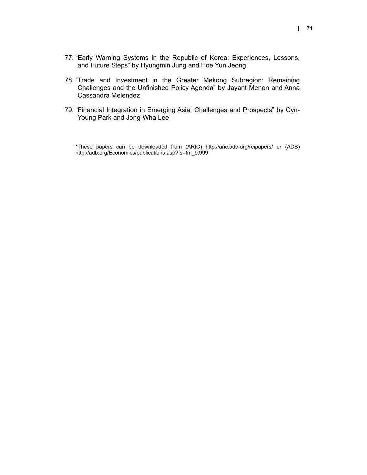- 77. "Early Warning Systems in the Republic of Korea: Experiences, Lessons, and Future Steps" by Hyungmin Jung and Hoe Yun Jeong
- 78. "Trade and Investment in the Greater Mekong Subregion: Remaining Challenges and the Unfinished Policy Agenda" by Jayant Menon and Anna Cassandra Melendez
- 79. "Financial Integration in Emerging Asia: Challenges and Prospects" by Cyn-Young Park and Jong-Wha Lee

\*These papers can be downloaded from (ARIC) http://aric.adb.org/reipapers/ or (ADB) http://adb.org/Economics/publications.asp?fs=fm\_9:999